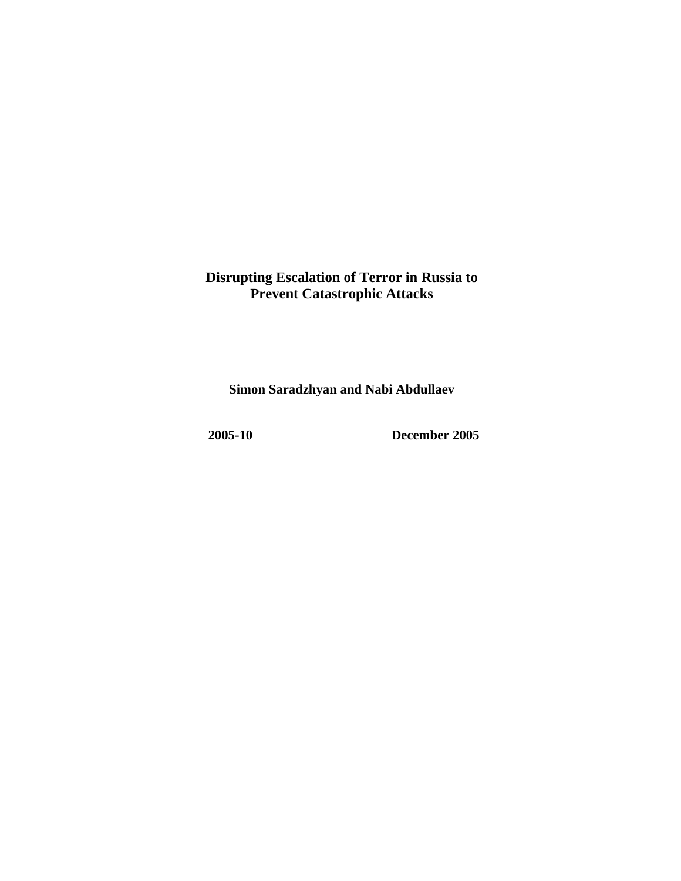**Disrupting Escalation of Terror in Russia to Prevent Catastrophic Attacks** 

**Simon Saradzhyan and Nabi Abdullaev** 

**2005-10 December 2005**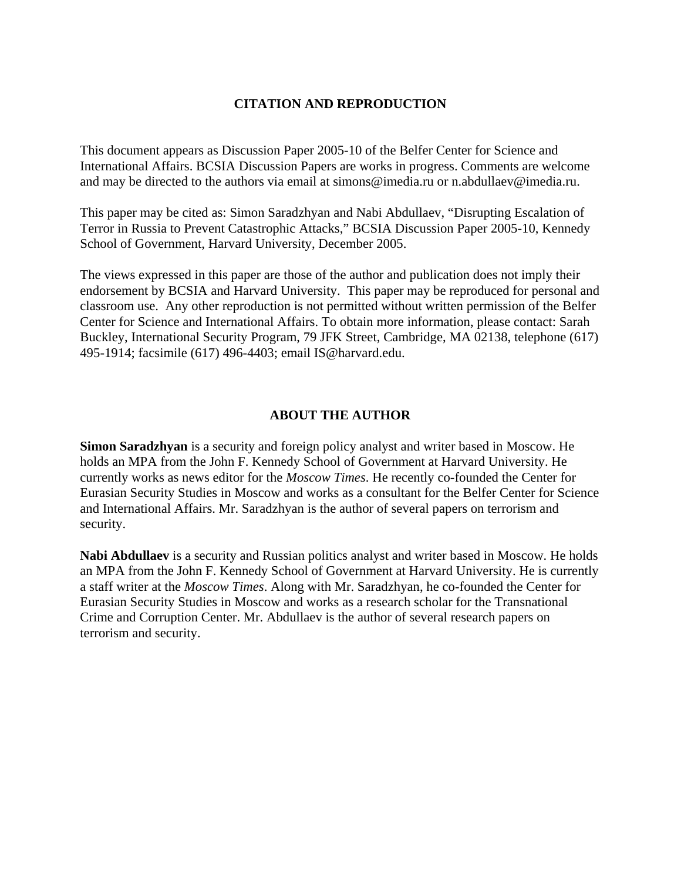## **CITATION AND REPRODUCTION**

This document appears as Discussion Paper 2005-10 of the Belfer Center for Science and International Affairs. BCSIA Discussion Papers are works in progress. Comments are welcome and may be directed to the authors via email at [simons@imedia.ru](mailto:simons@imedia.ru) or n.abdullaev@imedia.ru.

This paper may be cited as: Simon Saradzhyan and Nabi Abdullaev, "Disrupting Escalation of Terror in Russia to Prevent Catastrophic Attacks," BCSIA Discussion Paper 2005-10, Kennedy School of Government, Harvard University, December 2005.

The views expressed in this paper are those of the author and publication does not imply their endorsement by BCSIA and Harvard University. This paper may be reproduced for personal and classroom use. Any other reproduction is not permitted without written permission of the Belfer Center for Science and International Affairs. To obtain more information, please contact: Sarah Buckley, International Security Program, 79 JFK Street, Cambridge, MA 02138, telephone (617) 495-1914; facsimile (617) 496-4403; email IS@harvard.edu.

## **ABOUT THE AUTHOR**

**Simon Saradzhyan** is a security and foreign policy analyst and writer based in Moscow. He holds an MPA from the John F. Kennedy School of Government at Harvard University. He currently works as news editor for the *Moscow Times*. He recently co-founded the Center for Eurasian Security Studies in Moscow and works as a consultant for the Belfer Center for Science and International Affairs. Mr. Saradzhyan is the author of several papers on terrorism and security.

**Nabi Abdullaev** is a security and Russian politics analyst and writer based in Moscow. He holds an MPA from the John F. Kennedy School of Government at Harvard University. He is currently a staff writer at the *Moscow Times*. Along with Mr. Saradzhyan, he co-founded the Center for Eurasian Security Studies in Moscow and works as a research scholar for the Transnational Crime and Corruption Center. Mr. Abdullaev is the author of several research papers on terrorism and security.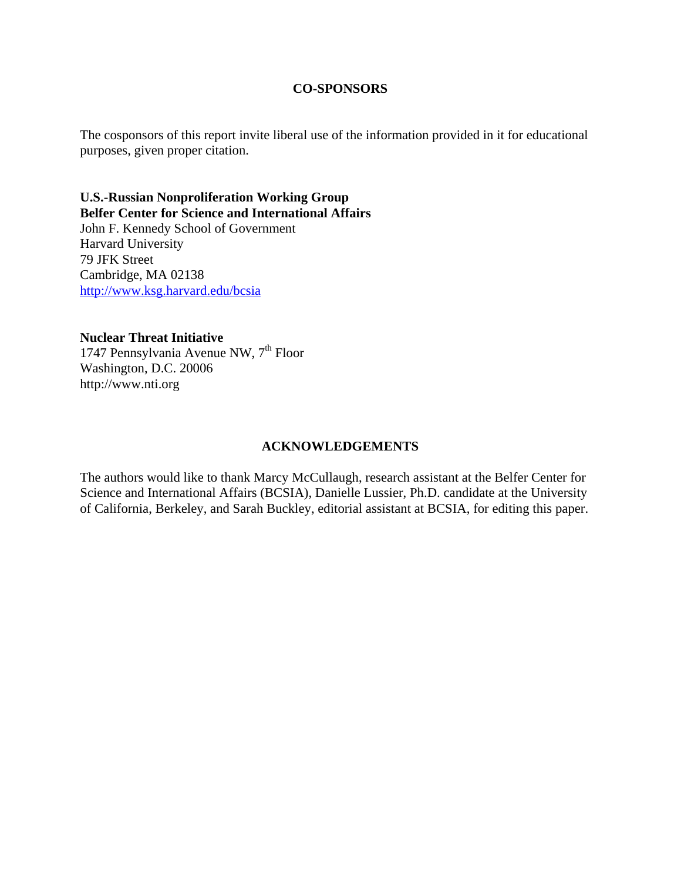## **CO-SPONSORS**

The cosponsors of this report invite liberal use of the information provided in it for educational purposes, given proper citation.

**U.S.-Russian Nonproliferation Working Group Belfer Center for Science and International Affairs**  John F. Kennedy School of Government Harvard University 79 JFK Street Cambridge, MA 02138 <http://www.ksg.harvard.edu/bcsia>

**Nuclear Threat Initiative**  1747 Pennsylvania Avenue NW,  $7<sup>th</sup>$  Floor Washington, D.C. 20006 http://www.nti.org

## **ACKNOWLEDGEMENTS**

The authors would like to thank Marcy McCullaugh, research assistant at the Belfer Center for Science and International Affairs (BCSIA), Danielle Lussier, Ph.D. candidate at the University of California, Berkeley, and Sarah Buckley, editorial assistant at BCSIA, for editing this paper.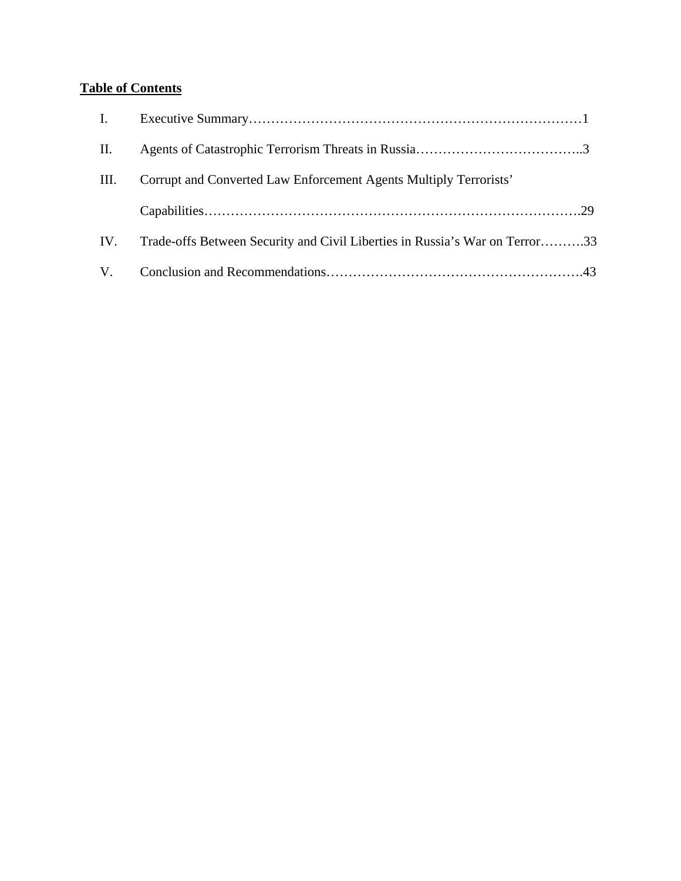# **Table of Contents**

| П.   |                                                                             |
|------|-----------------------------------------------------------------------------|
| III. | Corrupt and Converted Law Enforcement Agents Multiply Terrorists'           |
|      |                                                                             |
| IV.  | Trade-offs Between Security and Civil Liberties in Russia's War on Terror33 |
|      |                                                                             |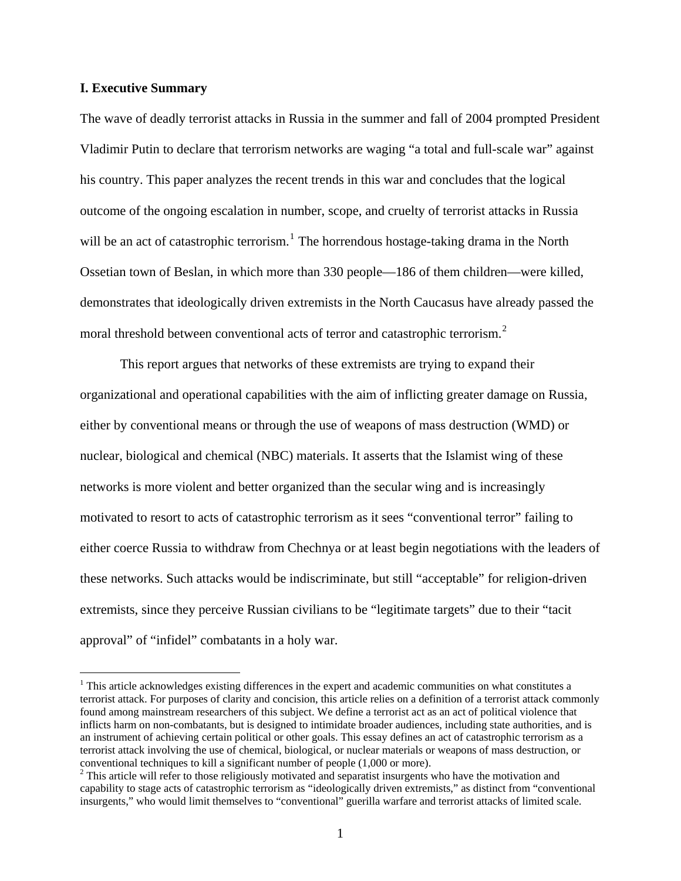## **I. Executive Summary**

i<br>Li

The wave of deadly terrorist attacks in Russia in the summer and fall of 2004 prompted President Vladimir Putin to declare that terrorism networks are waging "a total and full-scale war" against his country. This paper analyzes the recent trends in this war and concludes that the logical outcome of the ongoing escalation in number, scope, and cruelty of terrorist attacks in Russia will be an act of catastrophic terrorism.<sup>[1](#page-4-0)</sup> The horrendous hostage-taking drama in the North Ossetian town of Beslan, in which more than 330 people—186 of them children—were killed, demonstrates that ideologically driven extremists in the North Caucasus have already passed the moral threshold between conventional acts of terror and catastrophic terrorism.<sup>[2](#page-4-1)</sup>

This report argues that networks of these extremists are trying to expand their organizational and operational capabilities with the aim of inflicting greater damage on Russia, either by conventional means or through the use of weapons of mass destruction (WMD) or nuclear, biological and chemical (NBC) materials. It asserts that the Islamist wing of these networks is more violent and better organized than the secular wing and is increasingly motivated to resort to acts of catastrophic terrorism as it sees "conventional terror" failing to either coerce Russia to withdraw from Chechnya or at least begin negotiations with the leaders of these networks. Such attacks would be indiscriminate, but still "acceptable" for religion-driven extremists, since they perceive Russian civilians to be "legitimate targets" due to their "tacit approval" of "infidel" combatants in a holy war.

<span id="page-4-0"></span><sup>&</sup>lt;sup>1</sup> This article acknowledges existing differences in the expert and academic communities on what constitutes a terrorist attack. For purposes of clarity and concision, this article relies on a definition of a terrorist attack commonly found among mainstream researchers of this subject. We define a terrorist act as an act of political violence that inflicts harm on non-combatants, but is designed to intimidate broader audiences, including state authorities, and is an instrument of achieving certain political or other goals. This essay defines an act of catastrophic terrorism as a terrorist attack involving the use of chemical, biological, or nuclear materials or weapons of mass destruction, or conventional techniques to kill a significant number of people (1,000 or more).

<span id="page-4-1"></span> $2$  This article will refer to those religiously motivated and separatist insurgents who have the motivation and capability to stage acts of catastrophic terrorism as "ideologically driven extremists," as distinct from "conventional insurgents," who would limit themselves to "conventional" guerilla warfare and terrorist attacks of limited scale.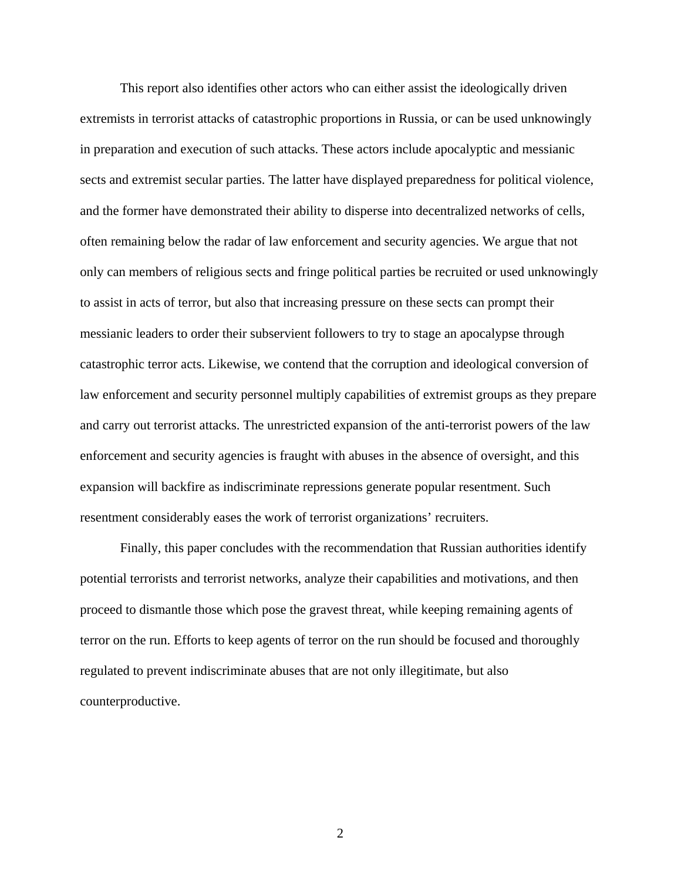This report also identifies other actors who can either assist the ideologically driven extremists in terrorist attacks of catastrophic proportions in Russia, or can be used unknowingly in preparation and execution of such attacks. These actors include apocalyptic and messianic sects and extremist secular parties. The latter have displayed preparedness for political violence, and the former have demonstrated their ability to disperse into decentralized networks of cells, often remaining below the radar of law enforcement and security agencies. We argue that not only can members of religious sects and fringe political parties be recruited or used unknowingly to assist in acts of terror, but also that increasing pressure on these sects can prompt their messianic leaders to order their subservient followers to try to stage an apocalypse through catastrophic terror acts. Likewise, we contend that the corruption and ideological conversion of law enforcement and security personnel multiply capabilities of extremist groups as they prepare and carry out terrorist attacks. The unrestricted expansion of the anti-terrorist powers of the law enforcement and security agencies is fraught with abuses in the absence of oversight, and this expansion will backfire as indiscriminate repressions generate popular resentment. Such resentment considerably eases the work of terrorist organizations' recruiters.

 Finally, this paper concludes with the recommendation that Russian authorities identify potential terrorists and terrorist networks, analyze their capabilities and motivations, and then proceed to dismantle those which pose the gravest threat, while keeping remaining agents of terror on the run. Efforts to keep agents of terror on the run should be focused and thoroughly regulated to prevent indiscriminate abuses that are not only illegitimate, but also counterproductive.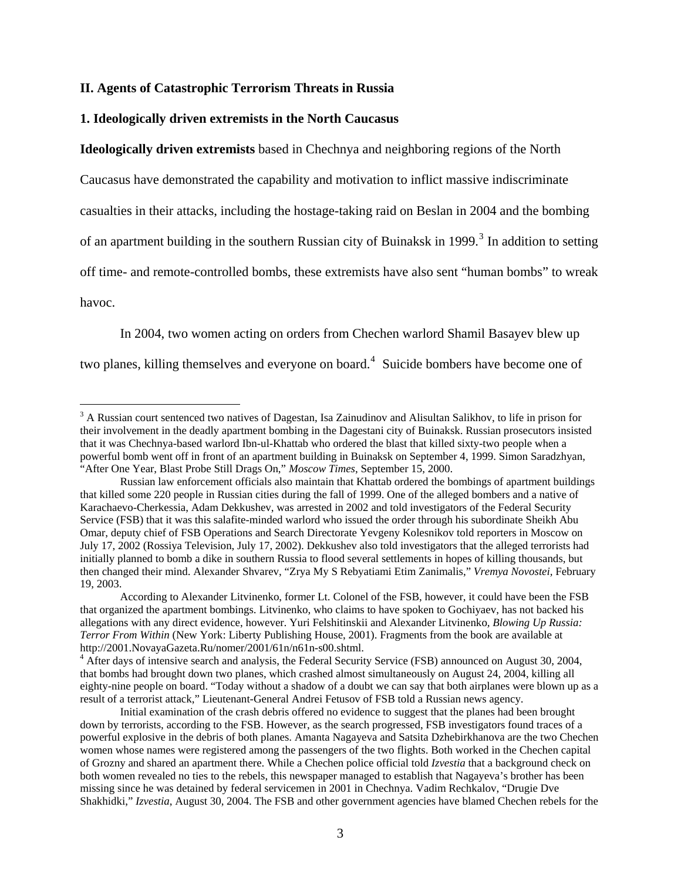## **II. Agents of Catastrophic Terrorism Threats in Russia**

## **1. Ideologically driven extremists in the North Caucasus**

**Ideologically driven extremists** based in Chechnya and neighboring regions of the North

Caucasus have demonstrated the capability and motivation to inflict massive indiscriminate

casualties in their attacks, including the hostage-taking raid on Beslan in 2004 and the bombing

of an apartment building in the southern Russian city of Buinaksk in 1999.<sup>[3](#page-6-0)</sup> In addition to setting

off time- and remote-controlled bombs, these extremists have also sent "human bombs" to wreak

havoc.

 In 2004, two women acting on orders from Chechen warlord Shamil Basayev blew up two planes, killing themselves and everyone on board.<sup>[4](#page-6-1)</sup> Suicide bombers have become one of

<span id="page-6-0"></span><sup>&</sup>lt;sup>3</sup> A Russian court sentenced two natives of Dagestan, Isa Zainudinov and Alisultan Salikhov, to life in prison for their involvement in the deadly apartment bombing in the Dagestani city of Buinaksk. Russian prosecutors insisted that it was Chechnya-based warlord Ibn-ul-Khattab who ordered the blast that killed sixty-two people when a powerful bomb went off in front of an apartment building in Buinaksk on September 4, 1999. Simon Saradzhyan, "After One Year, Blast Probe Still Drags On," *Moscow Times*, September 15, 2000.

Russian law enforcement officials also maintain that Khattab ordered the bombings of apartment buildings that killed some 220 people in Russian cities during the fall of 1999. One of the alleged bombers and a native of Karachaevo-Cherkessia, Adam Dekkushev, was arrested in 2002 and told investigators of the Federal Security Service (FSB) that it was this salafite-minded warlord who issued the order through his subordinate Sheikh Abu Omar, deputy chief of FSB Operations and Search Directorate Yevgeny Kolesnikov told reporters in Moscow on July 17, 2002 (Rossiya Television, July 17, 2002). Dekkushev also told investigators that the alleged terrorists had initially planned to bomb a dike in southern Russia to flood several settlements in hopes of killing thousands, but then changed their mind. Alexander Shvarev, "Zrya My S Rebyatiami Etim Zanimalis," *Vremya Novostei,* February 19, 2003.

According to Alexander Litvinenko, former Lt. Colonel of the FSB, however, it could have been the FSB that organized the apartment bombings. Litvinenko, who claims to have spoken to Gochiyaev, has not backed his allegations with any direct evidence, however. Yuri Felshitinskii and Alexander Litvinenko*, Blowing Up Russia: Terror From Within* (New York: Liberty Publishing House, 2001). Fragments from the book are available at http://2001.NovayaGazeta.Ru/nomer/2001/61n/n61n-s00.shtml. 4

<span id="page-6-1"></span><sup>&</sup>lt;sup>4</sup> After days of intensive search and analysis, the Federal Security Service (FSB) announced on August 30, 2004, that bombs had brought down two planes, which crashed almost simultaneously on August 24, 2004, killing all eighty-nine people on board. "Today without a shadow of a doubt we can say that both airplanes were blown up as a result of a terrorist attack," Lieutenant-General Andrei Fetusov of FSB told a Russian news agency.

Initial examination of the crash debris offered no evidence to suggest that the planes had been brought down by terrorists, according to the FSB. However, as the search progressed, FSB investigators found traces of a powerful explosive in the debris of both planes. Amanta Nagayeva and Satsita Dzhebirkhanova are the two Chechen women whose names were registered among the passengers of the two flights. Both worked in the Chechen capital of Grozny and shared an apartment there. While a Chechen police official told *Izvestia* that a background check on both women revealed no ties to the rebels, this newspaper managed to establish that Nagayeva's brother has been missing since he was detained by federal servicemen in 2001 in Chechnya. Vadim Rechkalov, "Drugie Dve Shakhidki," *Izvestia*, August 30, 2004. The FSB and other government agencies have blamed Chechen rebels for the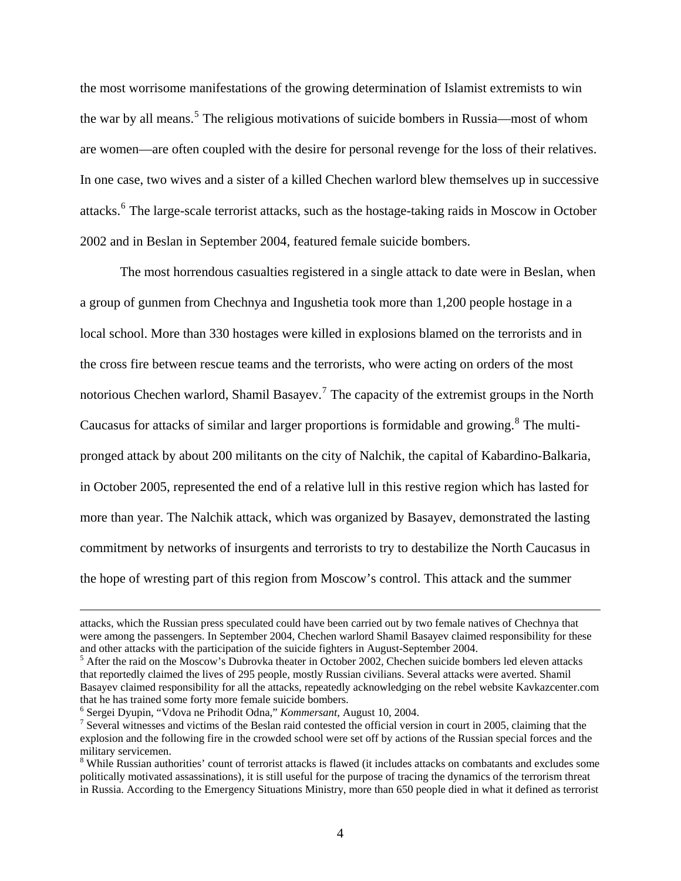the most worrisome manifestations of the growing determination of Islamist extremists to win the war by all means.<sup>[5](#page-7-0)</sup> The religious motivations of suicide bombers in Russia—most of whom are women—are often coupled with the desire for personal revenge for the loss of their relatives. In one case, two wives and a sister of a killed Chechen warlord blew themselves up in successive attacks.<sup>[6](#page-7-1)</sup> The large-scale terrorist attacks, such as the hostage-taking raids in Moscow in October 2002 and in Beslan in September 2004, featured female suicide bombers.

 The most horrendous casualties registered in a single attack to date were in Beslan, when a group of gunmen from Chechnya and Ingushetia took more than 1,200 people hostage in a local school. More than 330 hostages were killed in explosions blamed on the terrorists and in the cross fire between rescue teams and the terrorists, who were acting on orders of the most notorious Chechen warlord, Shamil Basayev.<sup>[7](#page-7-2)</sup> The capacity of the extremist groups in the North Caucasus for attacks of similar and larger proportions is formidable and growing.<sup>[8](#page-7-3)</sup> The multipronged attack by about 200 militants on the city of Nalchik, the capital of Kabardino-Balkaria, in October 2005, represented the end of a relative lull in this restive region which has lasted for more than year. The Nalchik attack, which was organized by Basayev, demonstrated the lasting commitment by networks of insurgents and terrorists to try to destabilize the North Caucasus in the hope of wresting part of this region from Moscow's control. This attack and the summer

attacks, which the Russian press speculated could have been carried out by two female natives of Chechnya that were among the passengers. In September 2004, Chechen warlord Shamil Basayev claimed responsibility for these and other attacks with the participation of the suicide fighters in August-September 2004.

<span id="page-7-0"></span><sup>&</sup>lt;sup>5</sup> After the raid on the Moscow's Dubrovka theater in October 2002, Chechen suicide bombers led eleven attacks that reportedly claimed the lives of 295 people, mostly Russian civilians. Several attacks were averted. Shamil Basayev claimed responsibility for all the attacks, repeatedly acknowledging on the rebel website Kavkazcenter.com that he has trained some forty more female suicide bombers.

<span id="page-7-1"></span><sup>&</sup>lt;sup>6</sup> Sergei Dyupin, "Vdova ne Prihodit Odna," *Kommersant*, August 10, 2004.

<span id="page-7-2"></span> $\frac{1}{2}$  Several witnesses and victims of the Beslan raid contested the official version in court in 2005, claiming that the explosion and the following fire in the crowded school were set off by actions of the Russian special forces and the military servicemen.

<span id="page-7-3"></span><sup>&</sup>lt;sup>8</sup> While Russian authorities' count of terrorist attacks is flawed (it includes attacks on combatants and excludes some politically motivated assassinations), it is still useful for the purpose of tracing the dynamics of the terrorism threat in Russia. According to the Emergency Situations Ministry, more than 650 people died in what it defined as terrorist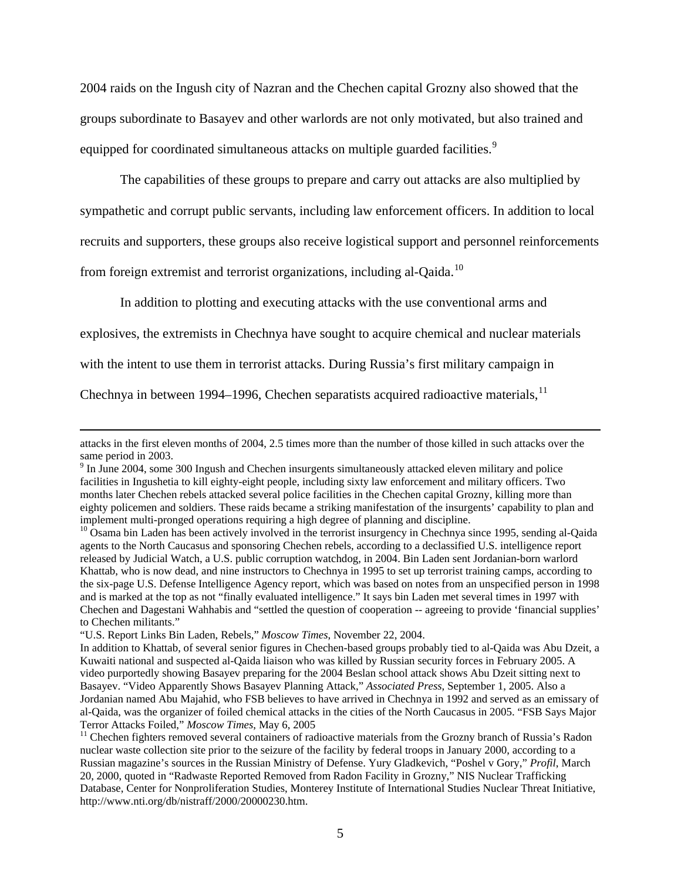2004 raids on the Ingush city of Nazran and the Chechen capital Grozny also showed that the groups subordinate to Basayev and other warlords are not only motivated, but also trained and equipped for coordinated simultaneous attacks on multiple guarded facilities.<sup>[9](#page-8-0)</sup>

 The capabilities of these groups to prepare and carry out attacks are also multiplied by sympathetic and corrupt public servants, including law enforcement officers. In addition to local recruits and supporters, these groups also receive logistical support and personnel reinforcements from foreign extremist and terrorist organizations, including al-Qaida.[10](#page-8-1)

In addition to plotting and executing attacks with the use conventional arms and

explosives, the extremists in Chechnya have sought to acquire chemical and nuclear materials

with the intent to use them in terrorist attacks. During Russia's first military campaign in

Chechnya in between 1994–1996, Chechen separatists acquired radioactive materials,  $^{11}$  $^{11}$  $^{11}$ 

attacks in the first eleven months of 2004, 2.5 times more than the number of those killed in such attacks over the same period in 2003.

<span id="page-8-0"></span> $9$  In June 2004, some 300 Ingush and Chechen insurgents simultaneously attacked eleven military and police facilities in Ingushetia to kill eighty-eight people, including sixty law enforcement and military officers. Two months later Chechen rebels attacked several police facilities in the Chechen capital Grozny, killing more than eighty policemen and soldiers. These raids became a striking manifestation of the insurgents' capability to plan and implement multi-pronged operations requiring a high degree of planning and discipline.

<span id="page-8-1"></span><sup>&</sup>lt;sup>10</sup> Osama bin Laden has been actively involved in the terrorist insurgency in Chechnya since 1995, sending al-Qaida agents to the North Caucasus and sponsoring Chechen rebels, according to a declassified U.S. intelligence report released by Judicial Watch, a U.S. public corruption watchdog, in 2004. Bin Laden sent Jordanian-born warlord Khattab, who is now dead, and nine instructors to Chechnya in 1995 to set up terrorist training camps, according to the six-page U.S. Defense Intelligence Agency report, which was based on notes from an unspecified person in 1998 and is marked at the top as not "finally evaluated intelligence." It says bin Laden met several times in 1997 with Chechen and Dagestani Wahhabis and "settled the question of cooperation -- agreeing to provide 'financial supplies' to Chechen militants."

<sup>&</sup>quot;U.S. Report Links Bin Laden, Rebels," *Moscow Times*, November 22, 2004.

In addition to Khattab, of several senior figures in Chechen-based groups probably tied to al-Qaida was Abu Dzeit, a Kuwaiti national and suspected al-Qaida liaison who was killed by Russian security forces in February 2005. A video purportedly showing Basayev preparing for the 2004 Beslan school attack shows Abu Dzeit sitting next to Basayev. "Video Apparently Shows Basayev Planning Attack," *Associated Press*, September 1, 2005. Also a Jordanian named Abu Majahid, who FSB believes to have arrived in Chechnya in 1992 and served as an emissary of al-Qaida, was the organizer of foiled chemical attacks in the cities of the North Caucasus in 2005. "FSB Says Major<br>Terror Attacks Foiled," Moscow Times, May 6, 2005

<span id="page-8-2"></span><sup>&</sup>lt;sup>11</sup> Chechen fighters removed several containers of radioactive materials from the Grozny branch of Russia's Radon nuclear waste collection site prior to the seizure of the facility by federal troops in January 2000, according to a Russian magazine's sources in the Russian Ministry of Defense. Yury Gladkevich, "Poshel v Gory," *Profil*, March 20, 2000, quoted in "Radwaste Reported Removed from Radon Facility in Grozny," NIS Nuclear Trafficking Database, Center for Nonproliferation Studies, Monterey Institute of International Studies Nuclear Threat Initiative, <http://www.nti.org/db/nistraff/2000/20000230.htm>.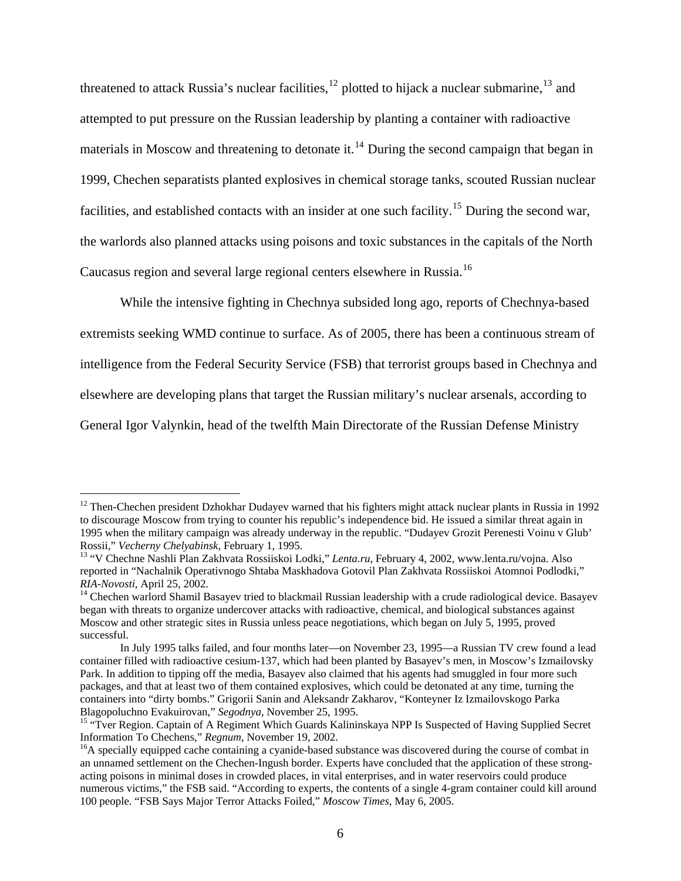threatened to attack Russia's nuclear facilities,  $^{12}$  $^{12}$  $^{12}$  plotted to hijack a nuclear submarine,  $^{13}$  $^{13}$  $^{13}$  and attempted to put pressure on the Russian leadership by planting a container with radioactive materials in Moscow and threatening to detonate it.<sup>[14](#page-9-2)</sup> During the second campaign that began in 1999, Chechen separatists planted explosives in chemical storage tanks, scouted Russian nuclear facilities, and established contacts with an insider at one such facility.<sup>[15](#page-9-3)</sup> During the second war, the warlords also planned attacks using poisons and toxic substances in the capitals of the North Caucasus region and several large regional centers elsewhere in Russia.[16](#page-9-4)

 While the intensive fighting in Chechnya subsided long ago, reports of Chechnya-based extremists seeking WMD continue to surface. As of 2005, there has been a continuous stream of intelligence from the Federal Security Service (FSB) that terrorist groups based in Chechnya and elsewhere are developing plans that target the Russian military's nuclear arsenals, according to General Igor Valynkin, head of the twelfth Main Directorate of the Russian Defense Ministry

<span id="page-9-0"></span> $12$  Then-Chechen president Dzhokhar Dudayev warned that his fighters might attack nuclear plants in Russia in 1992 to discourage Moscow from trying to counter his republic's independence bid. He issued a similar threat again in 1995 when the military campaign was already underway in the republic. "Dudayev Grozit Perenesti Voinu v Glub'<br>Rossii," Vecherny Chelyabinsk, February 1, 1995.

<span id="page-9-1"></span><sup>&</sup>lt;sup>13</sup> "V Chechne Nashli Plan Zakhvata Rossiiskoi Lodki," *Lenta.ru*, February 4, 2002, www.lenta.ru/vojna. Also reported in "Nachalnik Operativnogo Shtaba Maskhadova Gotovil Plan Zakhvata Rossiiskoi Atomnoi Podlodki,"<br>RIA-Novosti, April 25, 2002.

<span id="page-9-2"></span><sup>&</sup>lt;sup>14</sup> Chechen warlord Shamil Basayev tried to blackmail Russian leadership with a crude radiological device. Basayev began with threats to organize undercover attacks with radioactive, chemical, and biological substances against Moscow and other strategic sites in Russia unless peace negotiations, which began on July 5, 1995, proved successful.

In July 1995 talks failed, and four months later—on November 23, 1995—a Russian TV crew found a lead container filled with radioactive cesium-137, which had been planted by Basayev's men, in Moscow's Izmailovsky Park. In addition to tipping off the media, Basayev also claimed that his agents had smuggled in four more such packages, and that at least two of them contained explosives, which could be detonated at any time, turning the containers into "dirty bombs." Grigorii Sanin and Aleksandr Zakharov, "Konteyner Iz Izmailovskogo Parka Blagopoluchno Evakuirovan," Segodnya, November 25, 1995.

<span id="page-9-3"></span><sup>&</sup>lt;sup>15</sup> "Tver Region. Captain of A Regiment Which Guards Kalininskaya NPP Is Suspected of Having Supplied Secret Information To Chechens," *Regnum*, November 19, 2002.<br><sup>16</sup>A specially equipped cache containing a cyanide-based substance was discovered during the course of combat in

<span id="page-9-4"></span>an unnamed settlement on the Chechen-Ingush border. Experts have concluded that the application of these strongacting poisons in minimal doses in crowded places, in vital enterprises, and in water reservoirs could produce numerous victims," the FSB said. "According to experts, the contents of a single 4-gram container could kill around 100 people. "FSB Says Major Terror Attacks Foiled," *Moscow Times*, May 6, 2005.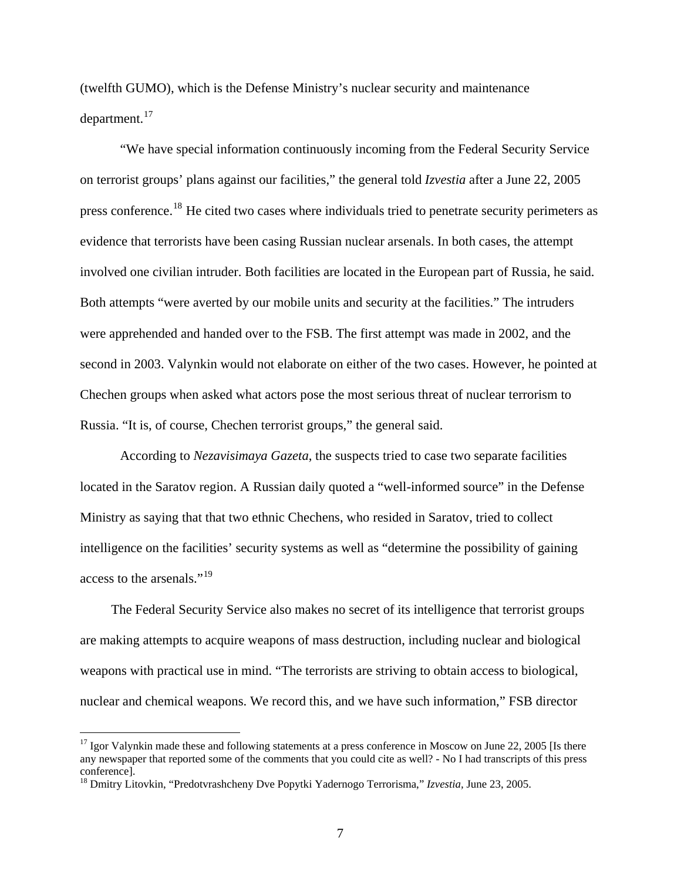(twelfth GUMO), which is the Defense Ministry's nuclear security and maintenance department.<sup>[17](#page-10-0)</sup>

 "We have special information continuously incoming from the Federal Security Service on terrorist groups' plans against our facilities," the general told *Izvestia* after a June 22, 2005 press conference.<sup>[18](#page-10-1)</sup> He cited two cases where individuals tried to penetrate security perimeters as evidence that terrorists have been casing Russian nuclear arsenals. In both cases, the attempt involved one civilian intruder. Both facilities are located in the European part of Russia, he said. Both attempts "were averted by our mobile units and security at the facilities." The intruders were apprehended and handed over to the FSB. The first attempt was made in 2002, and the second in 2003. Valynkin would not elaborate on either of the two cases. However, he pointed at Chechen groups when asked what actors pose the most serious threat of nuclear terrorism to Russia. "It is, of course, Chechen terrorist groups," the general said.

 According to *Nezavisimaya Gazeta*, the suspects tried to case two separate facilities located in the Saratov region. A Russian daily quoted a "well-informed source" in the Defense Ministry as saying that that two ethnic Chechens, who resided in Saratov, tried to collect intelligence on the facilities' security systems as well as "determine the possibility of gaining access to the arsenals."<sup>[19](#page-10-2)</sup>

<span id="page-10-2"></span> The Federal Security Service also makes no secret of its intelligence that terrorist groups are making attempts to acquire weapons of mass destruction, including nuclear and biological weapons with practical use in mind. "The terrorists are striving to obtain access to biological, nuclear and chemical weapons. We record this, and we have such information," FSB director

<span id="page-10-0"></span><sup>&</sup>lt;sup>17</sup> Igor Valynkin made these and following statements at a press conference in Moscow on June 22, 2005 [Is there any newspaper that reported some of the comments that you could cite as well? - No I had transcripts of this press conference].

<span id="page-10-1"></span><sup>18</sup> Dmitry Litovkin, "Predotvrashcheny Dve Popytki Yadernogo Terrorisma," *Izvestia,* June 23, 2005.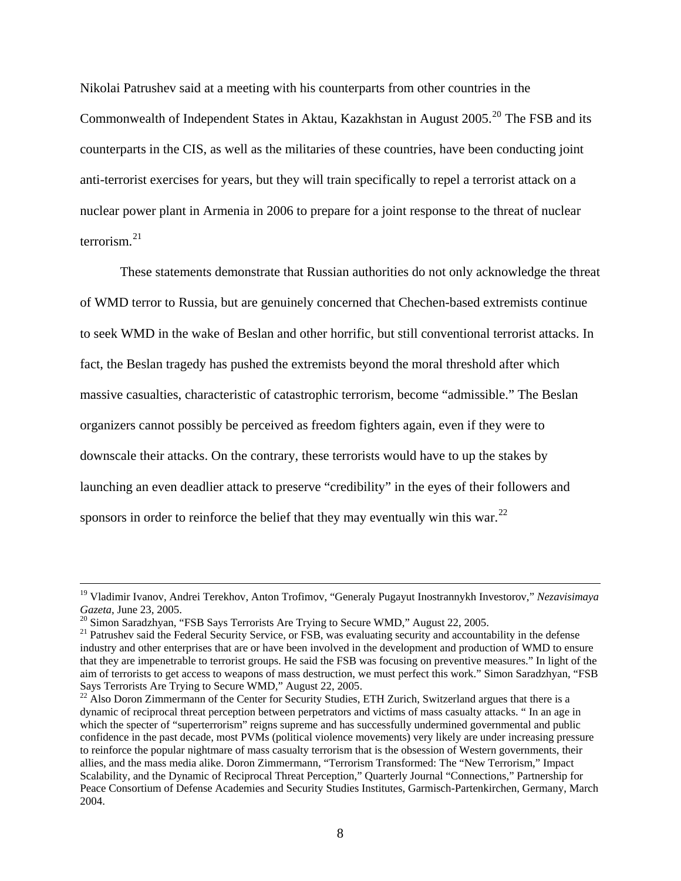Nikolai Patrushev said at a meeting with his counterparts from other countries in the Commonwealth of Independent States in Aktau, Kazakhstan in August [20](#page-11-0)05.<sup>20</sup> The FSB and its counterparts in the CIS, as well as the militaries of these countries, have been conducting joint anti-terrorist exercises for years, but they will train specifically to repel a terrorist attack on a nuclear power plant in Armenia in 2006 to prepare for a joint response to the threat of nuclear terrorism.[21](#page-11-1)

 These statements demonstrate that Russian authorities do not only acknowledge the threat of WMD terror to Russia, but are genuinely concerned that Chechen-based extremists continue to seek WMD in the wake of Beslan and other horrific, but still conventional terrorist attacks. In fact, the Beslan tragedy has pushed the extremists beyond the moral threshold after which massive casualties, characteristic of catastrophic terrorism, become "admissible." The Beslan organizers cannot possibly be perceived as freedom fighters again, even if they were to downscale their attacks. On the contrary, these terrorists would have to up the stakes by launching an even deadlier attack to preserve "credibility" in the eyes of their followers and sponsors in order to reinforce the belief that they may eventually win this war.<sup>[22](#page-11-2)</sup>

<sup>19</sup> Vladimir Ivanov, Andrei Terekhov, Anton Trofimov, "Generaly Pugayut Inostrannykh Investorov," *Nezavisimaya* 

<span id="page-11-0"></span><sup>&</sup>lt;sup>20</sup> Simon Saradzhyan, "FSB Says Terrorists Are Trying to Secure WMD," August 22, 2005.

<span id="page-11-1"></span><sup>&</sup>lt;sup>21</sup> Patrushev said the Federal Security Service, or FSB, was evaluating security and accountability in the defense industry and other enterprises that are or have been involved in the development and production of WMD to ensure that they are impenetrable to terrorist groups. He said the FSB was focusing on preventive measures." In light of the aim of terrorists to get access to weapons of mass destruction, we must perfect this work." Simon Saradzhyan, "FSB Says Terrorists Are Trying to Secure WMD," August 22, 2005.

<span id="page-11-2"></span> $^{22}$  Also Doron Zimmermann of the Center for Security Studies, ETH Zurich, Switzerland argues that there is a dynamic of reciprocal threat perception between perpetrators and victims of mass casualty attacks. " In an age in which the specter of "superterrorism" reigns supreme and has successfully undermined governmental and public confidence in the past decade, most PVMs (political violence movements) very likely are under increasing pressure to reinforce the popular nightmare of mass casualty terrorism that is the obsession of Western governments, their allies, and the mass media alike. Doron Zimmermann, "Terrorism Transformed: The "New Terrorism," Impact Scalability, and the Dynamic of Reciprocal Threat Perception," Quarterly Journal "Connections," Partnership for Peace Consortium of Defense Academies and Security Studies Institutes, Garmisch-Partenkirchen, Germany, March 2004.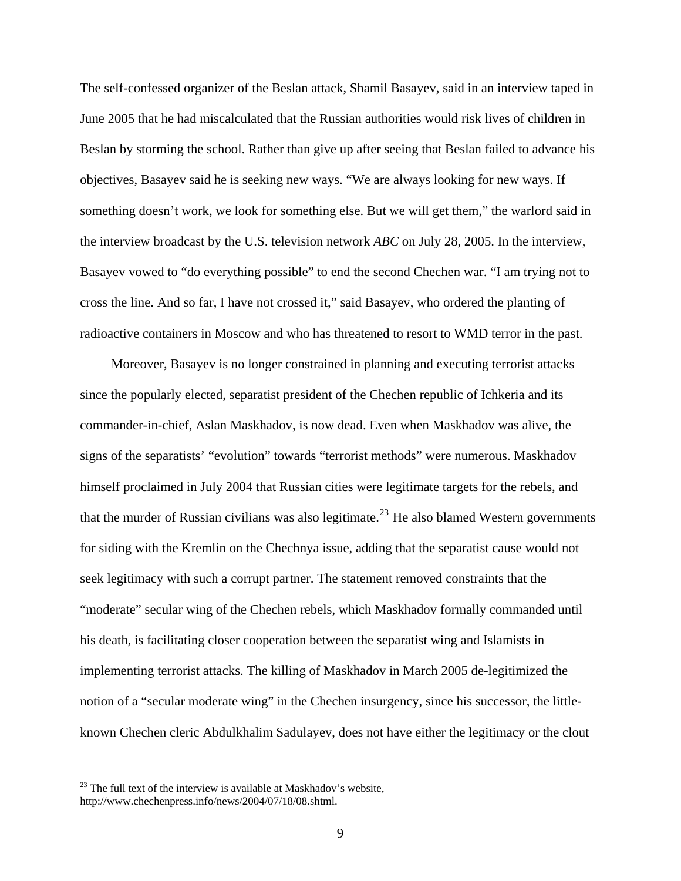The self-confessed organizer of the Beslan attack, Shamil Basayev, said in an interview taped in June 2005 that he had miscalculated that the Russian authorities would risk lives of children in Beslan by storming the school. Rather than give up after seeing that Beslan failed to advance his objectives, Basayev said he is seeking new ways. "We are always looking for new ways. If something doesn't work, we look for something else. But we will get them," the warlord said in the interview broadcast by the U.S. television network *ABC* on July 28, 2005. In the interview, Basayev vowed to "do everything possible" to end the second Chechen war. "I am trying not to cross the line. And so far, I have not crossed it," said Basayev, who ordered the planting of radioactive containers in Moscow and who has threatened to resort to WMD terror in the past.

 Moreover, Basayev is no longer constrained in planning and executing terrorist attacks since the popularly elected, separatist president of the Chechen republic of Ichkeria and its commander-in-chief, Aslan Maskhadov, is now dead. Even when Maskhadov was alive, the signs of the separatists' "evolution" towards "terrorist methods" were numerous. Maskhadov himself proclaimed in July 2004 that Russian cities were legitimate targets for the rebels, and that the murder of Russian civilians was also legitimate.<sup>[23](#page-12-0)</sup> He also blamed Western governments for siding with the Kremlin on the Chechnya issue, adding that the separatist cause would not seek legitimacy with such a corrupt partner. The statement removed constraints that the "moderate" secular wing of the Chechen rebels, which Maskhadov formally commanded until his death, is facilitating closer cooperation between the separatist wing and Islamists in implementing terrorist attacks. The killing of Maskhadov in March 2005 de-legitimized the notion of a "secular moderate wing" in the Chechen insurgency, since his successor, the littleknown Chechen cleric Abdulkhalim Sadulayev, does not have either the legitimacy or the clout

<span id="page-12-0"></span> $23$  The full text of the interview is available at Maskhadov's website, <http://www.chechenpress.info/news/2004/07/18/08.shtml>.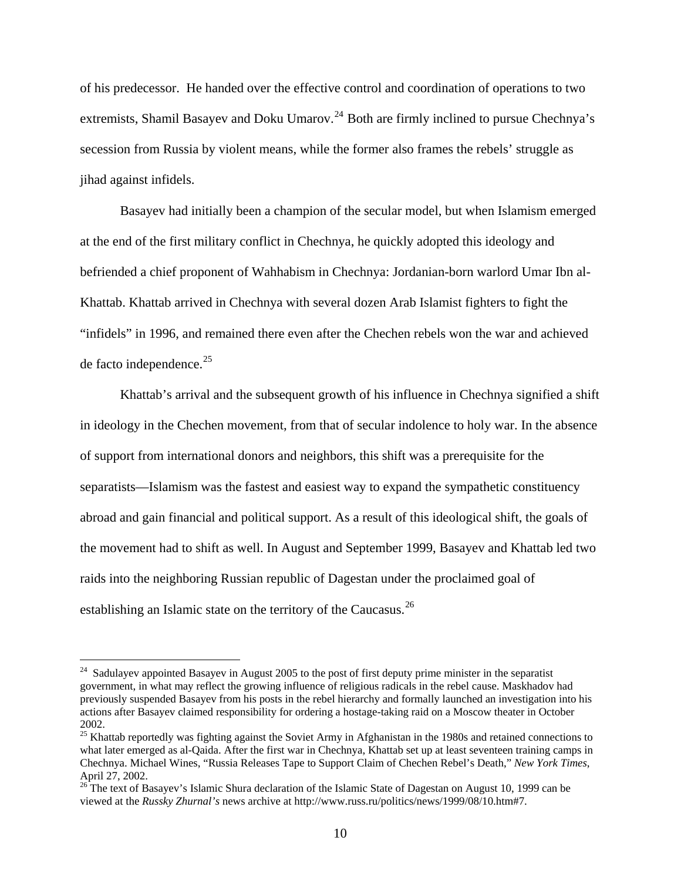of his predecessor. He handed over the effective control and coordination of operations to two extremists, Shamil Basayev and Doku Umarov.<sup>[24](#page-13-0)</sup> Both are firmly inclined to pursue Chechnya's secession from Russia by violent means, while the former also frames the rebels' struggle as jihad against infidels.

 Basayev had initially been a champion of the secular model, but when Islamism emerged at the end of the first military conflict in Chechnya, he quickly adopted this ideology and befriended a chief proponent of Wahhabism in Chechnya: Jordanian-born warlord Umar Ibn al-Khattab. Khattab arrived in Chechnya with several dozen Arab Islamist fighters to fight the "infidels" in 1996, and remained there even after the Chechen rebels won the war and achieved de facto independence. $^{25}$  $^{25}$  $^{25}$ 

 Khattab's arrival and the subsequent growth of his influence in Chechnya signified a shift in ideology in the Chechen movement, from that of secular indolence to holy war. In the absence of support from international donors and neighbors, this shift was a prerequisite for the separatists—Islamism was the fastest and easiest way to expand the sympathetic constituency abroad and gain financial and political support. As a result of this ideological shift, the goals of the movement had to shift as well. In August and September 1999, Basayev and Khattab led two raids into the neighboring Russian republic of Dagestan under the proclaimed goal of establishing an Islamic state on the territory of the Caucasus.<sup>[26](#page-13-2)</sup>

<span id="page-13-0"></span><sup>&</sup>lt;sup>24</sup> Sadulayev appointed Basayev in August 2005 to the post of first deputy prime minister in the separatist government, in what may reflect the growing influence of religious radicals in the rebel cause. Maskhadov had previously suspended Basayev from his posts in the rebel hierarchy and formally launched an investigation into his actions after Basayev claimed responsibility for ordering a hostage-taking raid on a Moscow theater in October 2002.

<span id="page-13-1"></span><sup>&</sup>lt;sup>25</sup> Khattab reportedly was fighting against the Soviet Army in Afghanistan in the 1980s and retained connections to what later emerged as al-Qaida. After the first war in Chechnya, Khattab set up at least seventeen training camps in Chechnya. Michael Wines, "Russia Releases Tape to Support Claim of Chechen Rebel's Death," *New York Times*, April 27, 2002.

<span id="page-13-2"></span><sup>&</sup>lt;sup>26</sup> The text of Basayev's Islamic Shura declaration of the Islamic State of Dagestan on August 10, 1999 can be viewed at the *Russky Zhurnal's* news archive at [http://www.russ.ru/politics/news/1999/08/10.htm#7.](http://www.russ.ru/politics/news/1999/08/10.htm#7)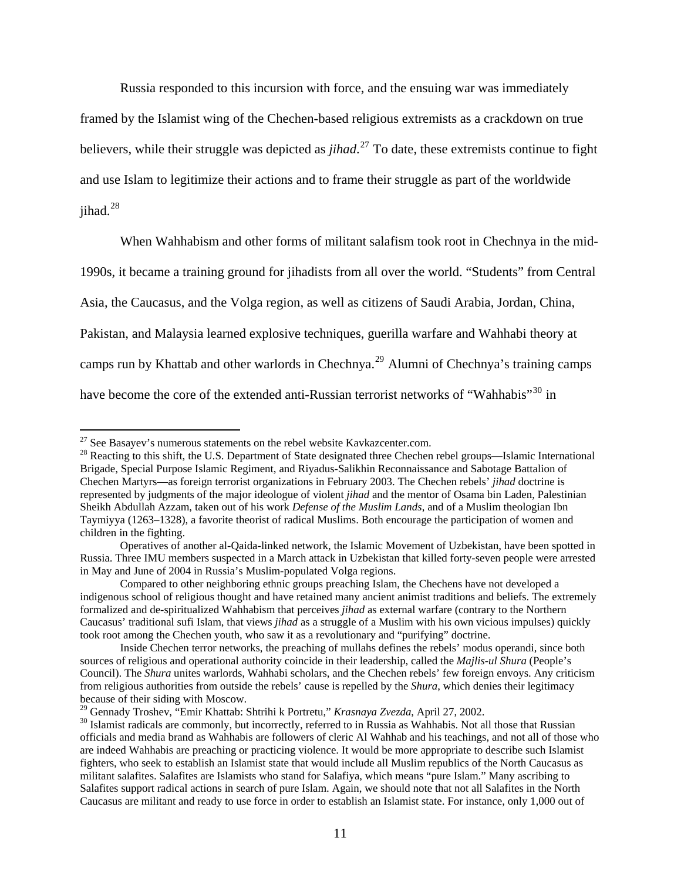Russia responded to this incursion with force, and the ensuing war was immediately

framed by the Islamist wing of the Chechen-based religious extremists as a crackdown on true believers, while their struggle was depicted as *jihad*. [27](#page-14-0) To date, these extremists continue to fight and use Islam to legitimize their actions and to frame their struggle as part of the worldwide jihad.<sup>[28](#page-14-1)</sup>

When Wahhabism and other forms of militant salafism took root in Chechnya in the mid-

1990s, it became a training ground for jihadists from all over the world. "Students" from Central

Asia, the Caucasus, and the Volga region, as well as citizens of Saudi Arabia, Jordan, China,

Pakistan, and Malaysia learned explosive techniques, guerilla warfare and Wahhabi theory at

camps run by Khattab and other warlords in Chechnya.[29](#page-14-2) Alumni of Chechnya's training camps

have become the core of the extended anti-Russian terrorist networks of "Wahhabis"<sup>[30](#page-14-3)</sup> in

<span id="page-14-0"></span> $27$  See Basayev's numerous statements on the rebel website Kavkazcenter.com.

<span id="page-14-1"></span> $^{28}$  Reacting to this shift, the U.S. Department of State designated three Chechen rebel groups—Islamic International Brigade, Special Purpose Islamic Regiment, and Riyadus-Salikhin Reconnaissance and Sabotage Battalion of Chechen Martyrs—as foreign terrorist organizations in February 2003. The Chechen rebels' *jihad* doctrine is represented by judgments of the major ideologue of violent *jihad* and the mentor of Osama bin Laden, Palestinian Sheikh Abdullah Azzam, taken out of his work *Defense of the Muslim Lands*, and of a Muslim theologian Ibn Taymiyya (1263–1328), a favorite theorist of radical Muslims. Both encourage the participation of women and children in the fighting.

Operatives of another al-Qaida-linked network, the Islamic Movement of Uzbekistan, have been spotted in Russia. Three IMU members suspected in a March attack in Uzbekistan that killed forty-seven people were arrested in May and June of 2004 in Russia's Muslim-populated Volga regions.

Compared to other neighboring ethnic groups preaching Islam, the Chechens have not developed a indigenous school of religious thought and have retained many ancient animist traditions and beliefs. The extremely formalized and de-spiritualized Wahhabism that perceives *jihad* as external warfare (contrary to the Northern Caucasus' traditional sufi Islam, that views *jihad* as a struggle of a Muslim with his own vicious impulses) quickly took root among the Chechen youth, who saw it as a revolutionary and "purifying" doctrine.

Inside Chechen terror networks, the preaching of mullahs defines the rebels' modus operandi, since both sources of religious and operational authority coincide in their leadership, called the *Majlis-ul Shura* (People's Council). The *Shura* unites warlords, Wahhabi scholars, and the Chechen rebels' few foreign envoys. Any criticism from religious authorities from outside the rebels' cause is repelled by the *Shura*, which denies their legitimacy because of their siding with Moscow.<br><sup>29</sup> Gennady Troshev, "Emir Khattab: Shtrihi k Portretu," *Krasnaya Zvezda*, April 27, 2002.

<span id="page-14-2"></span>

<span id="page-14-3"></span><sup>&</sup>lt;sup>30</sup> Islamist radicals are commonly, but incorrectly, referred to in Russia as Wahhabis. Not all those that Russian officials and media brand as Wahhabis are followers of cleric Al Wahhab and his teachings, and not all of those who are indeed Wahhabis are preaching or practicing violence. It would be more appropriate to describe such Islamist fighters, who seek to establish an Islamist state that would include all Muslim republics of the North Caucasus as militant salafites. Salafites are Islamists who stand for Salafiya, which means "pure Islam." Many ascribing to Salafites support radical actions in search of pure Islam. Again, we should note that not all Salafites in the North Caucasus are militant and ready to use force in order to establish an Islamist state. For instance, only 1,000 out of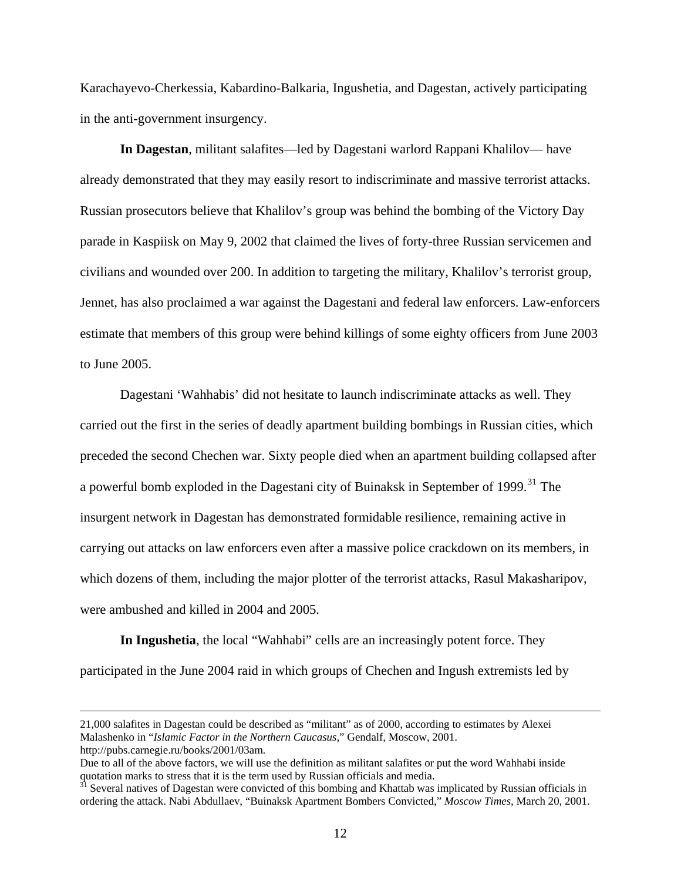Karachayevo-Cherkessia, Kabardino-Balkaria, Ingushetia, and Dagestan, actively participating in the anti-government insurgency.

**In Dagestan**, militant salafites—led by Dagestani warlord Rappani Khalilov— have already demonstrated that they may easily resort to indiscriminate and massive terrorist attacks. Russian prosecutors believe that Khalilov's group was behind the bombing of the Victory Day parade in Kaspiisk on May 9, 2002 that claimed the lives of forty-three Russian servicemen and civilians and wounded over 200. In addition to targeting the military, Khalilov's terrorist group, Jennet, has also proclaimed a war against the Dagestani and federal law enforcers. Law-enforcers estimate that members of this group were behind killings of some eighty officers from June 2003 to June 2005.

 Dagestani 'Wahhabis' did not hesitate to launch indiscriminate attacks as well. They carried out the first in the series of deadly apartment building bombings in Russian cities, which preceded the second Chechen war. Sixty people died when an apartment building collapsed after a powerful bomb exploded in the Dagestani city of Buinaksk in September of 1999.<sup>[31](#page-15-0)</sup> The insurgent network in Dagestan has demonstrated formidable resilience, remaining active in carrying out attacks on law enforcers even after a massive police crackdown on its members, in which dozens of them, including the major plotter of the terrorist attacks, Rasul Makasharipov, were ambushed and killed in 2004 and 2005.

 **In Ingushetia**, the local "Wahhabi" cells are an increasingly potent force. They participated in the June 2004 raid in which groups of Chechen and Ingush extremists led by

<http://pubs.carnegie.ru/books/2001/03am>.

<sup>21,000</sup> salafites in Dagestan could be described as "militant" as of 2000, according to estimates by Alexei Malashenko in "*Islamic Factor in the Northern Caucasus*," Gendalf, Moscow, 2001.

Due to all of the above factors, we will use the definition as militant salafites or put the word Wahhabi inside

<span id="page-15-0"></span> $31$  Several natives of Dagestan were convicted of this bombing and Khattab was implicated by Russian officials in ordering the attack. Nabi Abdullaev, "Buinaksk Apartment Bombers Convicted," *Moscow Times*, March 20, 2001.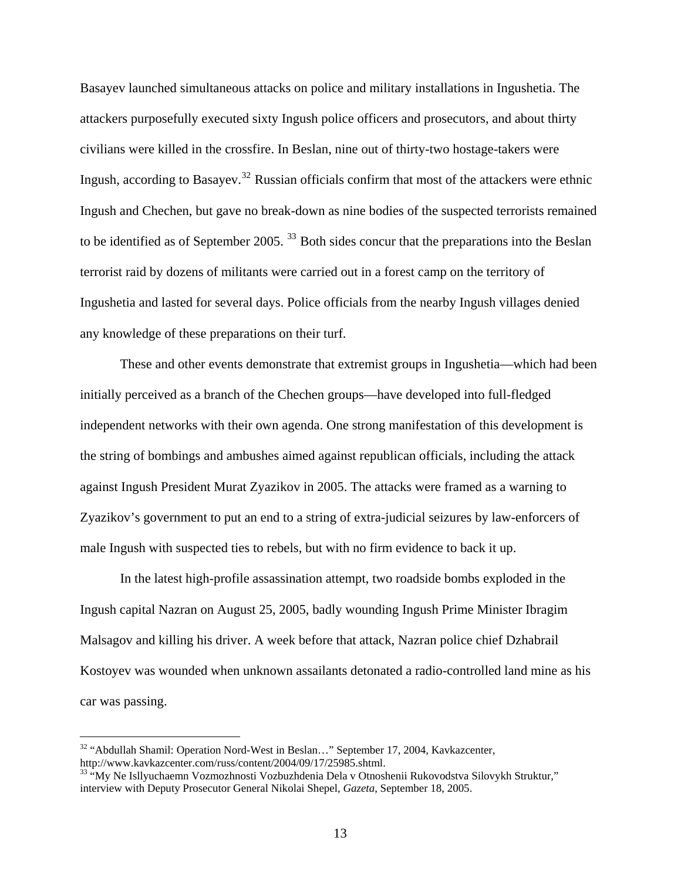Basayev launched simultaneous attacks on police and military installations in Ingushetia. The attackers purposefully executed sixty Ingush police officers and prosecutors, and about thirty civilians were killed in the crossfire. In Beslan, nine out of thirty-two hostage-takers were Ingush, according to Basayev.<sup>[32](#page-16-0)</sup> Russian officials confirm that most of the attackers were ethnic Ingush and Chechen, but gave no break-down as nine bodies of the suspected terrorists remained to be identified as of September 2005.<sup>[33](#page-16-1)</sup> Both sides concur that the preparations into the Beslan terrorist raid by dozens of militants were carried out in a forest camp on the territory of Ingushetia and lasted for several days. Police officials from the nearby Ingush villages denied any knowledge of these preparations on their turf.

 These and other events demonstrate that extremist groups in Ingushetia—which had been initially perceived as a branch of the Chechen groups—have developed into full-fledged independent networks with their own agenda. One strong manifestation of this development is the string of bombings and ambushes aimed against republican officials, including the attack against Ingush President Murat Zyazikov in 2005. The attacks were framed as a warning to Zyazikov's government to put an end to a string of extra-judicial seizures by law-enforcers of male Ingush with suspected ties to rebels, but with no firm evidence to back it up.

 In the latest high-profile assassination attempt, two roadside bombs exploded in the Ingush capital Nazran on August 25, 2005, badly wounding Ingush Prime Minister Ibragim Malsagov and killing his driver. A week before that attack, Nazran police chief Dzhabrail Kostoyev was wounded when unknown assailants detonated a radio-controlled land mine as his car was passing.

<span id="page-16-0"></span><sup>&</sup>lt;sup>32</sup> "Abdullah Shamil: Operation Nord-West in Beslan..." September 17, 2004, Kavkazcenter, http://www.kavkazcenter.com/russ/content/2004/09/17/25985.shtml.

<span id="page-16-1"></span><sup>&</sup>lt;sup>33 "</sup>My Ne Isllyuchaemn Vozmozhnosti Vozbuzhdenia Dela v Otnoshenii Rukovodstva Silovykh Struktur," interview with Deputy Prosecutor General Nikolai Shepel, *Gazeta*, September 18, 2005.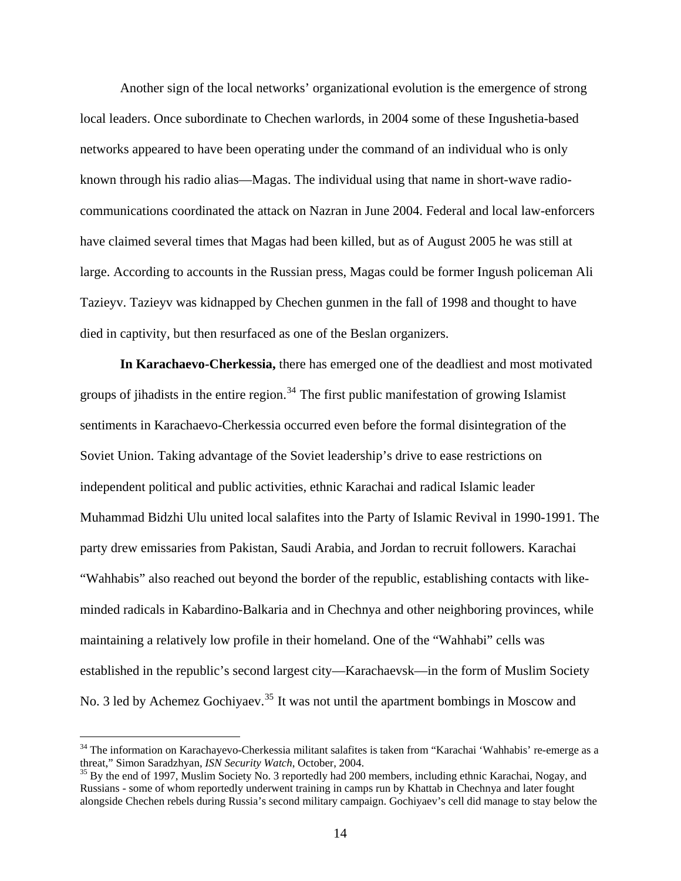Another sign of the local networks' organizational evolution is the emergence of strong local leaders. Once subordinate to Chechen warlords, in 2004 some of these Ingushetia-based networks appeared to have been operating under the command of an individual who is only known through his radio alias—Magas. The individual using that name in short-wave radiocommunications coordinated the attack on Nazran in June 2004. Federal and local law-enforcers have claimed several times that Magas had been killed, but as of August 2005 he was still at large. According to accounts in the Russian press, Magas could be former Ingush policeman Ali Tazieyv. Tazieyv was kidnapped by Chechen gunmen in the fall of 1998 and thought to have died in captivity, but then resurfaced as one of the Beslan organizers.

**In Karachaevo-Cherkessia,** there has emerged one of the deadliest and most motivated groups of jihadists in the entire region.<sup>[34](#page-17-0)</sup> The first public manifestation of growing Islamist sentiments in Karachaevo-Cherkessia occurred even before the formal disintegration of the Soviet Union. Taking advantage of the Soviet leadership's drive to ease restrictions on independent political and public activities, ethnic Karachai and radical Islamic leader Muhammad Bidzhi Ulu united local salafites into the Party of Islamic Revival in 1990-1991. The party drew emissaries from Pakistan, Saudi Arabia, and Jordan to recruit followers. Karachai "Wahhabis" also reached out beyond the border of the republic, establishing contacts with likeminded radicals in Kabardino-Balkaria and in Chechnya and other neighboring provinces, while maintaining a relatively low profile in their homeland. One of the "Wahhabi" cells was established in the republic's second largest city—Karachaevsk—in the form of Muslim Society No. 3 led by Achemez Gochiyaev.<sup>[35](#page-17-1)</sup> It was not until the apartment bombings in Moscow and

<span id="page-17-0"></span> $34$  The information on Karachayevo-Cherkessia militant salafites is taken from "Karachai 'Wahhabis' re-emerge as a threat," Simon Saradzhyan, ISN Security Watch, October, 2004.

<span id="page-17-1"></span><sup>&</sup>lt;sup>35</sup> By the end of 1997, Muslim Society No. 3 reportedly had 200 members, including ethnic Karachai, Nogay, and Russians - some of whom reportedly underwent training in camps run by Khattab in Chechnya and later fought alongside Chechen rebels during Russia's second military campaign. Gochiyaev's cell did manage to stay below the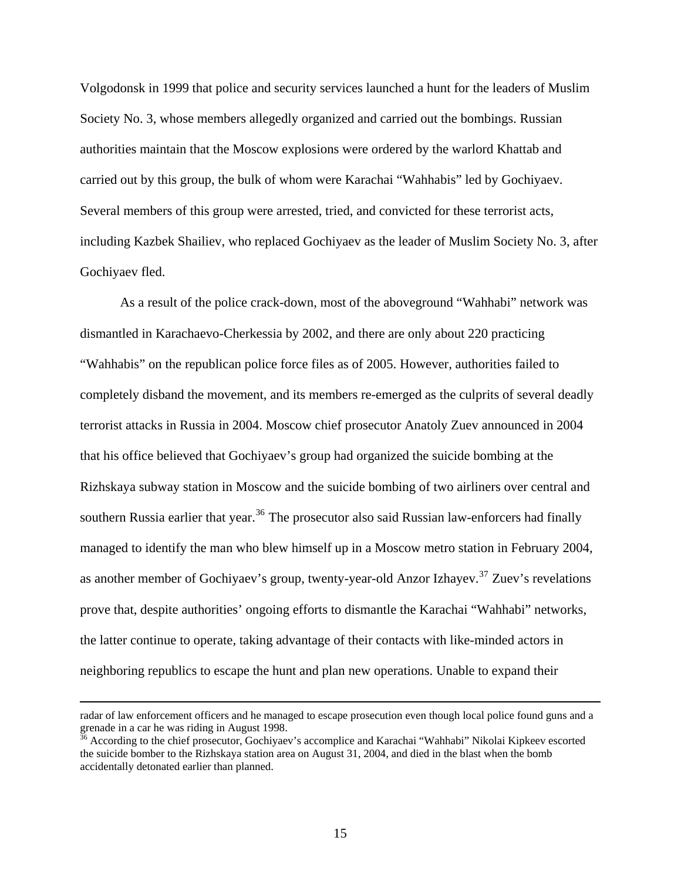Volgodonsk in 1999 that police and security services launched a hunt for the leaders of Muslim Society No. 3, whose members allegedly organized and carried out the bombings. Russian authorities maintain that the Moscow explosions were ordered by the warlord Khattab and carried out by this group, the bulk of whom were Karachai "Wahhabis" led by Gochiyaev. Several members of this group were arrested, tried, and convicted for these terrorist acts, including Kazbek Shailiev, who replaced Gochiyaev as the leader of Muslim Society No. 3, after Gochiyaev fled.

 As a result of the police crack-down, most of the aboveground "Wahhabi" network was dismantled in Karachaevo-Cherkessia by 2002, and there are only about 220 practicing "Wahhabis" on the republican police force files as of 2005. However, authorities failed to completely disband the movement, and its members re-emerged as the culprits of several deadly terrorist attacks in Russia in 2004. Moscow chief prosecutor Anatoly Zuev announced in 2004 that his office believed that Gochiyaev's group had organized the suicide bombing at the Rizhskaya subway station in Moscow and the suicide bombing of two airliners over central and southern Russia earlier that year.<sup>[36](#page-18-0)</sup> The prosecutor also said Russian law-enforcers had finally managed to identify the man who blew himself up in a Moscow metro station in February 2004, as another member of Gochiyaev's group, twenty-year-old Anzor Izhayev.<sup>[37](#page-18-1)</sup> Zuev's revelations prove that, despite authorities' ongoing efforts to dismantle the Karachai "Wahhabi" networks, the latter continue to operate, taking advantage of their contacts with like-minded actors in neighboring republics to escape the hunt and plan new operations. Unable to expand their

radar of law enforcement officers and he managed to escape prosecution even though local police found guns and a grenade in a car he was riding in August 1998.

<span id="page-18-1"></span><span id="page-18-0"></span><sup>&</sup>lt;sup>36</sup> According to the chief prosecutor, Gochiyaev's accomplice and Karachai "Wahhabi" Nikolai Kipkeev escorted the suicide bomber to the Rizhskaya station area on August 31, 2004, and died in the blast when the bomb accidentally detonated earlier than planned.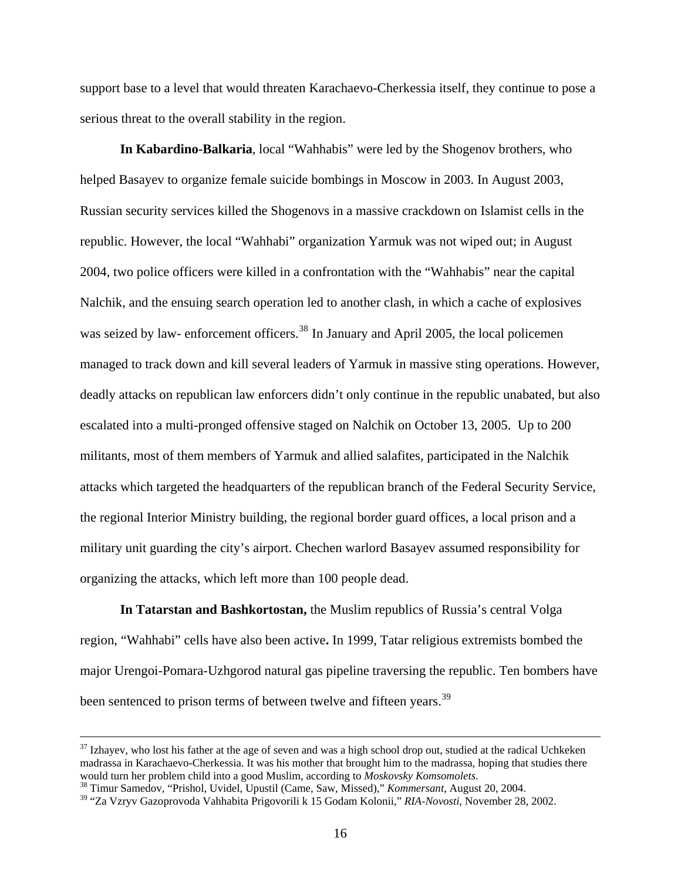support base to a level that would threaten Karachaevo-Cherkessia itself, they continue to pose a serious threat to the overall stability in the region.

 **In Kabardino-Balkaria**, local "Wahhabis" were led by the Shogenov brothers, who helped Basayev to organize female suicide bombings in Moscow in 2003. In August 2003, Russian security services killed the Shogenovs in a massive crackdown on Islamist cells in the republic. However, the local "Wahhabi" organization Yarmuk was not wiped out; in August 2004, two police officers were killed in a confrontation with the "Wahhabis" near the capital Nalchik, and the ensuing search operation led to another clash, in which a cache of explosives was seized by law- enforcement officers.<sup>[38](#page-19-0)</sup> In January and April 2005, the local policemen managed to track down and kill several leaders of Yarmuk in massive sting operations. However, deadly attacks on republican law enforcers didn't only continue in the republic unabated, but also escalated into a multi-pronged offensive staged on Nalchik on October 13, 2005. Up to 200 militants, most of them members of Yarmuk and allied salafites, participated in the Nalchik attacks which targeted the headquarters of the republican branch of the Federal Security Service, the regional Interior Ministry building, the regional border guard offices, a local prison and a military unit guarding the city's airport. Chechen warlord Basayev assumed responsibility for organizing the attacks, which left more than 100 people dead.

 **In Tatarstan and Bashkortostan,** the Muslim republics of Russia's central Volga region, "Wahhabi" cells have also been active**.** In 1999, Tatar religious extremists bombed the major Urengoi-Pomara-Uzhgorod natural gas pipeline traversing the republic. Ten bombers have been sentenced to prison terms of between twelve and fifteen years.<sup>[39](#page-19-1)</sup>

 $37$  Izhayev, who lost his father at the age of seven and was a high school drop out, studied at the radical Uchkeken madrassa in Karachaevo-Cherkessia. It was his mother that brought him to the madrassa, hoping that studies there would turn her problem child into a good Muslim, according to *Moskovsky Komsomolets*. 38 Timur Samedov, "Prishol, Uvidel, Upustil (Came, Saw, Missed)," *Kommersant*, August 20, 2004.

<span id="page-19-1"></span><span id="page-19-0"></span><sup>39 &</sup>quot;Za Vzryv Gazoprovoda Vahhabita Prigovorili k 15 Godam Kolonii," *RIA-Novosti*, November 28, 2002.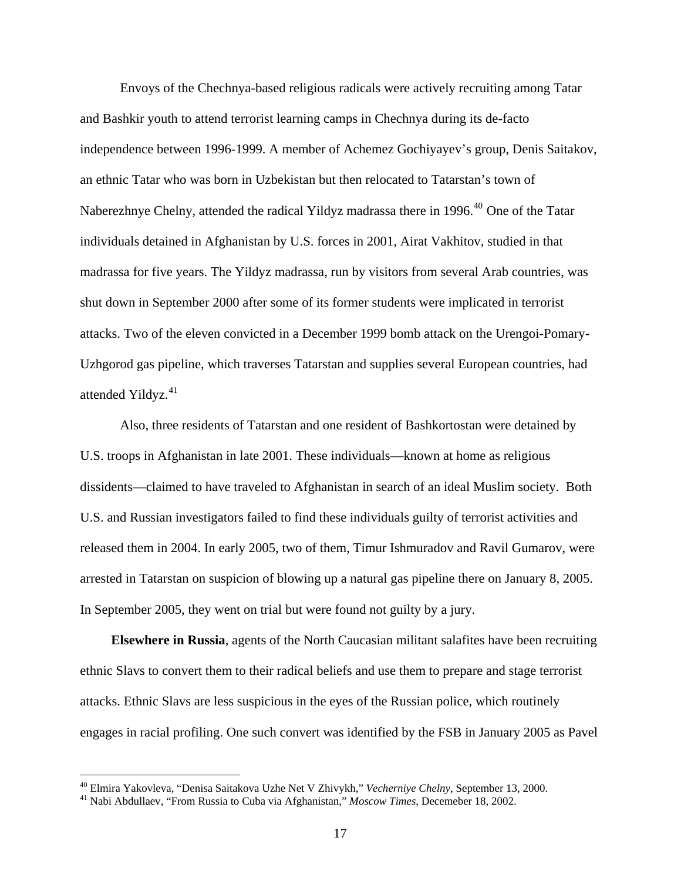Envoys of the Chechnya-based religious radicals were actively recruiting among Tatar and Bashkir youth to attend terrorist learning camps in Chechnya during its de-facto independence between 1996-1999. A member of Achemez Gochiyayev's group, Denis Saitakov, an ethnic Tatar who was born in Uzbekistan but then relocated to Tatarstan's town of Naberezhnye Chelny, attended the radical Yildyz madrassa there in 1996.<sup>[40](#page-20-0)</sup> One of the Tatar individuals detained in Afghanistan by U.S. forces in 2001, Airat Vakhitov, studied in that madrassa for five years. The Yildyz madrassa, run by visitors from several Arab countries, was shut down in September 2000 after some of its former students were implicated in terrorist attacks. Two of the eleven convicted in a December 1999 bomb attack on the Urengoi-Pomary-Uzhgorod gas pipeline, which traverses Tatarstan and supplies several European countries, had attended Yildyz.<sup>[41](#page-20-1)</sup>

 Also, three residents of Tatarstan and one resident of Bashkortostan were detained by U.S. troops in Afghanistan in late 2001. These individuals—known at home as religious dissidents—claimed to have traveled to Afghanistan in search of an ideal Muslim society. Both U.S. and Russian investigators failed to find these individuals guilty of terrorist activities and released them in 2004. In early 2005, two of them, Timur Ishmuradov and Ravil Gumarov, were arrested in Tatarstan on suspicion of blowing up a natural gas pipeline there on January 8, 2005. In September 2005, they went on trial but were found not guilty by a jury.

 **Elsewhere in Russia**, agents of the North Caucasian militant salafites have been recruiting ethnic Slavs to convert them to their radical beliefs and use them to prepare and stage terrorist attacks. Ethnic Slavs are less suspicious in the eyes of the Russian police, which routinely engages in racial profiling. One such convert was identified by the FSB in January 2005 as Pavel

<span id="page-20-1"></span><span id="page-20-0"></span><sup>&</sup>lt;sup>40</sup> Elmira Yakovleva, "Denisa Saitakova Uzhe Net V Zhivykh," *Vecherniye Chelny*, September 13, 2000.<br><sup>41</sup> Nabi Abdullaev, "From Russia to Cuba via Afghanistan," *Moscow Times*, Decemeber 18, 2002.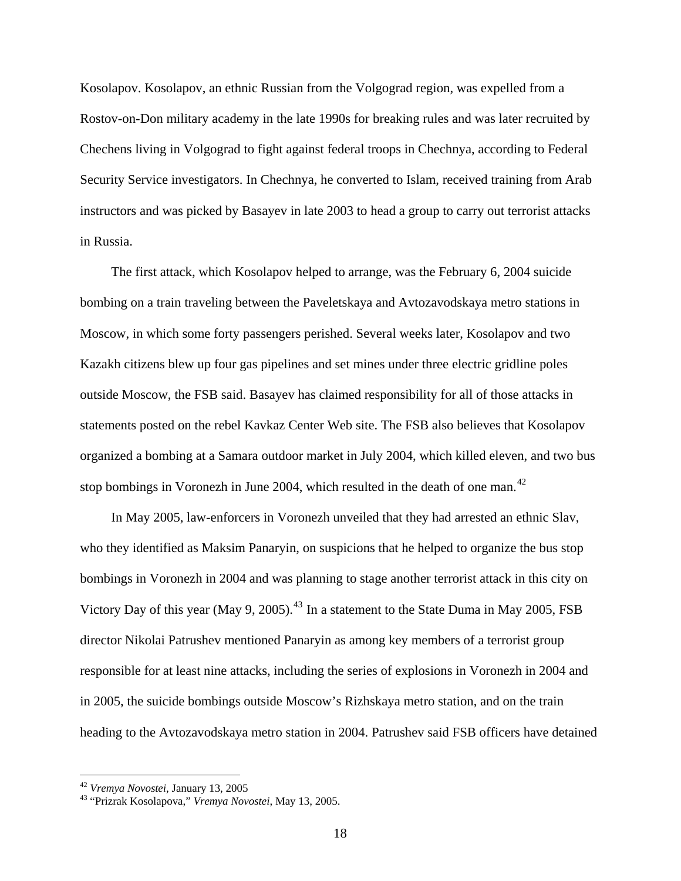Kosolapov. Kosolapov, an ethnic Russian from the Volgograd region, was expelled from a Rostov-on-Don military academy in the late 1990s for breaking rules and was later recruited by Chechens living in Volgograd to fight against federal troops in Chechnya, according to Federal Security Service investigators. In Chechnya, he converted to Islam, received training from Arab instructors and was picked by Basayev in late 2003 to head a group to carry out terrorist attacks in Russia.

 The first attack, which Kosolapov helped to arrange, was the February 6, 2004 suicide bombing on a train traveling between the Paveletskaya and Avtozavodskaya metro stations in Moscow, in which some forty passengers perished. Several weeks later, Kosolapov and two Kazakh citizens blew up four gas pipelines and set mines under three electric gridline poles outside Moscow, the FSB said. Basayev has claimed responsibility for all of those attacks in statements posted on the rebel Kavkaz Center Web site. The FSB also believes that Kosolapov organized a bombing at a Samara outdoor market in July 2004, which killed eleven, and two bus stop bombings in Voronezh in June 2004, which resulted in the death of one man.<sup>[42](#page-21-0)</sup>

 In May 2005, law-enforcers in Voronezh unveiled that they had arrested an ethnic Slav, who they identified as Maksim Panaryin, on suspicions that he helped to organize the bus stop bombings in Voronezh in 2004 and was planning to stage another terrorist attack in this city on Victory Day of this year (May 9, 2005).<sup>[43](#page-21-1)</sup> In a statement to the State Duma in May 2005, FSB director Nikolai Patrushev mentioned Panaryin as among key members of a terrorist group responsible for at least nine attacks, including the series of explosions in Voronezh in 2004 and in 2005, the suicide bombings outside Moscow's Rizhskaya metro station, and on the train heading to the Avtozavodskaya metro station in 2004. Patrushev said FSB officers have detained

<span id="page-21-1"></span><span id="page-21-0"></span>

<sup>&</sup>lt;sup>42</sup> *Vremya Novostei,* January 13, 2005<br><sup>43</sup> "Prizrak Kosolapova," *Vremya Novostei,* May 13, 2005.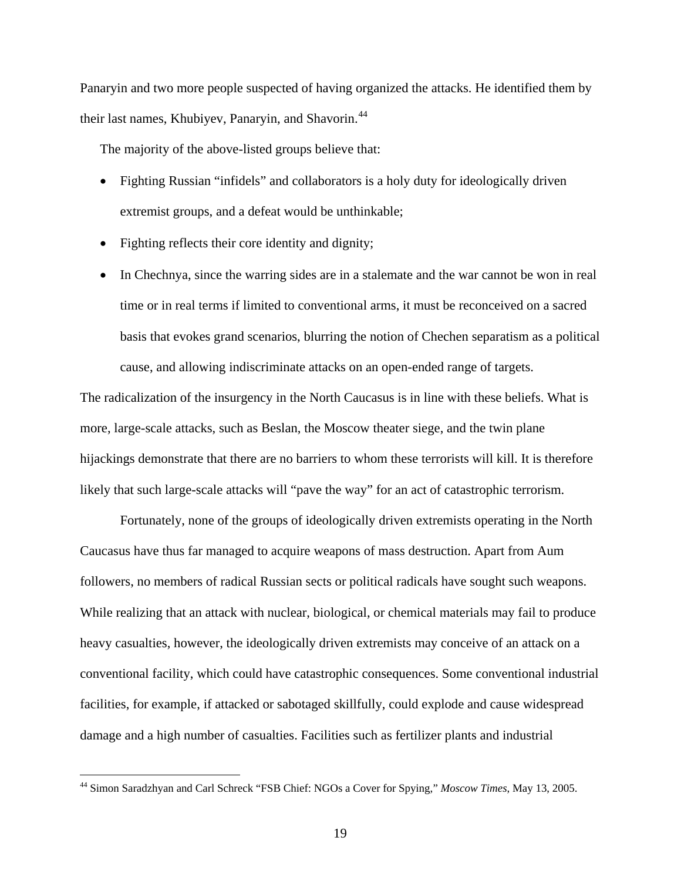Panaryin and two more people suspected of having organized the attacks. He identified them by their last names, Khubiyev, Panaryin, and Shavorin.<sup>[44](#page-22-0)</sup>

The majority of the above-listed groups believe that:

- Fighting Russian "infidels" and collaborators is a holy duty for ideologically driven extremist groups, and a defeat would be unthinkable;
- Fighting reflects their core identity and dignity;
- In Chechnya, since the warring sides are in a stalemate and the war cannot be won in real time or in real terms if limited to conventional arms, it must be reconceived on a sacred basis that evokes grand scenarios, blurring the notion of Chechen separatism as a political cause, and allowing indiscriminate attacks on an open-ended range of targets.

The radicalization of the insurgency in the North Caucasus is in line with these beliefs. What is more, large-scale attacks, such as Beslan, the Moscow theater siege, and the twin plane hijackings demonstrate that there are no barriers to whom these terrorists will kill. It is therefore likely that such large-scale attacks will "pave the way" for an act of catastrophic terrorism.

 Fortunately, none of the groups of ideologically driven extremists operating in the North Caucasus have thus far managed to acquire weapons of mass destruction. Apart from Aum followers, no members of radical Russian sects or political radicals have sought such weapons. While realizing that an attack with nuclear, biological, or chemical materials may fail to produce heavy casualties, however, the ideologically driven extremists may conceive of an attack on a conventional facility, which could have catastrophic consequences. Some conventional industrial facilities, for example, if attacked or sabotaged skillfully, could explode and cause widespread damage and a high number of casualties. Facilities such as fertilizer plants and industrial

<span id="page-22-0"></span><sup>44</sup> Simon Saradzhyan and Carl Schreck "FSB Chief: NGOs a Cover for Spying," *Moscow Times*, May 13, 2005.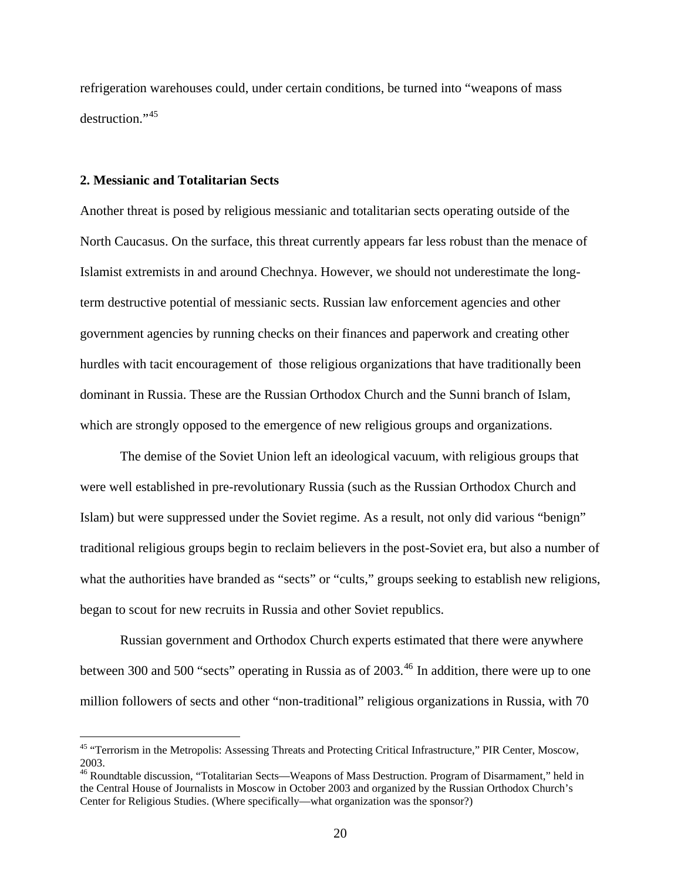refrigeration warehouses could, under certain conditions, be turned into "weapons of mass destruction."<sup>[45](#page-23-0)</sup>

## **2. Messianic and Totalitarian Sects**

i<br>Li

Another threat is posed by religious messianic and totalitarian sects operating outside of the North Caucasus. On the surface, this threat currently appears far less robust than the menace of Islamist extremists in and around Chechnya. However, we should not underestimate the longterm destructive potential of messianic sects. Russian law enforcement agencies and other government agencies by running checks on their finances and paperwork and creating other hurdles with tacit encouragement of those religious organizations that have traditionally been dominant in Russia. These are the Russian Orthodox Church and the Sunni branch of Islam, which are strongly opposed to the emergence of new religious groups and organizations.

 The demise of the Soviet Union left an ideological vacuum, with religious groups that were well established in pre-revolutionary Russia (such as the Russian Orthodox Church and Islam) but were suppressed under the Soviet regime. As a result, not only did various "benign" traditional religious groups begin to reclaim believers in the post-Soviet era, but also a number of what the authorities have branded as "sects" or "cults," groups seeking to establish new religions, began to scout for new recruits in Russia and other Soviet republics.

 Russian government and Orthodox Church experts estimated that there were anywhere between 300 and 500 "sects" operating in Russia as of 2003.<sup>[46](#page-23-1)</sup> In addition, there were up to one million followers of sects and other "non-traditional" religious organizations in Russia, with 70

<span id="page-23-0"></span><sup>&</sup>lt;sup>45</sup> "Terrorism in the Metropolis: Assessing Threats and Protecting Critical Infrastructure," PIR Center, Moscow, 2003.

<span id="page-23-1"></span><sup>46</sup> Roundtable discussion, "Totalitarian Sects—Weapons of Mass Destruction. Program of Disarmament," held in the Central House of Journalists in Moscow in October 2003 and organized by the Russian Orthodox Church's Center for Religious Studies. (Where specifically—what organization was the sponsor?)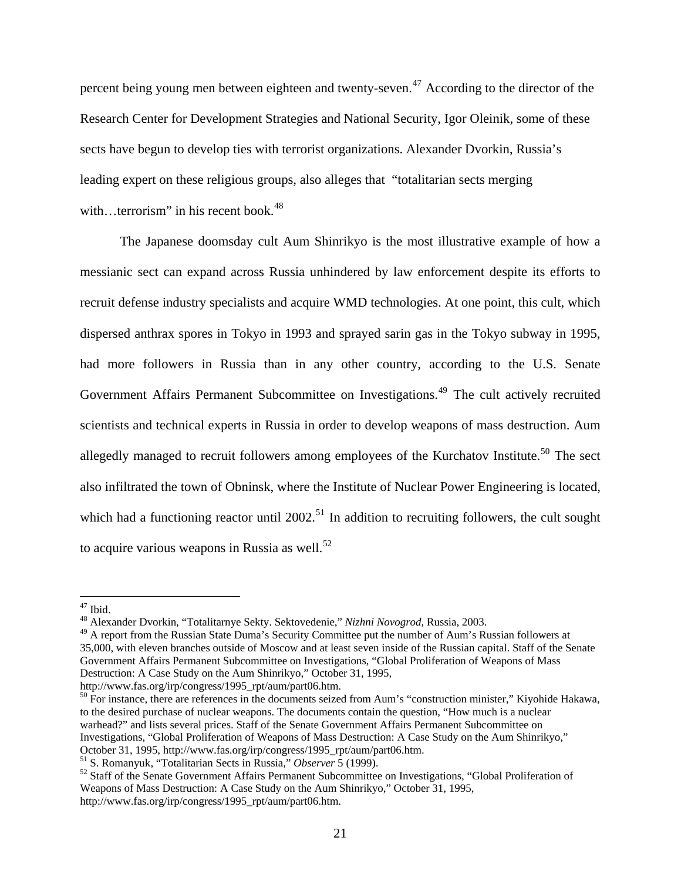percent being young men between eighteen and twenty-seven.<sup>[47](#page-24-0)</sup> According to the director of the Research Center for Development Strategies and National Security, Igor Oleinik, some of these sects have begun to develop ties with terrorist organizations. Alexander Dvorkin, Russia's leading expert on these religious groups, also alleges that "totalitarian sects merging with...terrorism" in his recent book.<sup>[48](#page-24-1)</sup>

 The Japanese doomsday cult Aum Shinrikyo is the most illustrative example of how a messianic sect can expand across Russia unhindered by law enforcement despite its efforts to recruit defense industry specialists and acquire WMD technologies. At one point, this cult, which dispersed anthrax spores in Tokyo in 1993 and sprayed sarin gas in the Tokyo subway in 1995, had more followers in Russia than in any other country, according to the U.S. Senate Government Affairs Permanent Subcommittee on Investigations.<sup>[49](#page-24-2)</sup> The cult actively recruited scientists and technical experts in Russia in order to develop weapons of mass destruction. Aum allegedly managed to recruit followers among employees of the Kurchatov Institute.<sup>[50](#page-24-3)</sup> The sect also infiltrated the town of Obninsk, where the Institute of Nuclear Power Engineering is located, which had a functioning reactor until  $2002$ <sup>[51](#page-24-4)</sup>. In addition to recruiting followers, the cult sought to acquire various weapons in Russia as well. $52$ 

i<br>Li

<span id="page-24-3"></span> $h_{\text{tot}}$  For instance, there are references in the documents seized from Aum's "construction minister," Kiyohide Hakawa, to the desired purchase of nuclear weapons. The documents contain the question, "How much is a nuclear warhead?" and lists several prices. Staff of the Senate Government Affairs Permanent Subcommittee on Investigations, "Global Proliferation of Weapons of Mass Destruction: A Case Study on the Aum Shinrikyo," October 31, 1995, [http://www.fas.org/irp/congress/1995\\_rpt/aum/part06.htm](http://www.fas.org/irp/congress/1995_rpt/aum/part06.htm).<br><sup>51</sup> S. Romanyuk, "Totalitarian Sects in Russia," *Observer* 5 (1999).<br><sup>52</sup> Staff of the Senate Government Affairs Permanent Subcommittee on Invest

<span id="page-24-0"></span> $47$  Ibid.

<span id="page-24-1"></span><sup>48</sup> Alexander Dvorkin, "Totalitarnye Sekty. Sektovedenie," *Nizhni Novogrod*, Russia, 2003.

<span id="page-24-2"></span><sup>&</sup>lt;sup>49</sup> A report from the Russian State Duma's Security Committee put the number of Aum's Russian followers at 35,000, with eleven branches outside of Moscow and at least seven inside of the Russian capital. Staff of the Senate Government Affairs Permanent Subcommittee on Investigations, "Global Proliferation of Weapons of Mass Destruction: A Case Study on the Aum Shinrikyo," October 31, 1995, http://www.fas.org/irp/congress/1995 rpt/aum/part06.htm.

<span id="page-24-4"></span>

<span id="page-24-5"></span>Weapons of Mass Destruction: A Case Study on the Aum Shinrikyo," October 31, 1995, [http://www.fas.org/irp/congress/1995\\_rpt/aum/part06.htm](http://www.fas.org/irp/congress/1995_rpt/aum/part06.htm).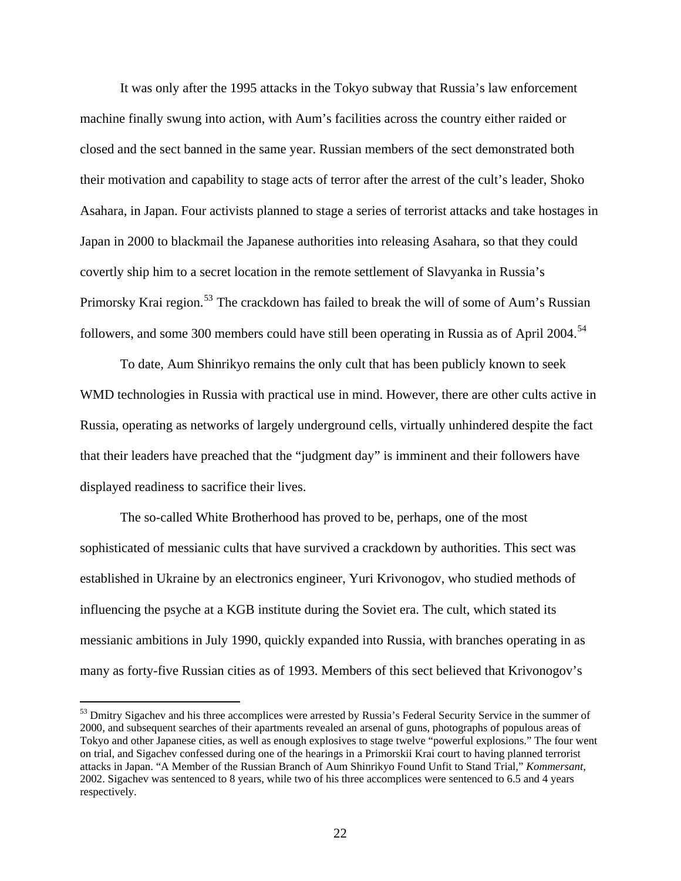It was only after the 1995 attacks in the Tokyo subway that Russia's law enforcement machine finally swung into action, with Aum's facilities across the country either raided or closed and the sect banned in the same year. Russian members of the sect demonstrated both their motivation and capability to stage acts of terror after the arrest of the cult's leader, Shoko Asahara, in Japan. Four activists planned to stage a series of terrorist attacks and take hostages in Japan in 2000 to blackmail the Japanese authorities into releasing Asahara, so that they could covertly ship him to a secret location in the remote settlement of Slavyanka in Russia's Primorsky Krai region.<sup>[53](#page-25-0)</sup> The crackdown has failed to break the will of some of Aum's Russian followers, and some 300 members could have still been operating in Russia as of April 2004.<sup>[54](#page-25-1)</sup>

 To date, Aum Shinrikyo remains the only cult that has been publicly known to seek WMD technologies in Russia with practical use in mind. However, there are other cults active in Russia, operating as networks of largely underground cells, virtually unhindered despite the fact that their leaders have preached that the "judgment day" is imminent and their followers have displayed readiness to sacrifice their lives.

 The so-called White Brotherhood has proved to be, perhaps, one of the most sophisticated of messianic cults that have survived a crackdown by authorities. This sect was established in Ukraine by an electronics engineer, Yuri Krivonogov, who studied methods of influencing the psyche at a KGB institute during the Soviet era. The cult, which stated its messianic ambitions in July 1990, quickly expanded into Russia, with branches operating in as many as forty-five Russian cities as of 1993. Members of this sect believed that Krivonogov's

 $\overline{\phantom{0}}$ 

<span id="page-25-1"></span><span id="page-25-0"></span><sup>&</sup>lt;sup>53</sup> Dmitry Sigachev and his three accomplices were arrested by Russia's Federal Security Service in the summer of 2000, and subsequent searches of their apartments revealed an arsenal of guns, photographs of populous areas of Tokyo and other Japanese cities, as well as enough explosives to stage twelve "powerful explosions." The four went on trial, and Sigachev confessed during one of the hearings in a Primorskii Krai court to having planned terrorist attacks in Japan. "A Member of the Russian Branch of Aum Shinrikyo Found Unfit to Stand Trial," *Kommersant*, 2002. Sigachev was sentenced to 8 years, while two of his three accomplices were sentenced to 6.5 and 4 years respectively.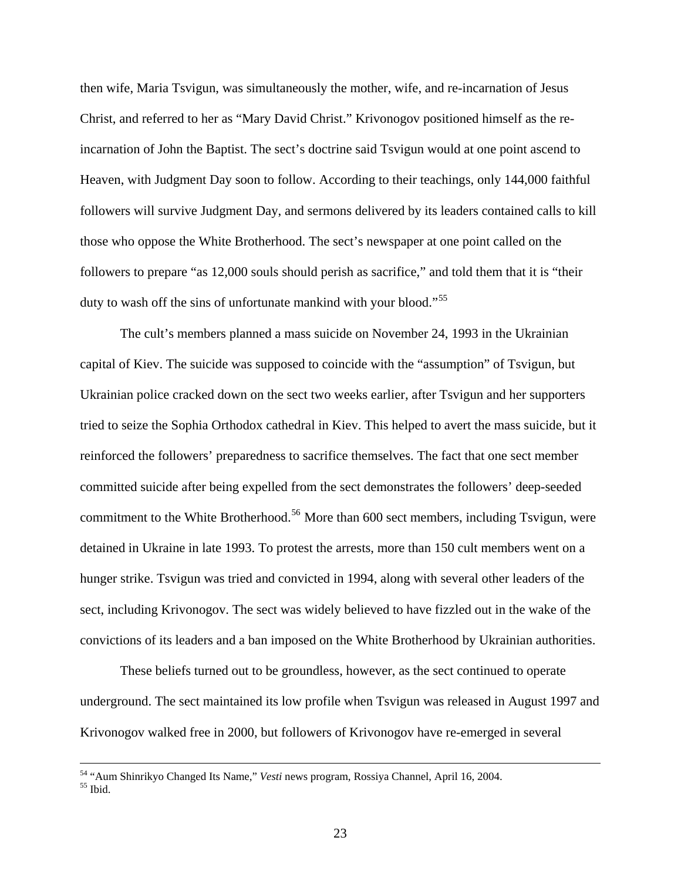then wife, Maria Tsvigun, was simultaneously the mother, wife, and re-incarnation of Jesus Christ, and referred to her as "Mary David Christ." Krivonogov positioned himself as the reincarnation of John the Baptist. The sect's doctrine said Tsvigun would at one point ascend to Heaven, with Judgment Day soon to follow. According to their teachings, only 144,000 faithful followers will survive Judgment Day, and sermons delivered by its leaders contained calls to kill those who oppose the White Brotherhood. The sect's newspaper at one point called on the followers to prepare "as 12,000 souls should perish as sacrifice," and told them that it is "their duty to wash off the sins of unfortunate mankind with your blood."<sup>[55](#page-26-0)</sup>

 The cult's members planned a mass suicide on November 24, 1993 in the Ukrainian capital of Kiev. The suicide was supposed to coincide with the "assumption" of Tsvigun, but Ukrainian police cracked down on the sect two weeks earlier, after Tsvigun and her supporters tried to seize the Sophia Orthodox cathedral in Kiev. This helped to avert the mass suicide, but it reinforced the followers' preparedness to sacrifice themselves. The fact that one sect member committed suicide after being expelled from the sect demonstrates the followers' deep-seeded commitment to the White Brotherhood.<sup>[56](#page-26-1)</sup> More than 600 sect members, including Tsvigun, were detained in Ukraine in late 1993. To protest the arrests, more than 150 cult members went on a hunger strike. Tsvigun was tried and convicted in 1994, along with several other leaders of the sect, including Krivonogov. The sect was widely believed to have fizzled out in the wake of the convictions of its leaders and a ban imposed on the White Brotherhood by Ukrainian authorities.

<span id="page-26-1"></span> These beliefs turned out to be groundless, however, as the sect continued to operate underground. The sect maintained its low profile when Tsvigun was released in August 1997 and Krivonogov walked free in 2000, but followers of Krivonogov have re-emerged in several

<span id="page-26-0"></span><sup>&</sup>lt;sup>54</sup> "Aum Shinrikyo Changed Its Name," *Vesti* news program, Rossiya Channel, April 16, 2004.<br><sup>55</sup> Ibid.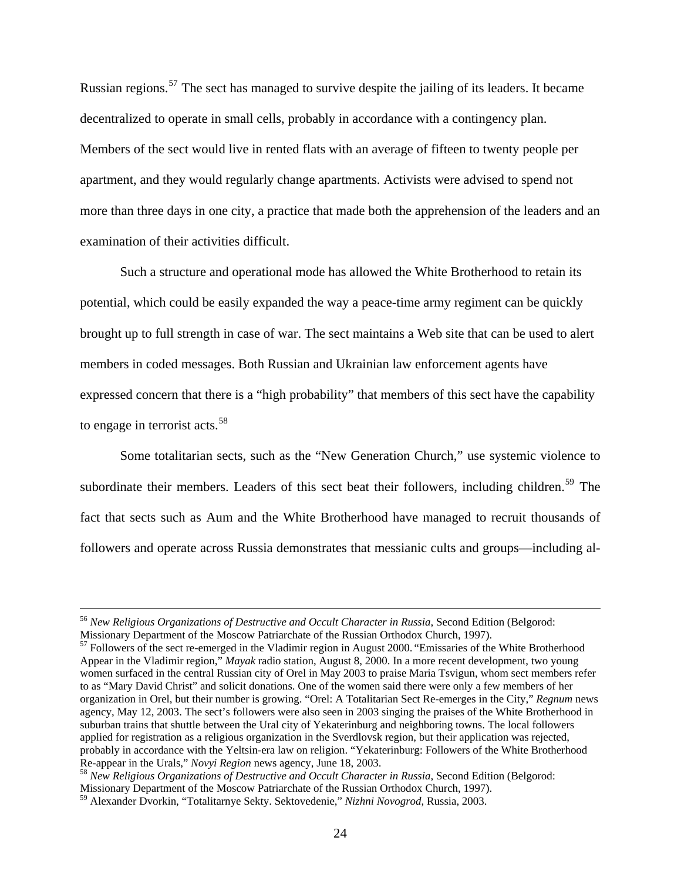Russian regions.[57](#page-27-0) The sect has managed to survive despite the jailing of its leaders. It became decentralized to operate in small cells, probably in accordance with a contingency plan. Members of the sect would live in rented flats with an average of fifteen to twenty people per apartment, and they would regularly change apartments. Activists were advised to spend not more than three days in one city, a practice that made both the apprehension of the leaders and an examination of their activities difficult.

 Such a structure and operational mode has allowed the White Brotherhood to retain its potential, which could be easily expanded the way a peace-time army regiment can be quickly brought up to full strength in case of war. The sect maintains a Web site that can be used to alert members in coded messages. Both Russian and Ukrainian law enforcement agents have expressed concern that there is a "high probability" that members of this sect have the capability to engage in terrorist acts.<sup>[58](#page-27-1)</sup>

 Some totalitarian sects, such as the "New Generation Church," use systemic violence to subordinate their members. Leaders of this sect beat their followers, including children.<sup>[59](#page-27-2)</sup> The fact that sects such as Aum and the White Brotherhood have managed to recruit thousands of followers and operate across Russia demonstrates that messianic cults and groups—including al-

<sup>56</sup> *New Religious Organizations of Destructive and Occult Character in Russia*, Second Edition (Belgorod: Missionary Department of the Moscow Patriarchate of the Russian Orthodox Church, 1997).

<span id="page-27-0"></span> $57$  Followers of the sect re-emerged in the Vladimir region in August 2000. "Emissaries of the White Brotherhood Appear in the Vladimir region," *Mayak* radio station, August 8, 2000. In a more recent development, two young women surfaced in the central Russian city of Orel in May 2003 to praise Maria Tsvigun, whom sect members refer to as "Mary David Christ" and solicit donations. One of the women said there were only a few members of her organization in Orel, but their number is growing. "Orel: A Totalitarian Sect Re-emerges in the City," *Regnum* news agency, May 12, 2003. The sect's followers were also seen in 2003 singing the praises of the White Brotherhood in suburban trains that shuttle between the Ural city of Yekaterinburg and neighboring towns. The local followers applied for registration as a religious organization in the Sverdlovsk region, but their application was rejected, probably in accordance with the Yeltsin-era law on religion. "Yekaterinburg: Followers of the White Brotherhood Re-appear in the Urals," Novyi Region news agency, June 18, 2003.

<span id="page-27-1"></span><sup>&</sup>lt;sup>58</sup> *New Religious Organizations of Destructive and Occult Character in Russia*, Second Edition (Belgorod: Missionary Department of the Moscow Patriarchate of the Russian Orthodox Church, 1997).

<span id="page-27-2"></span><sup>59</sup> Alexander Dvorkin, "Totalitarnye Sekty. Sektovedenie," *Nizhni Novogrod*, Russia, 2003.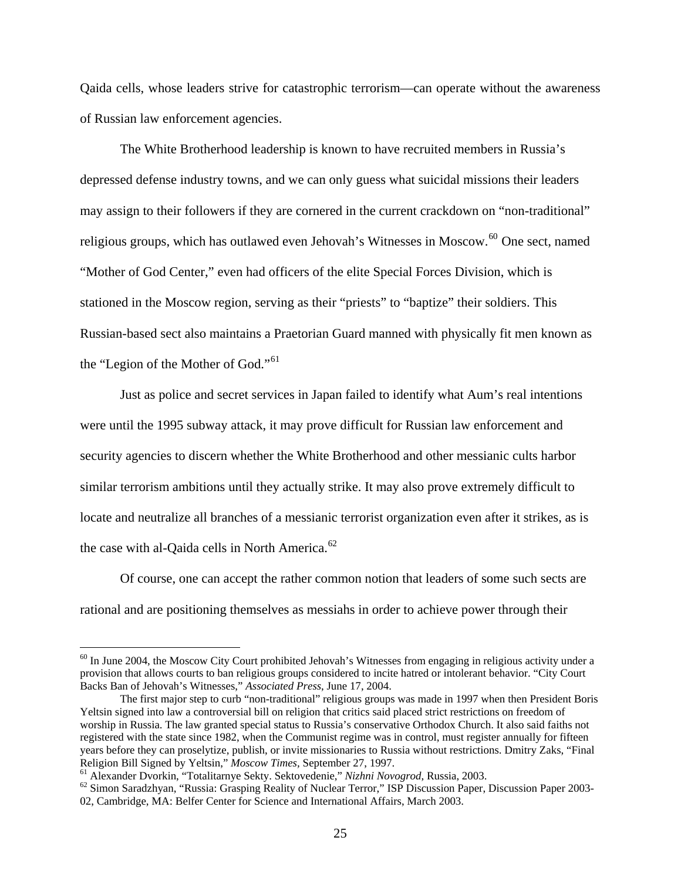Qaida cells, whose leaders strive for catastrophic terrorism—can operate without the awareness of Russian law enforcement agencies.

 The White Brotherhood leadership is known to have recruited members in Russia's depressed defense industry towns, and we can only guess what suicidal missions their leaders may assign to their followers if they are cornered in the current crackdown on "non-traditional" religious groups, which has outlawed even Jehovah's Witnesses in Moscow.<sup>[60](#page-28-0)</sup> One sect, named "Mother of God Center," even had officers of the elite Special Forces Division, which is stationed in the Moscow region, serving as their "priests" to "baptize" their soldiers. This Russian-based sect also maintains a Praetorian Guard manned with physically fit men known as the "Legion of the Mother of God."<sup>[61](#page-28-1)</sup>

 Just as police and secret services in Japan failed to identify what Aum's real intentions were until the 1995 subway attack, it may prove difficult for Russian law enforcement and security agencies to discern whether the White Brotherhood and other messianic cults harbor similar terrorism ambitions until they actually strike. It may also prove extremely difficult to locate and neutralize all branches of a messianic terrorist organization even after it strikes, as is the case with al-Qaida cells in North America. $62$ 

 Of course, one can accept the rather common notion that leaders of some such sects are rational and are positioning themselves as messiahs in order to achieve power through their

<span id="page-28-0"></span> $60$  In June 2004, the Moscow City Court prohibited Jehovah's Witnesses from engaging in religious activity under a provision that allows courts to ban religious groups considered to incite hatred or intolerant behavior. "City Court Backs Ban of Jehovah's Witnesses," *Associated Press*, June 17, 2004.

The first major step to curb "non-traditional" religious groups was made in 1997 when then President Boris Yeltsin signed into law a controversial bill on religion that critics said placed strict restrictions on freedom of worship in Russia. The law granted special status to Russia's conservative Orthodox Church. It also said faiths not registered with the state since 1982, when the Communist regime was in control, must register annually for fifteen years before they can proselytize, publish, or invite missionaries to Russia without restrictions. Dmitry Zaks, "Final Religion Bill Signed by Yeltsin," *Moscow Times*, September 27, 1997.

<span id="page-28-2"></span><span id="page-28-1"></span><sup>&</sup>lt;sup>61</sup> Alexander Dvorkin, "Totalitarnye Sekty. Sektovedenie," Nizhni Novogrod, Russia, 2003.<br><sup>62</sup> Simon Saradzhyan, "Russia: Grasping Reality of Nuclear Terror," ISP Discussion Paper, Discussion Paper 2003-02, Cambridge, MA: Belfer Center for Science and International Affairs, March 2003.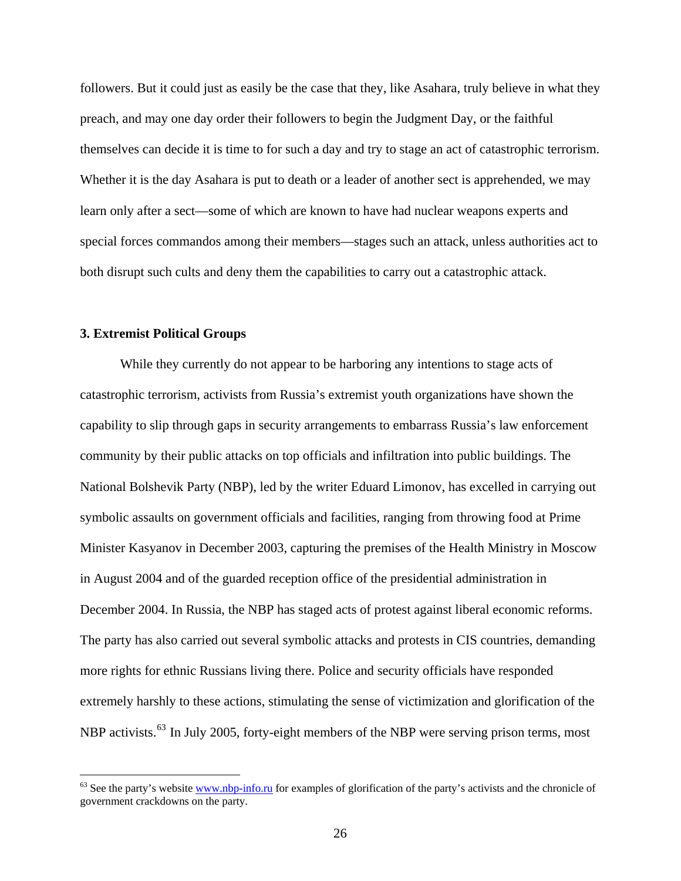followers. But it could just as easily be the case that they, like Asahara, truly believe in what they preach, and may one day order their followers to begin the Judgment Day, or the faithful themselves can decide it is time to for such a day and try to stage an act of catastrophic terrorism. Whether it is the day Asahara is put to death or a leader of another sect is apprehended, we may learn only after a sect—some of which are known to have had nuclear weapons experts and special forces commandos among their members—stages such an attack, unless authorities act to both disrupt such cults and deny them the capabilities to carry out a catastrophic attack.

## **3. Extremist Political Groups**

i<br>Li

 While they currently do not appear to be harboring any intentions to stage acts of catastrophic terrorism, activists from Russia's extremist youth organizations have shown the capability to slip through gaps in security arrangements to embarrass Russia's law enforcement community by their public attacks on top officials and infiltration into public buildings. The National Bolshevik Party (NBP), led by the writer Eduard Limonov, has excelled in carrying out symbolic assaults on government officials and facilities, ranging from throwing food at Prime Minister Kasyanov in December 2003, capturing the premises of the Health Ministry in Moscow in August 2004 and of the guarded reception office of the presidential administration in December 2004. In Russia, the NBP has staged acts of protest against liberal economic reforms. The party has also carried out several symbolic attacks and protests in CIS countries, demanding more rights for ethnic Russians living there. Police and security officials have responded extremely harshly to these actions, stimulating the sense of victimization and glorification of the NBP activists.<sup>[63](#page-29-0)</sup> In July 2005, forty-eight members of the NBP were serving prison terms, most

<span id="page-29-0"></span> $63$  See the party's website  $\frac{www.nbp-info.ru}{m}$  $\frac{www.nbp-info.ru}{m}$  $\frac{www.nbp-info.ru}{m}$  for examples of glorification of the party's activists and the chronicle of government crackdowns on the party.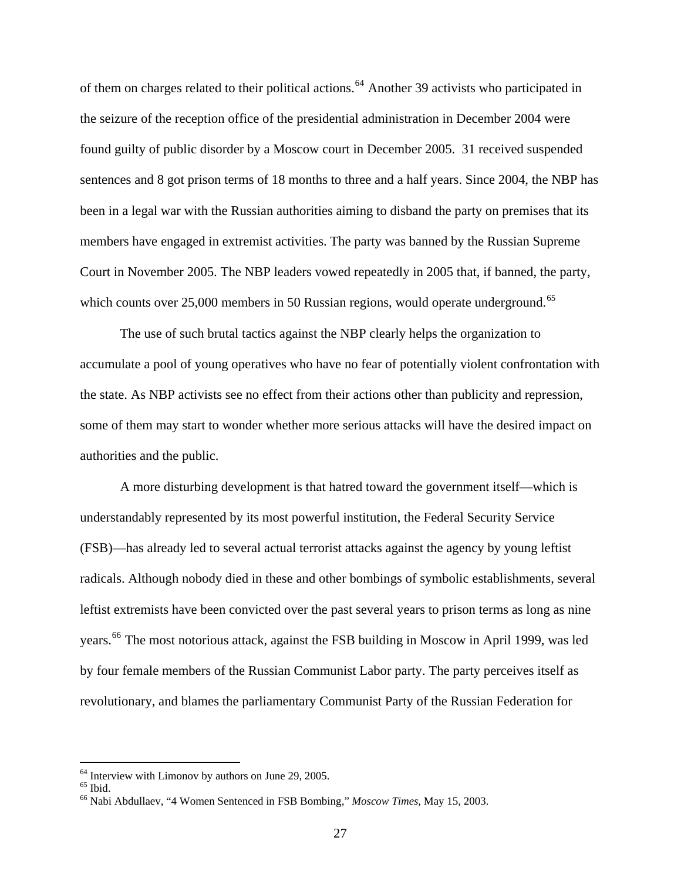of them on charges related to their political actions.<sup>[64](#page-30-0)</sup> Another 39 activists who participated in the seizure of the reception office of the presidential administration in December 2004 were found guilty of public disorder by a Moscow court in December 2005. 31 received suspended sentences and 8 got prison terms of 18 months to three and a half years. Since 2004, the NBP has been in a legal war with the Russian authorities aiming to disband the party on premises that its members have engaged in extremist activities. The party was banned by the Russian Supreme Court in November 2005. The NBP leaders vowed repeatedly in 2005 that, if banned, the party, which counts over 25,000 members in 50 Russian regions, would operate underground.<sup>[65](#page-30-1)</sup>

 The use of such brutal tactics against the NBP clearly helps the organization to accumulate a pool of young operatives who have no fear of potentially violent confrontation with the state. As NBP activists see no effect from their actions other than publicity and repression, some of them may start to wonder whether more serious attacks will have the desired impact on authorities and the public.

 A more disturbing development is that hatred toward the government itself—which is understandably represented by its most powerful institution, the Federal Security Service (FSB)—has already led to several actual terrorist attacks against the agency by young leftist radicals. Although nobody died in these and other bombings of symbolic establishments, several leftist extremists have been convicted over the past several years to prison terms as long as nine years.[66](#page-30-2) The most notorious attack, against the FSB building in Moscow in April 1999, was led by four female members of the Russian Communist Labor party. The party perceives itself as revolutionary, and blames the parliamentary Communist Party of the Russian Federation for

 $<sup>64</sup>$  Interview with Limonov by authors on June 29, 2005.</sup>

<span id="page-30-2"></span><span id="page-30-1"></span><span id="page-30-0"></span> $^{\rm 65}$  Ibid.

<sup>66</sup> Nabi Abdullaev, "4 Women Sentenced in FSB Bombing," *Moscow Times*, May 15, 2003.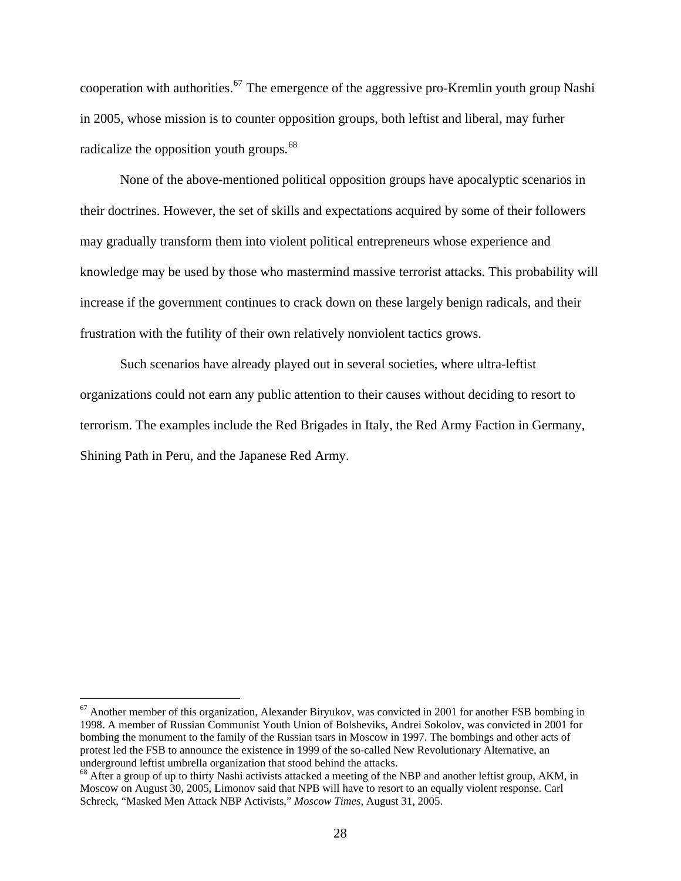cooperation with authorities.<sup>[67](#page-31-0)</sup> The emergence of the aggressive pro-Kremlin youth group Nashi in 2005, whose mission is to counter opposition groups, both leftist and liberal, may furher radicalize the opposition youth groups.<sup>[68](#page-31-1)</sup>

 None of the above-mentioned political opposition groups have apocalyptic scenarios in their doctrines. However, the set of skills and expectations acquired by some of their followers may gradually transform them into violent political entrepreneurs whose experience and knowledge may be used by those who mastermind massive terrorist attacks. This probability will increase if the government continues to crack down on these largely benign radicals, and their frustration with the futility of their own relatively nonviolent tactics grows.

 Such scenarios have already played out in several societies, where ultra-leftist organizations could not earn any public attention to their causes without deciding to resort to terrorism. The examples include the Red Brigades in Italy, the Red Army Faction in Germany, Shining Path in Peru, and the Japanese Red Army.

<span id="page-31-0"></span> $67$  Another member of this organization, Alexander Biryukov, was convicted in 2001 for another FSB bombing in 1998. A member of Russian Communist Youth Union of Bolsheviks, Andrei Sokolov, was convicted in 2001 for bombing the monument to the family of the Russian tsars in Moscow in 1997. The bombings and other acts of protest led the FSB to announce the existence in 1999 of the so-called New Revolutionary Alternative, an underground leftist umbrella organization that stood behind the attacks.

<span id="page-31-1"></span><sup>&</sup>lt;sup>68</sup> After a group of up to thirty Nashi activists attacked a meeting of the NBP and another leftist group, AKM, in Moscow on August 30, 2005, Limonov said that NPB will have to resort to an equally violent response. Carl Schreck, "Masked Men Attack NBP Activists," *Moscow Times*, August 31, 2005.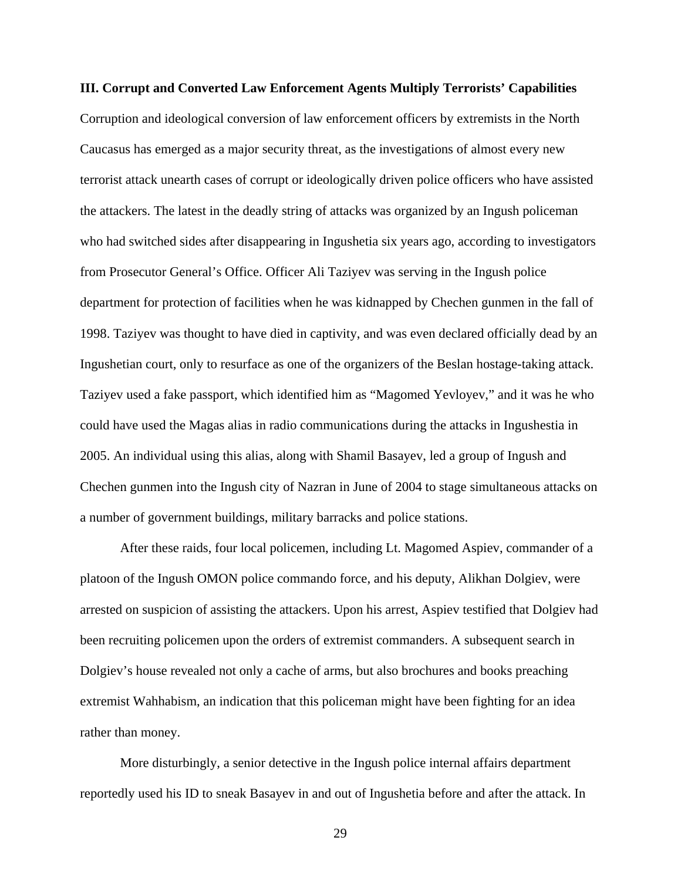**III. Corrupt and Converted Law Enforcement Agents Multiply Terrorists' Capabilities**  Corruption and ideological conversion of law enforcement officers by extremists in the North Caucasus has emerged as a major security threat, as the investigations of almost every new terrorist attack unearth cases of corrupt or ideologically driven police officers who have assisted the attackers. The latest in the deadly string of attacks was organized by an Ingush policeman who had switched sides after disappearing in Ingushetia six years ago, according to investigators from Prosecutor General's Office. Officer Ali Taziyev was serving in the Ingush police department for protection of facilities when he was kidnapped by Chechen gunmen in the fall of 1998. Taziyev was thought to have died in captivity, and was even declared officially dead by an Ingushetian court, only to resurface as one of the organizers of the Beslan hostage-taking attack. Taziyev used a fake passport, which identified him as "Magomed Yevloyev," and it was he who could have used the Magas alias in radio communications during the attacks in Ingushestia in 2005. An individual using this alias, along with Shamil Basayev, led a group of Ingush and Chechen gunmen into the Ingush city of Nazran in June of 2004 to stage simultaneous attacks on a number of government buildings, military barracks and police stations.

 After these raids, four local policemen, including Lt. Magomed Aspiev, commander of a platoon of the Ingush OMON police commando force, and his deputy, Alikhan Dolgiev, were arrested on suspicion of assisting the attackers. Upon his arrest, Aspiev testified that Dolgiev had been recruiting policemen upon the orders of extremist commanders. A subsequent search in Dolgiev's house revealed not only a cache of arms, but also brochures and books preaching extremist Wahhabism, an indication that this policeman might have been fighting for an idea rather than money.

 More disturbingly, a senior detective in the Ingush police internal affairs department reportedly used his ID to sneak Basayev in and out of Ingushetia before and after the attack. In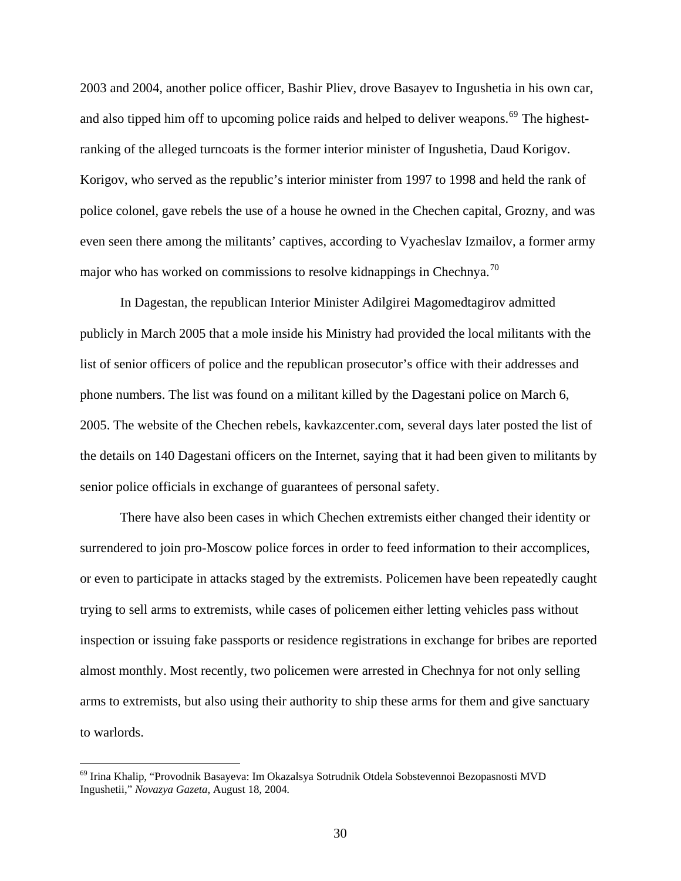2003 and 2004, another police officer, Bashir Pliev, drove Basayev to Ingushetia in his own car, and also tipped him off to upcoming police raids and helped to deliver weapons.<sup>[69](#page-33-0)</sup> The highestranking of the alleged turncoats is the former interior minister of Ingushetia, Daud Korigov. Korigov, who served as the republic's interior minister from 1997 to 1998 and held the rank of police colonel, gave rebels the use of a house he owned in the Chechen capital, Grozny, and was even seen there among the militants' captives, according to Vyacheslav Izmailov, a former army major who has worked on commissions to resolve kidnappings in Chechnya.<sup>[70](#page-33-1)</sup>

 In Dagestan, the republican Interior Minister Adilgirei Magomedtagirov admitted publicly in March 2005 that a mole inside his Ministry had provided the local militants with the list of senior officers of police and the republican prosecutor's office with their addresses and phone numbers. The list was found on a militant killed by the Dagestani police on March 6, 2005. The website of the Chechen rebels, kavkazcenter.com, several days later posted the list of the details on 140 Dagestani officers on the Internet, saying that it had been given to militants by senior police officials in exchange of guarantees of personal safety.

 There have also been cases in which Chechen extremists either changed their identity or surrendered to join pro-Moscow police forces in order to feed information to their accomplices, or even to participate in attacks staged by the extremists. Policemen have been repeatedly caught trying to sell arms to extremists, while cases of policemen either letting vehicles pass without inspection or issuing fake passports or residence registrations in exchange for bribes are reported almost monthly. Most recently, two policemen were arrested in Chechnya for not only selling arms to extremists, but also using their authority to ship these arms for them and give sanctuary to warlords.

<span id="page-33-1"></span><span id="page-33-0"></span><sup>&</sup>lt;sup>69</sup> Irina Khalip, "Provodnik Basayeva: Im Okazalsya Sotrudnik Otdela Sobstevennoi Bezopasnosti MVD Ingushetii," *Novazya Gazeta*, August 18, 2004*.*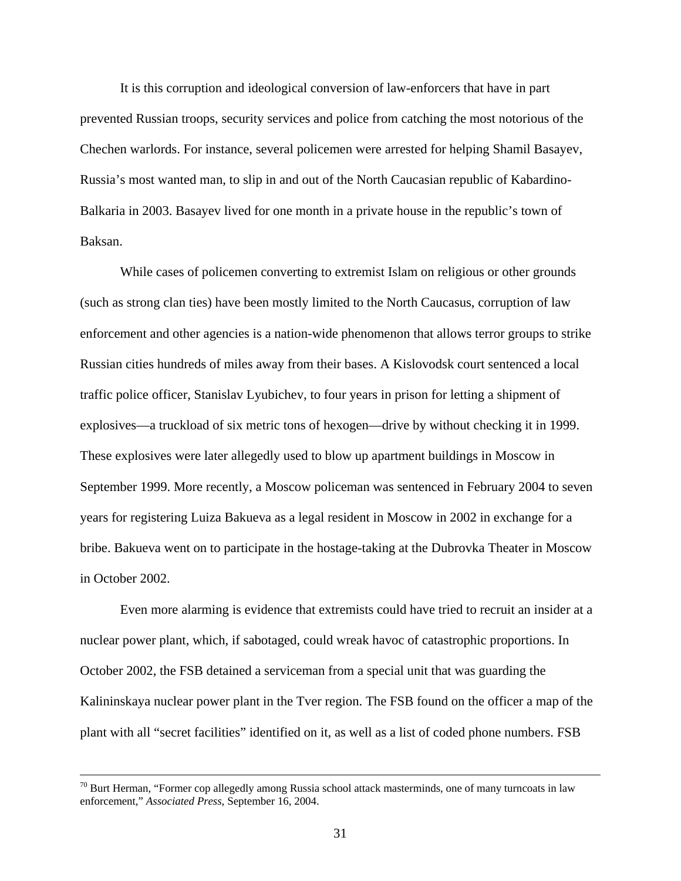It is this corruption and ideological conversion of law-enforcers that have in part prevented Russian troops, security services and police from catching the most notorious of the Chechen warlords. For instance, several policemen were arrested for helping Shamil Basayev, Russia's most wanted man, to slip in and out of the North Caucasian republic of Kabardino-Balkaria in 2003. Basayev lived for one month in a private house in the republic's town of Baksan.

 While cases of policemen converting to extremist Islam on religious or other grounds (such as strong clan ties) have been mostly limited to the North Caucasus, corruption of law enforcement and other agencies is a nation-wide phenomenon that allows terror groups to strike Russian cities hundreds of miles away from their bases. A Kislovodsk court sentenced a local traffic police officer, Stanislav Lyubichev, to four years in prison for letting a shipment of explosives—a truckload of six metric tons of hexogen—drive by without checking it in 1999. These explosives were later allegedly used to blow up apartment buildings in Moscow in September 1999. More recently, a Moscow policeman was sentenced in February 2004 to seven years for registering Luiza Bakueva as a legal resident in Moscow in 2002 in exchange for a bribe. Bakueva went on to participate in the hostage-taking at the Dubrovka Theater in Moscow in October 2002.

 Even more alarming is evidence that extremists could have tried to recruit an insider at a nuclear power plant, which, if sabotaged, could wreak havoc of catastrophic proportions. In October 2002, the FSB detained a serviceman from a special unit that was guarding the Kalininskaya nuclear power plant in the Tver region. The FSB found on the officer a map of the plant with all "secret facilities" identified on it, as well as a list of coded phone numbers. FSB

 $70$  Burt Herman, "Former cop allegedly among Russia school attack masterminds, one of many turncoats in law enforcement," *Associated Press*, September 16, 2004.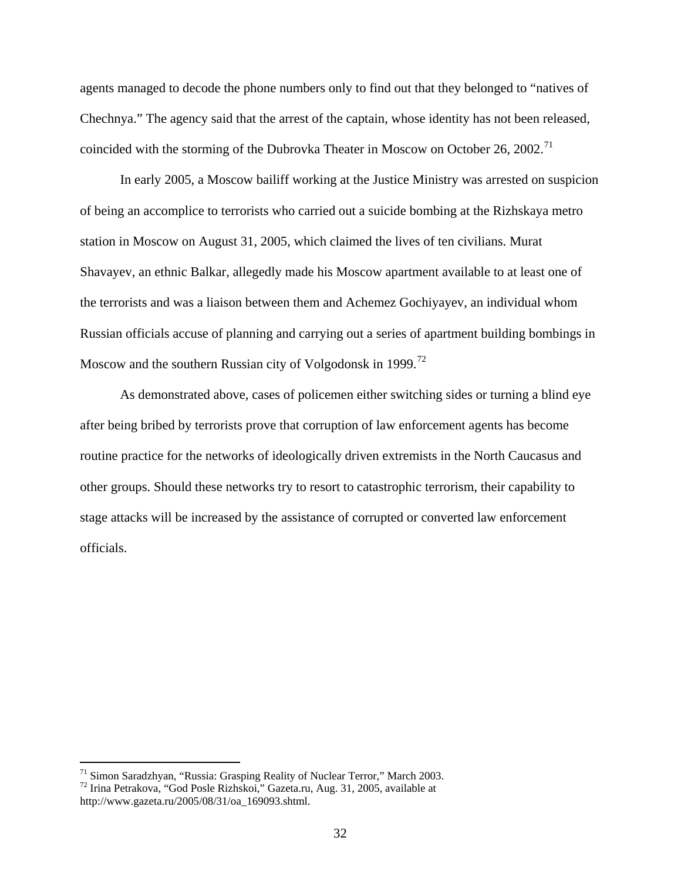agents managed to decode the phone numbers only to find out that they belonged to "natives of Chechnya." The agency said that the arrest of the captain, whose identity has not been released, coincided with the storming of the Dubrovka Theater in Moscow on October 26, 2002.<sup>[71](#page-35-0)</sup>

 In early 2005, a Moscow bailiff working at the Justice Ministry was arrested on suspicion of being an accomplice to terrorists who carried out a suicide bombing at the Rizhskaya metro station in Moscow on August 31, 2005, which claimed the lives of ten civilians. Murat Shavayev, an ethnic Balkar, allegedly made his Moscow apartment available to at least one of the terrorists and was a liaison between them and Achemez Gochiyayev, an individual whom Russian officials accuse of planning and carrying out a series of apartment building bombings in Moscow and the southern Russian city of Volgodonsk in 1999.<sup>[72](#page-35-1)</sup>

 As demonstrated above, cases of policemen either switching sides or turning a blind eye after being bribed by terrorists prove that corruption of law enforcement agents has become routine practice for the networks of ideologically driven extremists in the North Caucasus and other groups. Should these networks try to resort to catastrophic terrorism, their capability to stage attacks will be increased by the assistance of corrupted or converted law enforcement officials.

<span id="page-35-0"></span><sup>&</sup>lt;sup>71</sup> Simon Saradzhyan, "Russia: Grasping Reality of Nuclear Terror," March 2003.

<span id="page-35-1"></span><sup>72</sup> Irina Petrakova, "God Posle Rizhskoi," Gazeta.ru, Aug. 31, 2005, available at http://www.gazeta.ru/2005/08/31/oa\_169093.shtml.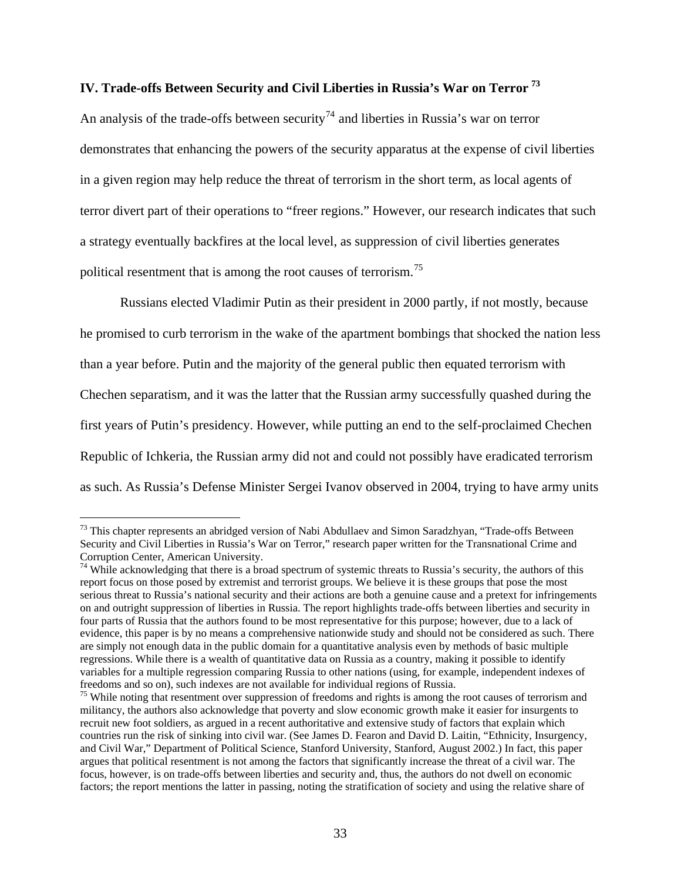## **IV. Trade-offs Between Security and Civil Liberties in Russia's War on Terror [73](#page-36-0)**

An analysis of the trade-offs between security<sup>[74](#page-36-1)</sup> and liberties in Russia's war on terror demonstrates that enhancing the powers of the security apparatus at the expense of civil liberties in a given region may help reduce the threat of terrorism in the short term, as local agents of terror divert part of their operations to "freer regions." However, our research indicates that such a strategy eventually backfires at the local level, as suppression of civil liberties generates political resentment that is among the root causes of terrorism.<sup>[75](#page-36-2)</sup>

 Russians elected Vladimir Putin as their president in 2000 partly, if not mostly, because he promised to curb terrorism in the wake of the apartment bombings that shocked the nation less than a year before. Putin and the majority of the general public then equated terrorism with Chechen separatism, and it was the latter that the Russian army successfully quashed during the first years of Putin's presidency. However, while putting an end to the self-proclaimed Chechen Republic of Ichkeria, the Russian army did not and could not possibly have eradicated terrorism as such. As Russia's Defense Minister Sergei Ivanov observed in 2004, trying to have army units

<span id="page-36-0"></span><sup>&</sup>lt;sup>73</sup> This chapter represents an abridged version of Nabi Abdullaev and Simon Saradzhyan, "Trade-offs Between Security and Civil Liberties in Russia's War on Terror," research paper written for the Transnational Crime and Corruption Center, American University.

<span id="page-36-1"></span> $74$  While acknowledging that there is a broad spectrum of systemic threats to Russia's security, the authors of this report focus on those posed by extremist and terrorist groups. We believe it is these groups that pose the most serious threat to Russia's national security and their actions are both a genuine cause and a pretext for infringements on and outright suppression of liberties in Russia. The report highlights trade-offs between liberties and security in four parts of Russia that the authors found to be most representative for this purpose; however, due to a lack of evidence, this paper is by no means a comprehensive nationwide study and should not be considered as such. There are simply not enough data in the public domain for a quantitative analysis even by methods of basic multiple regressions. While there is a wealth of quantitative data on Russia as a country, making it possible to identify variables for a multiple regression comparing Russia to other nations (using, for example, independent indexes of freedoms and so on), such indexes are not available for individual regions of Russia.

<span id="page-36-2"></span> $75$  While noting that resentment over suppression of freedoms and rights is among the root causes of terrorism and militancy, the authors also acknowledge that poverty and slow economic growth make it easier for insurgents to recruit new foot soldiers, as argued in a recent authoritative and extensive study of factors that explain which countries run the risk of sinking into civil war. (See James D. Fearon and David D. Laitin, "Ethnicity, Insurgency, and Civil War," Department of Political Science, Stanford University, Stanford, August 2002.) In fact, this paper argues that political resentment is not among the factors that significantly increase the threat of a civil war. The focus, however, is on trade-offs between liberties and security and, thus, the authors do not dwell on economic factors; the report mentions the latter in passing, noting the stratification of society and using the relative share of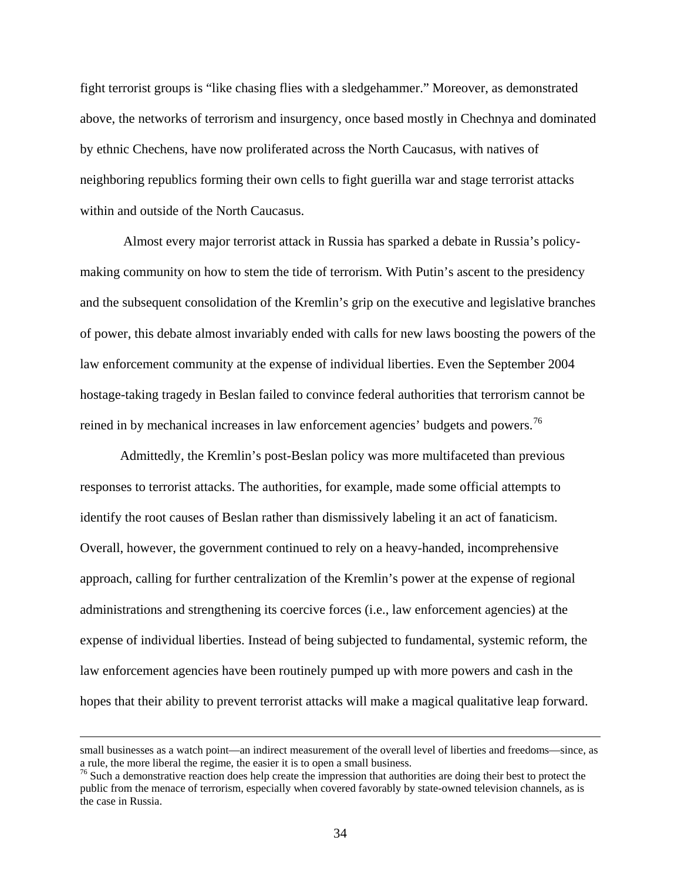fight terrorist groups is "like chasing flies with a sledgehammer." Moreover, as demonstrated above, the networks of terrorism and insurgency, once based mostly in Chechnya and dominated by ethnic Chechens, have now proliferated across the North Caucasus, with natives of neighboring republics forming their own cells to fight guerilla war and stage terrorist attacks within and outside of the North Caucasus.

 Almost every major terrorist attack in Russia has sparked a debate in Russia's policymaking community on how to stem the tide of terrorism. With Putin's ascent to the presidency and the subsequent consolidation of the Kremlin's grip on the executive and legislative branches of power, this debate almost invariably ended with calls for new laws boosting the powers of the law enforcement community at the expense of individual liberties. Even the September 2004 hostage-taking tragedy in Beslan failed to convince federal authorities that terrorism cannot be reined in by mechanical increases in law enforcement agencies' budgets and powers.<sup>[76](#page-37-0)</sup>

 Admittedly, the Kremlin's post-Beslan policy was more multifaceted than previous responses to terrorist attacks. The authorities, for example, made some official attempts to identify the root causes of Beslan rather than dismissively labeling it an act of fanaticism. Overall, however, the government continued to rely on a heavy-handed, incomprehensive approach, calling for further centralization of the Kremlin's power at the expense of regional administrations and strengthening its coercive forces (i.e., law enforcement agencies) at the expense of individual liberties. Instead of being subjected to fundamental, systemic reform, the law enforcement agencies have been routinely pumped up with more powers and cash in the hopes that their ability to prevent terrorist attacks will make a magical qualitative leap forward.

small businesses as a watch point—an indirect measurement of the overall level of liberties and freedoms—since, as a rule, the more liberal the regime, the easier it is to open a small business.

<span id="page-37-0"></span> $76$  Such a demonstrative reaction does help create the impression that authorities are doing their best to protect the public from the menace of terrorism, especially when covered favorably by state-owned television channels, as is the case in Russia.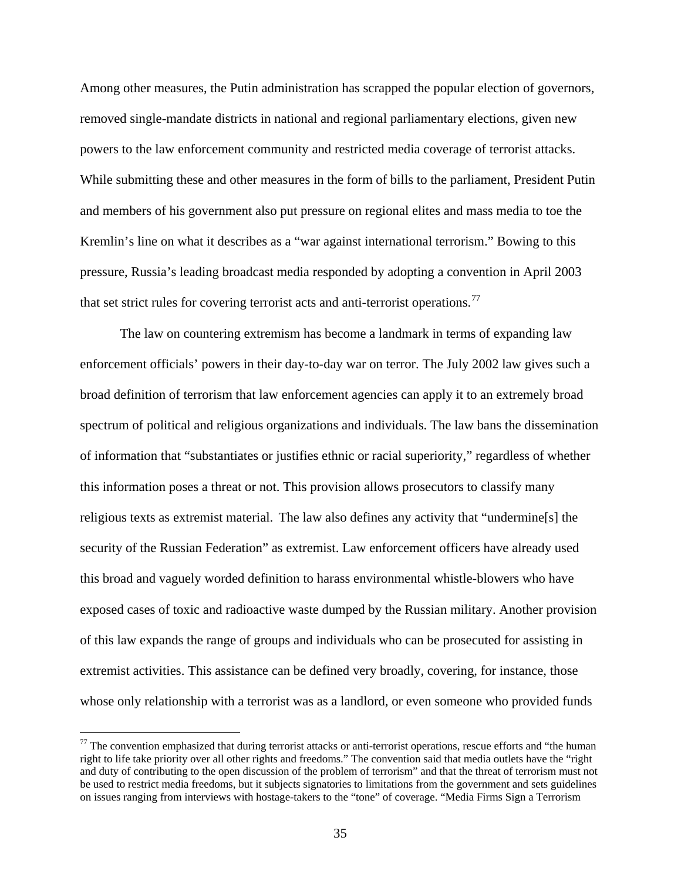Among other measures, the Putin administration has scrapped the popular election of governors, removed single-mandate districts in national and regional parliamentary elections, given new powers to the law enforcement community and restricted media coverage of terrorist attacks. While submitting these and other measures in the form of bills to the parliament, President Putin and members of his government also put pressure on regional elites and mass media to toe the Kremlin's line on what it describes as a "war against international terrorism." Bowing to this pressure, Russia's leading broadcast media responded by adopting a convention in April 2003 that set strict rules for covering terrorist acts and anti-terrorist operations.<sup>[77](#page-38-0)</sup>

 The law on countering extremism has become a landmark in terms of expanding law enforcement officials' powers in their day-to-day war on terror. The July 2002 law gives such a broad definition of terrorism that law enforcement agencies can apply it to an extremely broad spectrum of political and religious organizations and individuals. The law bans the dissemination of information that "substantiates or justifies ethnic or racial superiority," regardless of whether this information poses a threat or not. This provision allows prosecutors to classify many religious texts as extremist material. The law also defines any activity that "undermine[s] the security of the Russian Federation" as extremist. Law enforcement officers have already used this broad and vaguely worded definition to harass environmental whistle-blowers who have exposed cases of toxic and radioactive waste dumped by the Russian military. Another provision of this law expands the range of groups and individuals who can be prosecuted for assisting in extremist activities. This assistance can be defined very broadly, covering, for instance, those whose only relationship with a terrorist was as a landlord, or even someone who provided funds

<span id="page-38-0"></span> $77$  The convention emphasized that during terrorist attacks or anti-terrorist operations, rescue efforts and "the human" right to life take priority over all other rights and freedoms." The convention said that media outlets have the "right and duty of contributing to the open discussion of the problem of terrorism" and that the threat of terrorism must not be used to restrict media freedoms, but it subjects signatories to limitations from the government and sets guidelines on issues ranging from interviews with hostage-takers to the "tone" of coverage. "Media Firms Sign a Terrorism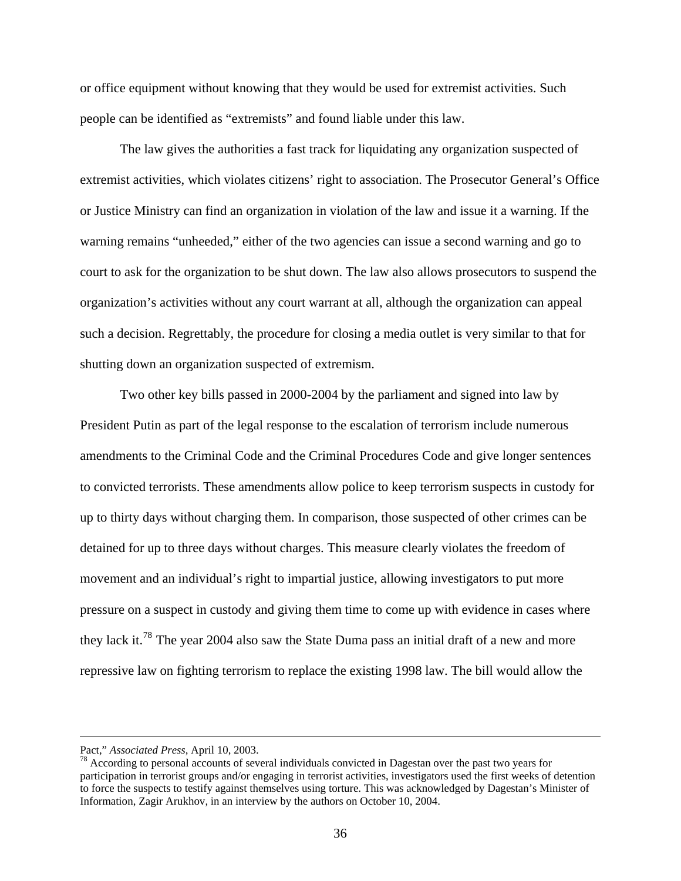or office equipment without knowing that they would be used for extremist activities. Such people can be identified as "extremists" and found liable under this law.

 The law gives the authorities a fast track for liquidating any organization suspected of extremist activities, which violates citizens' right to association. The Prosecutor General's Office or Justice Ministry can find an organization in violation of the law and issue it a warning. If the warning remains "unheeded," either of the two agencies can issue a second warning and go to court to ask for the organization to be shut down. The law also allows prosecutors to suspend the organization's activities without any court warrant at all, although the organization can appeal such a decision. Regrettably, the procedure for closing a media outlet is very similar to that for shutting down an organization suspected of extremism.

 Two other key bills passed in 2000-2004 by the parliament and signed into law by President Putin as part of the legal response to the escalation of terrorism include numerous amendments to the Criminal Code and the Criminal Procedures Code and give longer sentences to convicted terrorists. These amendments allow police to keep terrorism suspects in custody for up to thirty days without charging them. In comparison, those suspected of other crimes can be detained for up to three days without charges. This measure clearly violates the freedom of movement and an individual's right to impartial justice, allowing investigators to put more pressure on a suspect in custody and giving them time to come up with evidence in cases where they lack it.[78](#page-39-0) The year 2004 also saw the State Duma pass an initial draft of a new and more repressive law on fighting terrorism to replace the existing 1998 law. The bill would allow the

<span id="page-39-0"></span>Pact," *Associated Press*, April 10, 2003.<br><sup>78</sup> According to personal accounts of several individuals convicted in Dagestan over the past two years for participation in terrorist groups and/or engaging in terrorist activities, investigators used the first weeks of detention to force the suspects to testify against themselves using torture. This was acknowledged by Dagestan's Minister of Information, Zagir Arukhov, in an interview by the authors on October 10, 2004.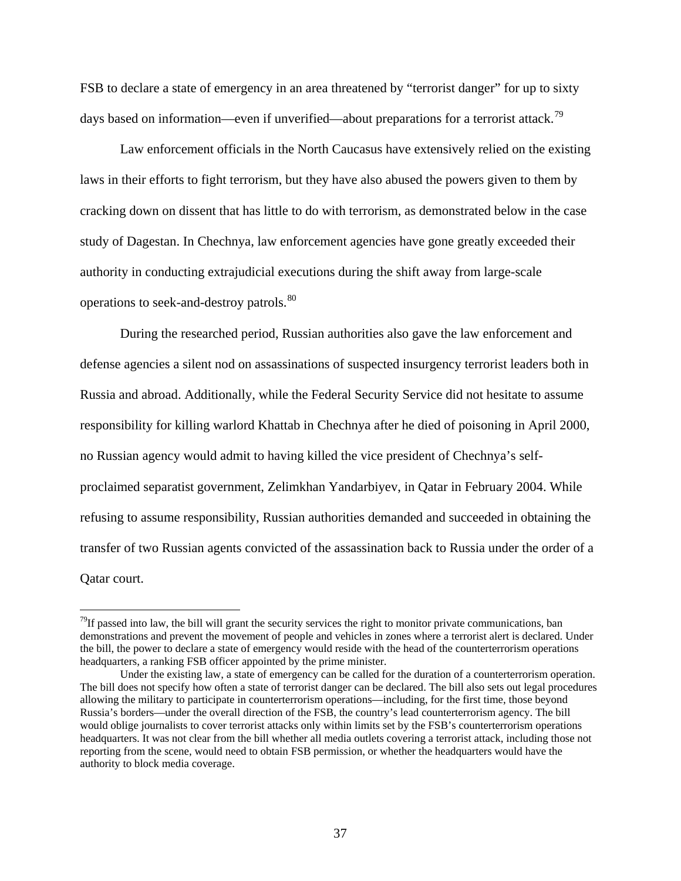FSB to declare a state of emergency in an area threatened by "terrorist danger" for up to sixty days based on information—even if unverified—about preparations for a terrorist attack.<sup>[79](#page-40-0)</sup>

 Law enforcement officials in the North Caucasus have extensively relied on the existing laws in their efforts to fight terrorism, but they have also abused the powers given to them by cracking down on dissent that has little to do with terrorism, as demonstrated below in the case study of Dagestan. In Chechnya, law enforcement agencies have gone greatly exceeded their authority in conducting extrajudicial executions during the shift away from large-scale operations to seek-and-destroy patrols.<sup>[80](#page-40-1)</sup>

 During the researched period, Russian authorities also gave the law enforcement and defense agencies a silent nod on assassinations of suspected insurgency terrorist leaders both in Russia and abroad. Additionally, while the Federal Security Service did not hesitate to assume responsibility for killing warlord Khattab in Chechnya after he died of poisoning in April 2000, no Russian agency would admit to having killed the vice president of Chechnya's selfproclaimed separatist government, Zelimkhan Yandarbiyev, in Qatar in February 2004. While refusing to assume responsibility, Russian authorities demanded and succeeded in obtaining the transfer of two Russian agents convicted of the assassination back to Russia under the order of a Qatar court.

<span id="page-40-0"></span> $^{79}$ If passed into law, the bill will grant the security services the right to monitor private communications, ban demonstrations and prevent the movement of people and vehicles in zones where a terrorist alert is declared. Under the bill, the power to declare a state of emergency would reside with the head of the counterterrorism operations headquarters, a ranking FSB officer appointed by the prime minister.

<span id="page-40-1"></span>Under the existing law, a state of emergency can be called for the duration of a counterterrorism operation. The bill does not specify how often a state of terrorist danger can be declared. The bill also sets out legal procedures allowing the military to participate in counterterrorism operations—including, for the first time, those beyond Russia's borders—under the overall direction of the FSB, the country's lead counterterrorism agency. The bill would oblige journalists to cover terrorist attacks only within limits set by the FSB's counterterrorism operations headquarters. It was not clear from the bill whether all media outlets covering a terrorist attack, including those not reporting from the scene, would need to obtain FSB permission, or whether the headquarters would have the authority to block media coverage.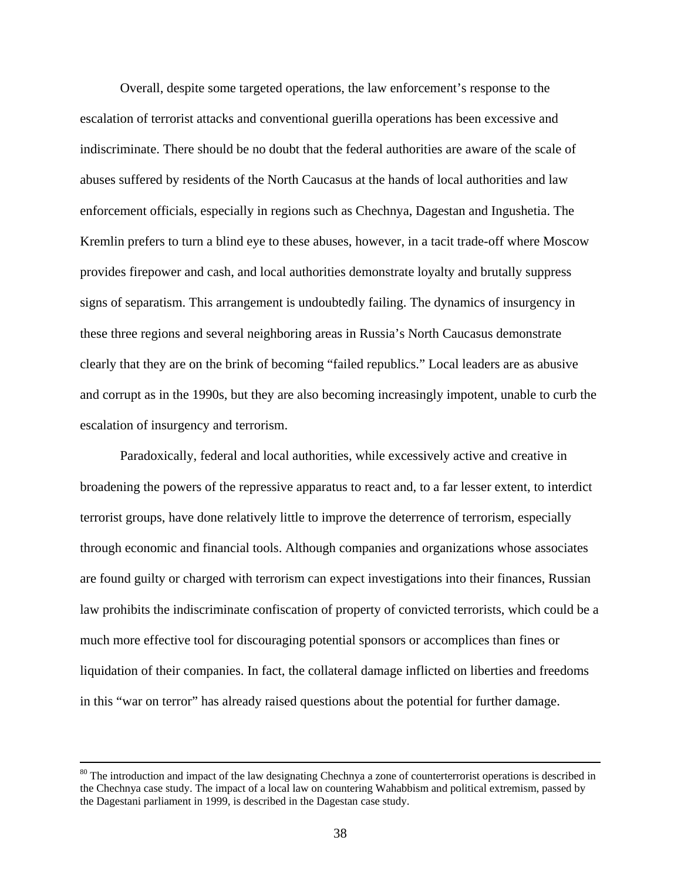Overall, despite some targeted operations, the law enforcement's response to the escalation of terrorist attacks and conventional guerilla operations has been excessive and indiscriminate. There should be no doubt that the federal authorities are aware of the scale of abuses suffered by residents of the North Caucasus at the hands of local authorities and law enforcement officials, especially in regions such as Chechnya, Dagestan and Ingushetia. The Kremlin prefers to turn a blind eye to these abuses, however, in a tacit trade-off where Moscow provides firepower and cash, and local authorities demonstrate loyalty and brutally suppress signs of separatism. This arrangement is undoubtedly failing. The dynamics of insurgency in these three regions and several neighboring areas in Russia's North Caucasus demonstrate clearly that they are on the brink of becoming "failed republics." Local leaders are as abusive and corrupt as in the 1990s, but they are also becoming increasingly impotent, unable to curb the escalation of insurgency and terrorism.

 Paradoxically, federal and local authorities, while excessively active and creative in broadening the powers of the repressive apparatus to react and, to a far lesser extent, to interdict terrorist groups, have done relatively little to improve the deterrence of terrorism, especially through economic and financial tools. Although companies and organizations whose associates are found guilty or charged with terrorism can expect investigations into their finances, Russian law prohibits the indiscriminate confiscation of property of convicted terrorists, which could be a much more effective tool for discouraging potential sponsors or accomplices than fines or liquidation of their companies. In fact, the collateral damage inflicted on liberties and freedoms in this "war on terror" has already raised questions about the potential for further damage.

<sup>&</sup>lt;sup>80</sup> The introduction and impact of the law designating Chechnya a zone of counterterrorist operations is described in the Chechnya case study. The impact of a local law on countering Wahabbism and political extremism, passed by the Dagestani parliament in 1999, is described in the Dagestan case study.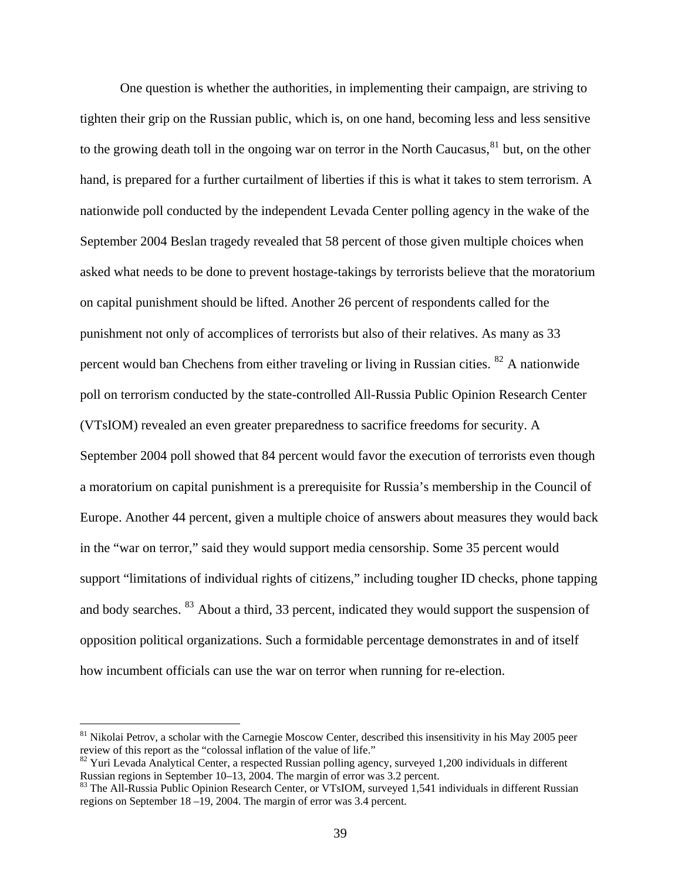One question is whether the authorities, in implementing their campaign, are striving to tighten their grip on the Russian public, which is, on one hand, becoming less and less sensitive to the growing death toll in the ongoing war on terror in the North Caucasus,  $81$  but, on the other hand, is prepared for a further curtailment of liberties if this is what it takes to stem terrorism. A nationwide poll conducted by the independent Levada Center polling agency in the wake of the September 2004 Beslan tragedy revealed that 58 percent of those given multiple choices when asked what needs to be done to prevent hostage-takings by terrorists believe that the moratorium on capital punishment should be lifted. Another 26 percent of respondents called for the punishment not only of accomplices of terrorists but also of their relatives. As many as 33 percent would ban Chechens from either traveling or living in Russian cities. <sup>[82](#page-42-1)</sup> A nationwide poll on terrorism conducted by the state-controlled All-Russia Public Opinion Research Center (VTsIOM) revealed an even greater preparedness to sacrifice freedoms for security. A September 2004 poll showed that 84 percent would favor the execution of terrorists even though a moratorium on capital punishment is a prerequisite for Russia's membership in the Council of Europe. Another 44 percent, given a multiple choice of answers about measures they would back in the "war on terror," said they would support media censorship. Some 35 percent would support "limitations of individual rights of citizens," including tougher ID checks, phone tapping and body searches. <sup>[83](#page-42-2)</sup> About a third, 33 percent, indicated they would support the suspension of opposition political organizations. Such a formidable percentage demonstrates in and of itself how incumbent officials can use the war on terror when running for re-election.

<span id="page-42-0"></span><sup>&</sup>lt;sup>81</sup> Nikolai Petrov, a scholar with the Carnegie Moscow Center, described this insensitivity in his May 2005 peer review of this report as the "colossal inflation of the value of life."

<span id="page-42-1"></span> $82$  Yuri Levada Analytical Center, a respected Russian polling agency, surveyed 1,200 individuals in different Russian regions in September 10–13, 2004. The margin of error was 3.2 percent.

<span id="page-42-2"></span><sup>&</sup>lt;sup>83</sup> The All-Russia Public Opinion Research Center, or VTsIOM, surveyed 1,541 individuals in different Russian regions on September 18 –19, 2004. The margin of error was 3.4 percent.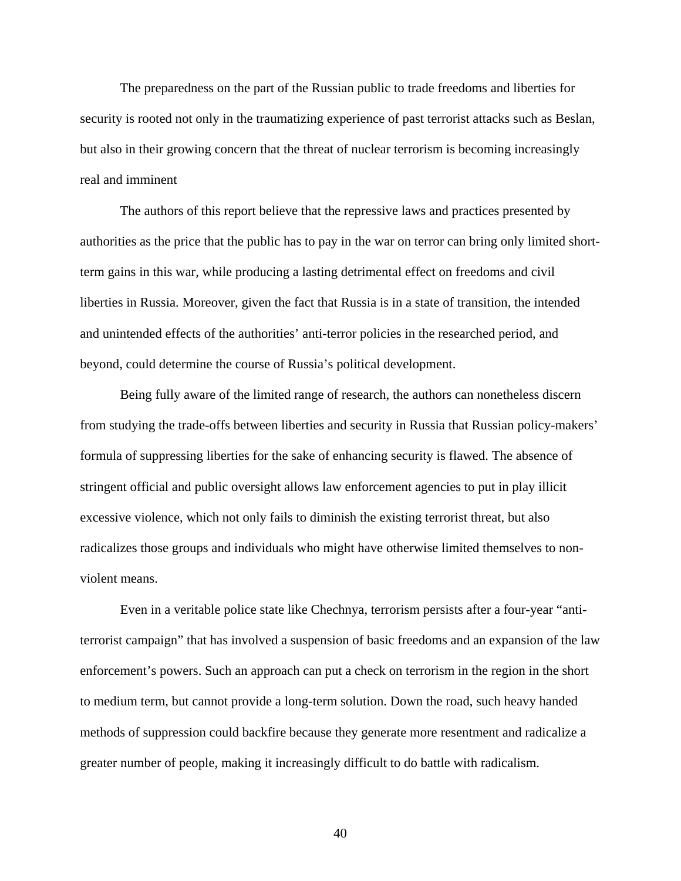The preparedness on the part of the Russian public to trade freedoms and liberties for security is rooted not only in the traumatizing experience of past terrorist attacks such as Beslan, but also in their growing concern that the threat of nuclear terrorism is becoming increasingly real and imminent

 The authors of this report believe that the repressive laws and practices presented by authorities as the price that the public has to pay in the war on terror can bring only limited shortterm gains in this war, while producing a lasting detrimental effect on freedoms and civil liberties in Russia. Moreover, given the fact that Russia is in a state of transition, the intended and unintended effects of the authorities' anti-terror policies in the researched period, and beyond, could determine the course of Russia's political development.

 Being fully aware of the limited range of research, the authors can nonetheless discern from studying the trade-offs between liberties and security in Russia that Russian policy-makers' formula of suppressing liberties for the sake of enhancing security is flawed. The absence of stringent official and public oversight allows law enforcement agencies to put in play illicit excessive violence, which not only fails to diminish the existing terrorist threat, but also radicalizes those groups and individuals who might have otherwise limited themselves to nonviolent means.

 Even in a veritable police state like Chechnya, terrorism persists after a four-year "antiterrorist campaign" that has involved a suspension of basic freedoms and an expansion of the law enforcement's powers. Such an approach can put a check on terrorism in the region in the short to medium term, but cannot provide a long-term solution. Down the road, such heavy handed methods of suppression could backfire because they generate more resentment and radicalize a greater number of people, making it increasingly difficult to do battle with radicalism.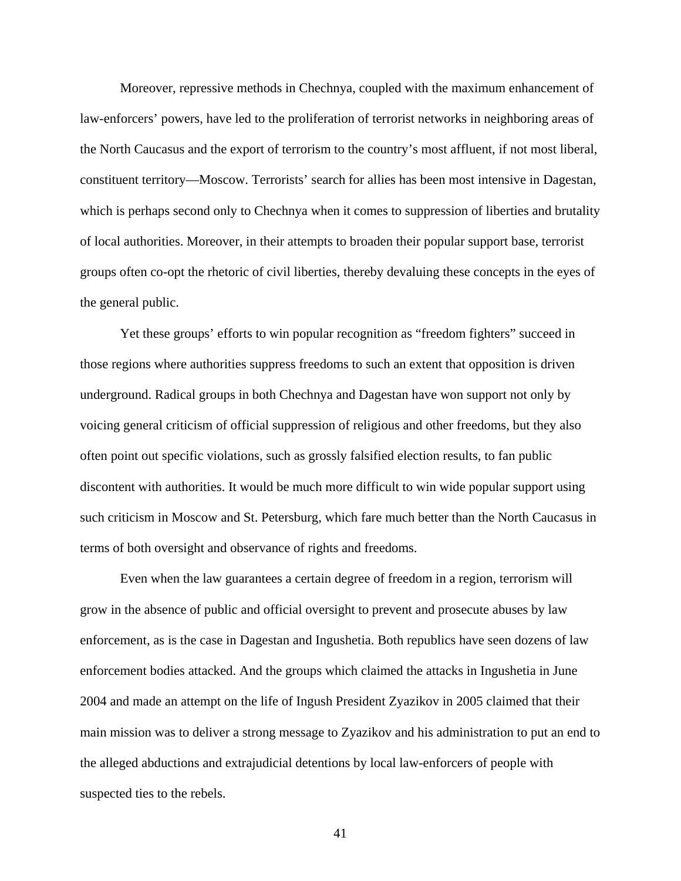Moreover, repressive methods in Chechnya, coupled with the maximum enhancement of law-enforcers' powers, have led to the proliferation of terrorist networks in neighboring areas of the North Caucasus and the export of terrorism to the country's most affluent, if not most liberal, constituent territory—Moscow. Terrorists' search for allies has been most intensive in Dagestan, which is perhaps second only to Chechnya when it comes to suppression of liberties and brutality of local authorities. Moreover, in their attempts to broaden their popular support base, terrorist groups often co-opt the rhetoric of civil liberties, thereby devaluing these concepts in the eyes of the general public.

 Yet these groups' efforts to win popular recognition as "freedom fighters" succeed in those regions where authorities suppress freedoms to such an extent that opposition is driven underground. Radical groups in both Chechnya and Dagestan have won support not only by voicing general criticism of official suppression of religious and other freedoms, but they also often point out specific violations, such as grossly falsified election results, to fan public discontent with authorities. It would be much more difficult to win wide popular support using such criticism in Moscow and St. Petersburg, which fare much better than the North Caucasus in terms of both oversight and observance of rights and freedoms.

 Even when the law guarantees a certain degree of freedom in a region, terrorism will grow in the absence of public and official oversight to prevent and prosecute abuses by law enforcement, as is the case in Dagestan and Ingushetia. Both republics have seen dozens of law enforcement bodies attacked. And the groups which claimed the attacks in Ingushetia in June 2004 and made an attempt on the life of Ingush President Zyazikov in 2005 claimed that their main mission was to deliver a strong message to Zyazikov and his administration to put an end to the alleged abductions and extrajudicial detentions by local law-enforcers of people with suspected ties to the rebels.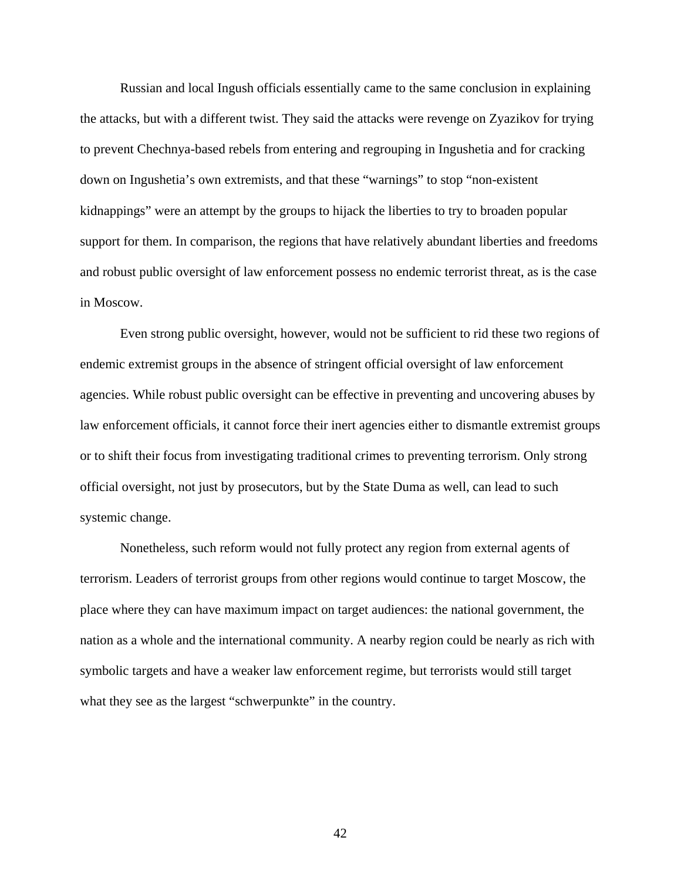Russian and local Ingush officials essentially came to the same conclusion in explaining the attacks, but with a different twist. They said the attacks were revenge on Zyazikov for trying to prevent Chechnya-based rebels from entering and regrouping in Ingushetia and for cracking down on Ingushetia's own extremists, and that these "warnings" to stop "non-existent kidnappings" were an attempt by the groups to hijack the liberties to try to broaden popular support for them. In comparison, the regions that have relatively abundant liberties and freedoms and robust public oversight of law enforcement possess no endemic terrorist threat, as is the case in Moscow.

 Even strong public oversight, however, would not be sufficient to rid these two regions of endemic extremist groups in the absence of stringent official oversight of law enforcement agencies. While robust public oversight can be effective in preventing and uncovering abuses by law enforcement officials, it cannot force their inert agencies either to dismantle extremist groups or to shift their focus from investigating traditional crimes to preventing terrorism. Only strong official oversight, not just by prosecutors, but by the State Duma as well, can lead to such systemic change.

 Nonetheless, such reform would not fully protect any region from external agents of terrorism. Leaders of terrorist groups from other regions would continue to target Moscow, the place where they can have maximum impact on target audiences: the national government, the nation as a whole and the international community. A nearby region could be nearly as rich with symbolic targets and have a weaker law enforcement regime, but terrorists would still target what they see as the largest "schwerpunkte" in the country.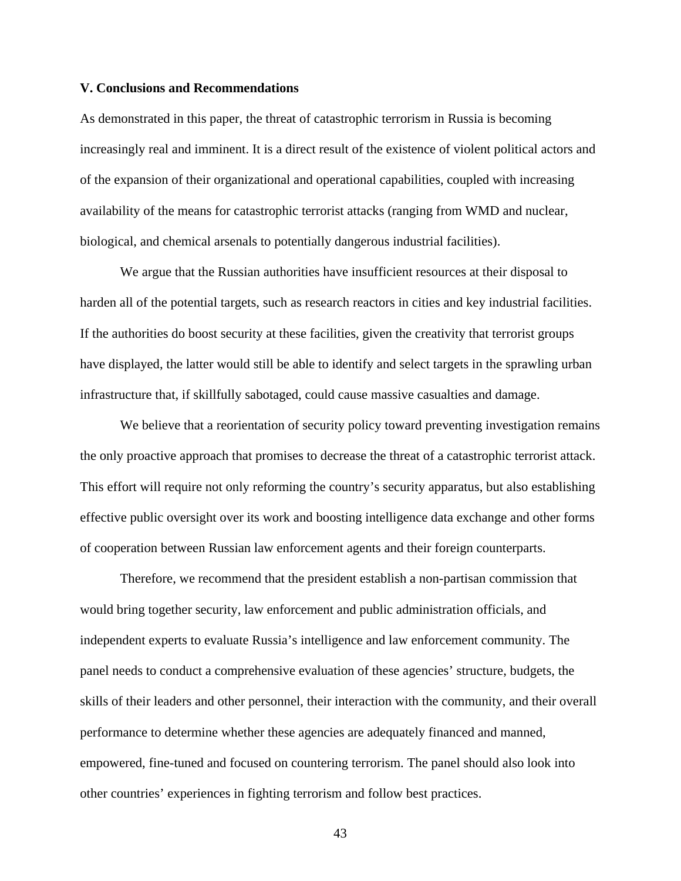## **V. Conclusions and Recommendations**

As demonstrated in this paper, the threat of catastrophic terrorism in Russia is becoming increasingly real and imminent. It is a direct result of the existence of violent political actors and of the expansion of their organizational and operational capabilities, coupled with increasing availability of the means for catastrophic terrorist attacks (ranging from WMD and nuclear, biological, and chemical arsenals to potentially dangerous industrial facilities).

 We argue that the Russian authorities have insufficient resources at their disposal to harden all of the potential targets, such as research reactors in cities and key industrial facilities. If the authorities do boost security at these facilities, given the creativity that terrorist groups have displayed, the latter would still be able to identify and select targets in the sprawling urban infrastructure that, if skillfully sabotaged, could cause massive casualties and damage.

We believe that a reorientation of security policy toward preventing investigation remains the only proactive approach that promises to decrease the threat of a catastrophic terrorist attack. This effort will require not only reforming the country's security apparatus, but also establishing effective public oversight over its work and boosting intelligence data exchange and other forms of cooperation between Russian law enforcement agents and their foreign counterparts.

 Therefore, we recommend that the president establish a non-partisan commission that would bring together security, law enforcement and public administration officials, and independent experts to evaluate Russia's intelligence and law enforcement community. The panel needs to conduct a comprehensive evaluation of these agencies' structure, budgets, the skills of their leaders and other personnel, their interaction with the community, and their overall performance to determine whether these agencies are adequately financed and manned, empowered, fine-tuned and focused on countering terrorism. The panel should also look into other countries' experiences in fighting terrorism and follow best practices.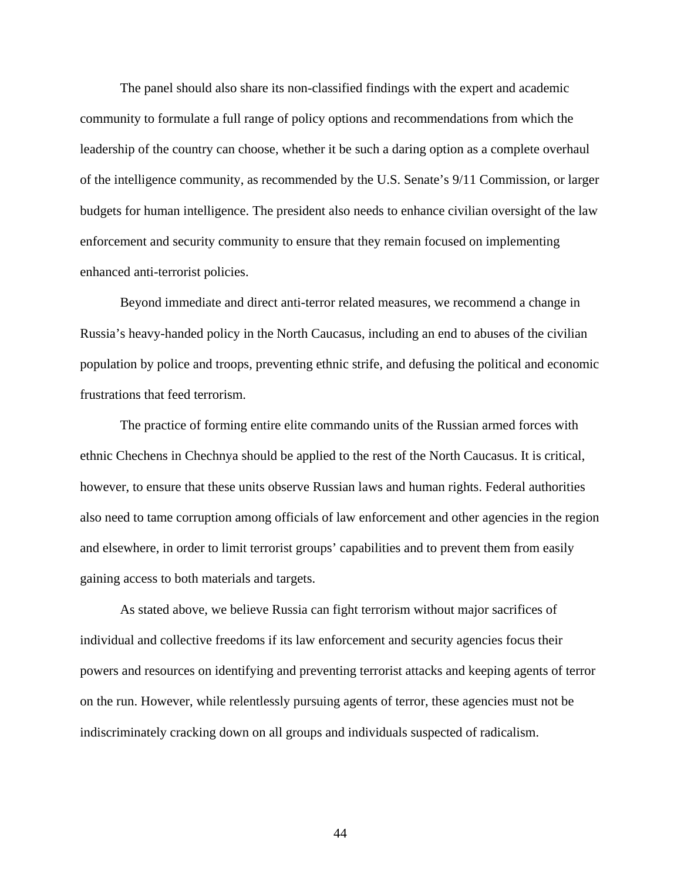The panel should also share its non-classified findings with the expert and academic community to formulate a full range of policy options and recommendations from which the leadership of the country can choose, whether it be such a daring option as a complete overhaul of the intelligence community, as recommended by the U.S. Senate's 9/11 Commission, or larger budgets for human intelligence. The president also needs to enhance civilian oversight of the law enforcement and security community to ensure that they remain focused on implementing enhanced anti-terrorist policies.

 Beyond immediate and direct anti-terror related measures, we recommend a change in Russia's heavy-handed policy in the North Caucasus, including an end to abuses of the civilian population by police and troops, preventing ethnic strife, and defusing the political and economic frustrations that feed terrorism.

The practice of forming entire elite commando units of the Russian armed forces with ethnic Chechens in Chechnya should be applied to the rest of the North Caucasus. It is critical, however, to ensure that these units observe Russian laws and human rights. Federal authorities also need to tame corruption among officials of law enforcement and other agencies in the region and elsewhere, in order to limit terrorist groups' capabilities and to prevent them from easily gaining access to both materials and targets.

 As stated above, we believe Russia can fight terrorism without major sacrifices of individual and collective freedoms if its law enforcement and security agencies focus their powers and resources on identifying and preventing terrorist attacks and keeping agents of terror on the run. However, while relentlessly pursuing agents of terror, these agencies must not be indiscriminately cracking down on all groups and individuals suspected of radicalism.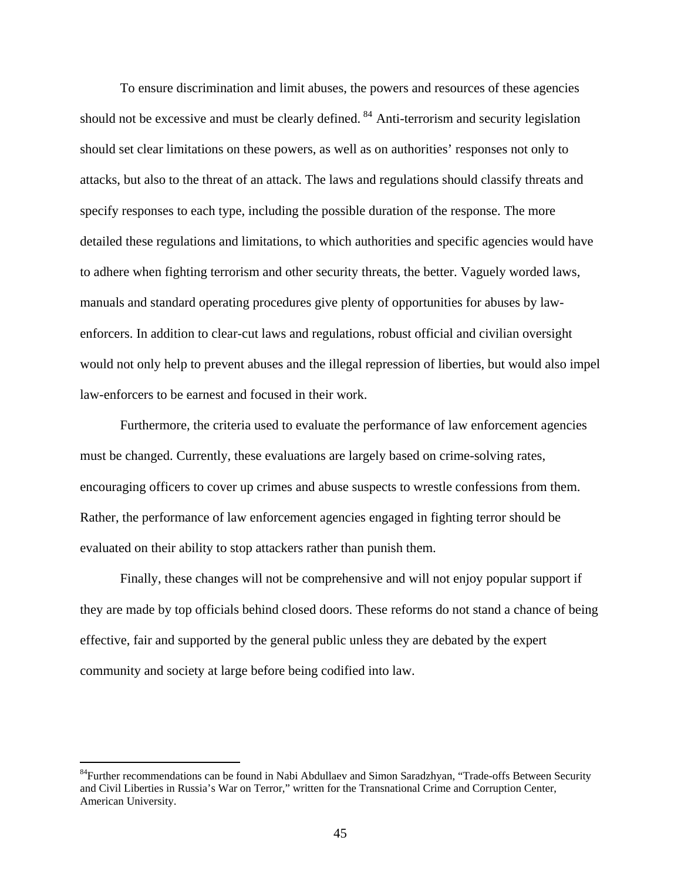To ensure discrimination and limit abuses, the powers and resources of these agencies should not be excessive and must be clearly defined. <sup>[84](#page-48-0)</sup> Anti-terrorism and security legislation should set clear limitations on these powers, as well as on authorities' responses not only to attacks, but also to the threat of an attack. The laws and regulations should classify threats and specify responses to each type, including the possible duration of the response. The more detailed these regulations and limitations, to which authorities and specific agencies would have to adhere when fighting terrorism and other security threats, the better. Vaguely worded laws, manuals and standard operating procedures give plenty of opportunities for abuses by lawenforcers. In addition to clear-cut laws and regulations, robust official and civilian oversight would not only help to prevent abuses and the illegal repression of liberties, but would also impel law-enforcers to be earnest and focused in their work.

 Furthermore, the criteria used to evaluate the performance of law enforcement agencies must be changed. Currently, these evaluations are largely based on crime-solving rates, encouraging officers to cover up crimes and abuse suspects to wrestle confessions from them. Rather, the performance of law enforcement agencies engaged in fighting terror should be evaluated on their ability to stop attackers rather than punish them.

 Finally, these changes will not be comprehensive and will not enjoy popular support if they are made by top officials behind closed doors. These reforms do not stand a chance of being effective, fair and supported by the general public unless they are debated by the expert community and society at large before being codified into law.

<span id="page-48-0"></span><sup>&</sup>lt;sup>84</sup>Further recommendations can be found in Nabi Abdullaev and Simon Saradzhyan, "Trade-offs Between Security and Civil Liberties in Russia's War on Terror," written for the Transnational Crime and Corruption Center, American University.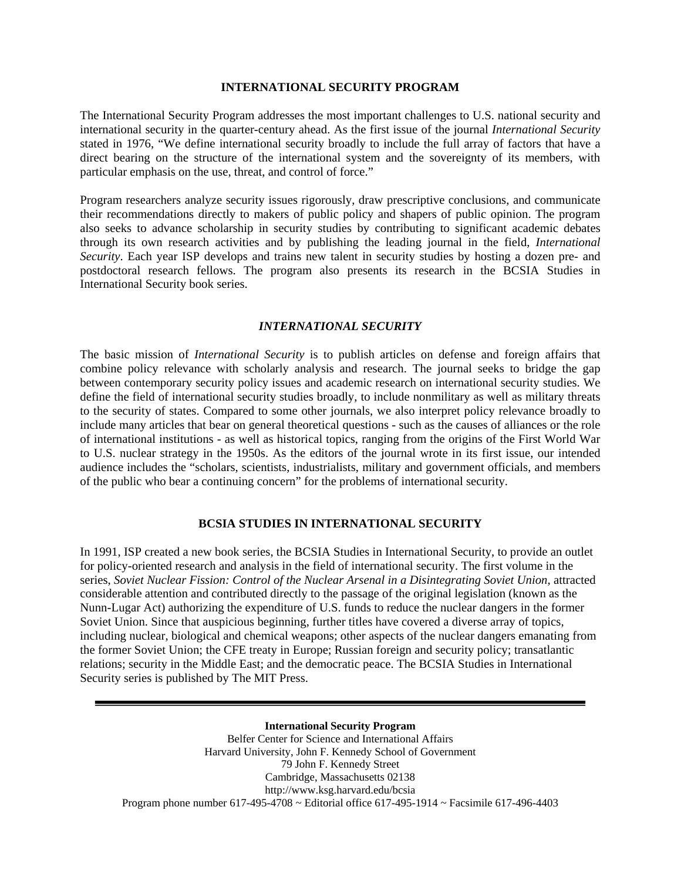#### **INTERNATIONAL SECURITY PROGRAM**

The International Security Program addresses the most important challenges to U.S. national security and international security in the quarter-century ahead. As the first issue of the journal *International Security* stated in 1976, "We define international security broadly to include the full array of factors that have a direct bearing on the structure of the international system and the sovereignty of its members, with particular emphasis on the use, threat, and control of force."

Program researchers analyze security issues rigorously, draw prescriptive conclusions, and communicate their recommendations directly to makers of public policy and shapers of public opinion. The program also seeks to advance scholarship in security studies by contributing to significant academic debates through its own research activities and by publishing the leading journal in the field, *International Security*. Each year ISP develops and trains new talent in security studies by hosting a dozen pre- and postdoctoral research fellows. The program also presents its research in the BCSIA Studies in International Security book series.

## *INTERNATIONAL SECURITY*

The basic mission of *International Security* is to publish articles on defense and foreign affairs that combine policy relevance with scholarly analysis and research. The journal seeks to bridge the gap between contemporary security policy issues and academic research on international security studies. We define the field of international security studies broadly, to include nonmilitary as well as military threats to the security of states. Compared to some other journals, we also interpret policy relevance broadly to include many articles that bear on general theoretical questions - such as the causes of alliances or the role of international institutions - as well as historical topics, ranging from the origins of the First World War to U.S. nuclear strategy in the 1950s. As the editors of the journal wrote in its first issue, our intended audience includes the "scholars, scientists, industrialists, military and government officials, and members of the public who bear a continuing concern" for the problems of international security.

## **BCSIA STUDIES IN INTERNATIONAL SECURITY**

In 1991, ISP created a new book series, the BCSIA Studies in International Security, to provide an outlet for policy-oriented research and analysis in the field of international security. The first volume in the series, *Soviet Nuclear Fission: Control of the Nuclear Arsenal in a Disintegrating Soviet Union*, attracted considerable attention and contributed directly to the passage of the original legislation (known as the Nunn-Lugar Act) authorizing the expenditure of U.S. funds to reduce the nuclear dangers in the former Soviet Union. Since that auspicious beginning, further titles have covered a diverse array of topics, including nuclear, biological and chemical weapons; other aspects of the nuclear dangers emanating from the former Soviet Union; the CFE treaty in Europe; Russian foreign and security policy; transatlantic relations; security in the Middle East; and the democratic peace. The BCSIA Studies in International Security series is published by The MIT Press.

**International Security Program**  Belfer Center for Science and International Affairs Harvard University, John F. Kennedy School of Government 79 John F. Kennedy Street Cambridge, Massachusetts 02138 http://www.ksg.harvard.edu/bcsia Program phone number 617-495-4708  $\sim$  Editorial office 617-495-1914  $\sim$  Facsimile 617-496-4403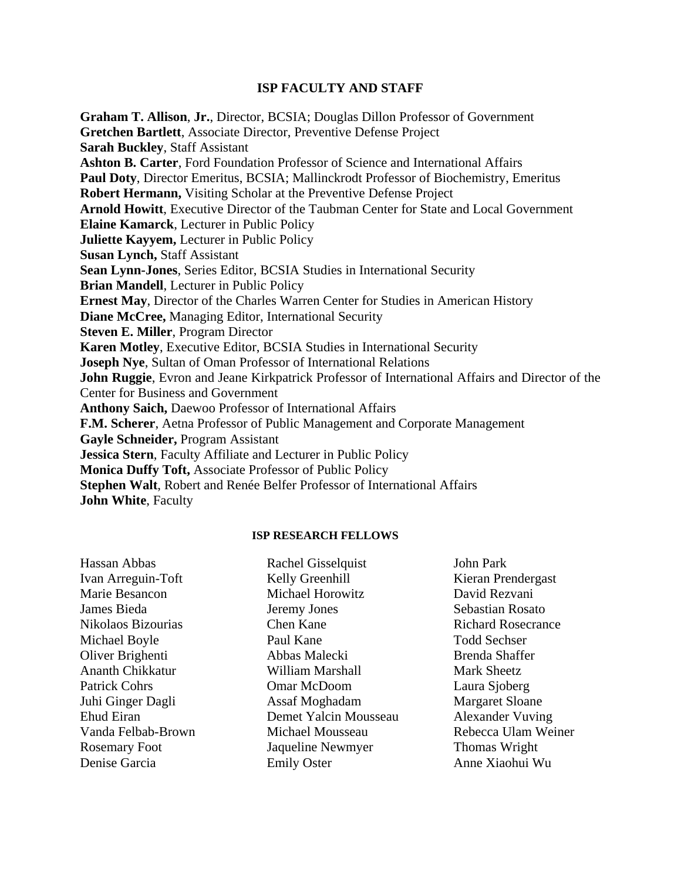## **ISP FACULTY AND STAFF**

**Graham T. Allison**, **Jr.**, Director, BCSIA; Douglas Dillon Professor of Government **Gretchen Bartlett**, Associate Director, Preventive Defense Project **Sarah Buckley**, Staff Assistant **Ashton B. Carter**, Ford Foundation Professor of Science and International Affairs **Paul Doty**, Director Emeritus, BCSIA; Mallinckrodt Professor of Biochemistry, Emeritus **Robert Hermann,** Visiting Scholar at the Preventive Defense Project **Arnold Howitt**, Executive Director of the Taubman Center for State and Local Government **Elaine Kamarck**, Lecturer in Public Policy **Juliette Kayyem,** Lecturer in Public Policy **Susan Lynch,** Staff Assistant **Sean Lynn-Jones**, Series Editor, BCSIA Studies in International Security **Brian Mandell**, Lecturer in Public Policy **Ernest May**, Director of the Charles Warren Center for Studies in American History **Diane McCree,** Managing Editor, International Security **Steven E. Miller**, Program Director **Karen Motley**, Executive Editor, BCSIA Studies in International Security **Joseph Nye**, Sultan of Oman Professor of International Relations **John Ruggie**, Evron and Jeane Kirkpatrick Professor of International Affairs and Director of the Center for Business and Government **Anthony Saich,** Daewoo Professor of International Affairs **F.M. Scherer**, Aetna Professor of Public Management and Corporate Management **Gayle Schneider,** Program Assistant **Jessica Stern**, Faculty Affiliate and Lecturer in Public Policy **Monica Duffy Toft,** Associate Professor of Public Policy **Stephen Walt**, Robert and Renée Belfer Professor of International Affairs **John White**, Faculty

## **ISP RESEARCH FELLOWS**

| Hassan Abbas            | Rachel Gisselquist    | <b>John Park</b>          |
|-------------------------|-----------------------|---------------------------|
| Ivan Arreguin-Toft      | Kelly Greenhill       | Kieran Prendergast        |
| Marie Besancon          | Michael Horowitz      | David Rezvani             |
| James Bieda             | Jeremy Jones          | Sebastian Rosato          |
| Nikolaos Bizourias      | <b>Chen Kane</b>      | <b>Richard Rosecrance</b> |
| Michael Boyle           | Paul Kane             | <b>Todd Sechser</b>       |
| Oliver Brighenti        | Abbas Malecki         | Brenda Shaffer            |
| <b>Ananth Chikkatur</b> | William Marshall      | <b>Mark Sheetz</b>        |
| <b>Patrick Cohrs</b>    | Omar McDoom           | Laura Sjoberg             |
| Juhi Ginger Dagli       | Assaf Moghadam        | <b>Margaret Sloane</b>    |
| Ehud Eiran              | Demet Yalcin Mousseau | <b>Alexander Vuving</b>   |
| Vanda Felbab-Brown      | Michael Mousseau      | Rebecca Ulam Weiner       |
| <b>Rosemary Foot</b>    | Jaqueline Newmyer     | Thomas Wright             |
| Denise Garcia           | <b>Emily Oster</b>    | Anne Xiaohui Wu           |
|                         |                       |                           |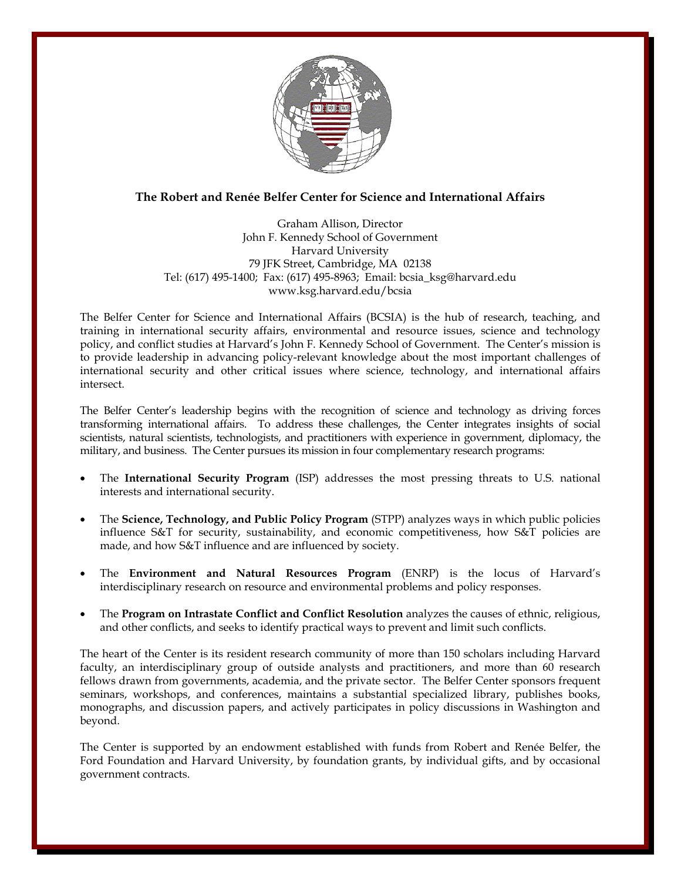

## **The Robert and Renée Belfer Center for Science and International Affairs**

Graham Allison, Director John F. Kennedy School of Government Harvard University 79 JFK Street, Cambridge, MA 02138 Tel: (617) 495-1400; Fax: (617) 495-8963; Email: bcsia\_ksg@harvard.edu www.ksg.harvard.edu/bcsia

The Belfer Center for Science and International Affairs (BCSIA) is the hub of research, teaching, and training in international security affairs, environmental and resource issues, science and technology policy, and conflict studies at Harvard's John F. Kennedy School of Government. The Center's mission is to provide leadership in advancing policy-relevant knowledge about the most important challenges of international security and other critical issues where science, technology, and international affairs intersect.

The Belfer Center's leadership begins with the recognition of science and technology as driving forces transforming international affairs. To address these challenges, the Center integrates insights of social scientists, natural scientists, technologists, and practitioners with experience in government, diplomacy, the military, and business. The Center pursues its mission in four complementary research programs:

- The **International Security Program** (ISP) addresses the most pressing threats to U.S. national interests and international security.
- The **Science, Technology, and Public Policy Program** (STPP) analyzes ways in which public policies influence S&T for security, sustainability, and economic competitiveness, how S&T policies are made, and how S&T influence and are influenced by society.
- The **Environment and Natural Resources Program** (ENRP) is the locus of Harvard's interdisciplinary research on resource and environmental problems and policy responses.
- The **Program on Intrastate Conflict and Conflict Resolution** analyzes the causes of ethnic, religious, and other conflicts, and seeks to identify practical ways to prevent and limit such conflicts.

The heart of the Center is its resident research community of more than 150 scholars including Harvard faculty, an interdisciplinary group of outside analysts and practitioners, and more than 60 research fellows drawn from governments, academia, and the private sector. The Belfer Center sponsors frequent seminars, workshops, and conferences, maintains a substantial specialized library, publishes books, monographs, and discussion papers, and actively participates in policy discussions in Washington and beyond.

The Center is supported by an endowment established with funds from Robert and Renée Belfer, the Ford Foundation and Harvard University, by foundation grants, by individual gifts, and by occasional government contracts.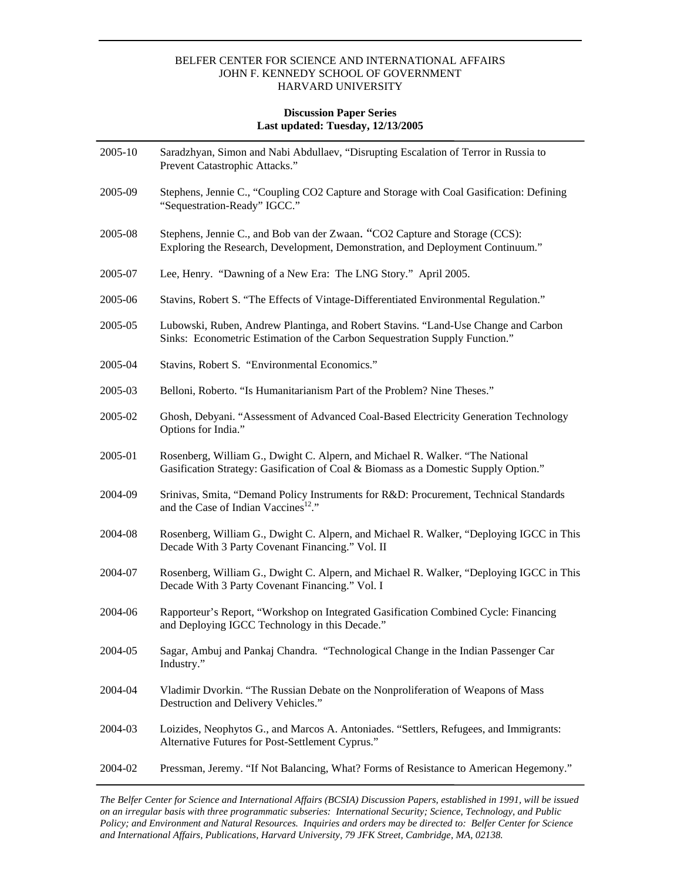## **Discussion Paper Series Last updated: Tuesday, 12/13/2005**

| 2005-10 | Saradzhyan, Simon and Nabi Abdullaev, "Disrupting Escalation of Terror in Russia to<br>Prevent Catastrophic Attacks."                                                |
|---------|----------------------------------------------------------------------------------------------------------------------------------------------------------------------|
| 2005-09 | Stephens, Jennie C., "Coupling CO2 Capture and Storage with Coal Gasification: Defining<br>"Sequestration-Ready" IGCC."                                              |
| 2005-08 | Stephens, Jennie C., and Bob van der Zwaan. "CO2 Capture and Storage (CCS):<br>Exploring the Research, Development, Demonstration, and Deployment Continuum."        |
| 2005-07 | Lee, Henry. "Dawning of a New Era: The LNG Story." April 2005.                                                                                                       |
| 2005-06 | Stavins, Robert S. "The Effects of Vintage-Differentiated Environmental Regulation."                                                                                 |
| 2005-05 | Lubowski, Ruben, Andrew Plantinga, and Robert Stavins. "Land-Use Change and Carbon<br>Sinks: Econometric Estimation of the Carbon Sequestration Supply Function."    |
| 2005-04 | Stavins, Robert S. "Environmental Economics."                                                                                                                        |
| 2005-03 | Belloni, Roberto. "Is Humanitarianism Part of the Problem? Nine Theses."                                                                                             |
| 2005-02 | Ghosh, Debyani. "Assessment of Advanced Coal-Based Electricity Generation Technology<br>Options for India."                                                          |
| 2005-01 | Rosenberg, William G., Dwight C. Alpern, and Michael R. Walker. "The National<br>Gasification Strategy: Gasification of Coal & Biomass as a Domestic Supply Option." |
| 2004-09 | Srinivas, Smita, "Demand Policy Instruments for R&D: Procurement, Technical Standards<br>and the Case of Indian Vaccines <sup>12</sup> ."                            |
| 2004-08 | Rosenberg, William G., Dwight C. Alpern, and Michael R. Walker, "Deploying IGCC in This<br>Decade With 3 Party Covenant Financing." Vol. II                          |
| 2004-07 | Rosenberg, William G., Dwight C. Alpern, and Michael R. Walker, "Deploying IGCC in This<br>Decade With 3 Party Covenant Financing." Vol. I                           |
| 2004-06 | Rapporteur's Report, "Workshop on Integrated Gasification Combined Cycle: Financing<br>and Deploying IGCC Technology in this Decade."                                |
| 2004-05 | Sagar, Ambuj and Pankaj Chandra. "Technological Change in the Indian Passenger Car<br>Industry."                                                                     |
| 2004-04 | Vladimir Dvorkin. "The Russian Debate on the Nonproliferation of Weapons of Mass<br>Destruction and Delivery Vehicles."                                              |
| 2004-03 | Loizides, Neophytos G., and Marcos A. Antoniades. "Settlers, Refugees, and Immigrants:<br>Alternative Futures for Post-Settlement Cyprus."                           |
| 2004-02 | Pressman, Jeremy. "If Not Balancing, What? Forms of Resistance to American Hegemony."                                                                                |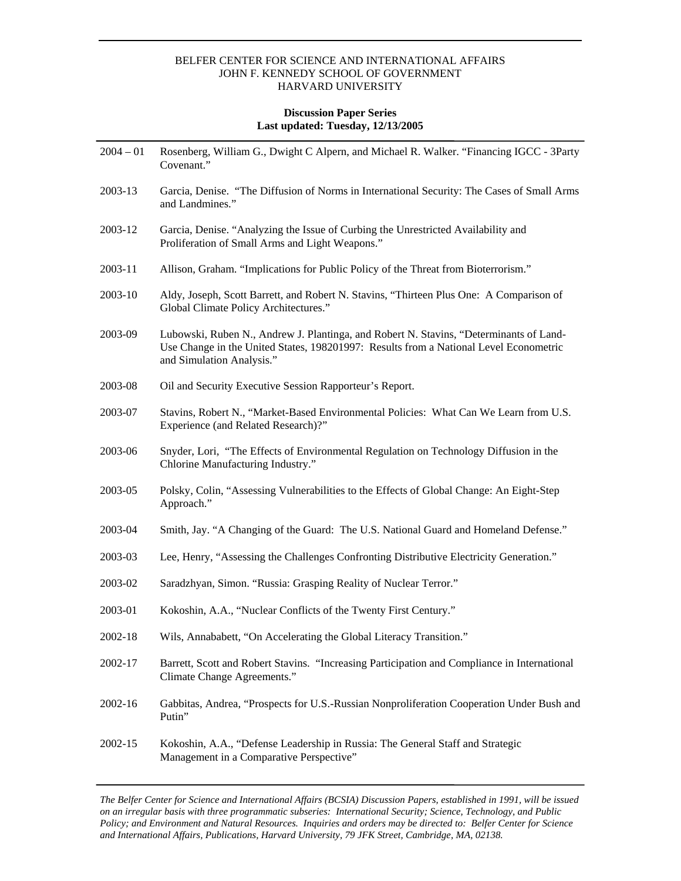## **Discussion Paper Series Last updated: Tuesday, 12/13/2005**

| $2004 - 01$ | Rosenberg, William G., Dwight C Alpern, and Michael R. Walker. "Financing IGCC - 3Party<br>Covenant."                                                                                                        |
|-------------|--------------------------------------------------------------------------------------------------------------------------------------------------------------------------------------------------------------|
| 2003-13     | Garcia, Denise. "The Diffusion of Norms in International Security: The Cases of Small Arms<br>and Landmines."                                                                                                |
| 2003-12     | Garcia, Denise. "Analyzing the Issue of Curbing the Unrestricted Availability and<br>Proliferation of Small Arms and Light Weapons."                                                                         |
| 2003-11     | Allison, Graham. "Implications for Public Policy of the Threat from Bioterrorism."                                                                                                                           |
| 2003-10     | Aldy, Joseph, Scott Barrett, and Robert N. Stavins, "Thirteen Plus One: A Comparison of<br>Global Climate Policy Architectures."                                                                             |
| 2003-09     | Lubowski, Ruben N., Andrew J. Plantinga, and Robert N. Stavins, "Determinants of Land-<br>Use Change in the United States, 198201997: Results from a National Level Econometric<br>and Simulation Analysis." |
| 2003-08     | Oil and Security Executive Session Rapporteur's Report.                                                                                                                                                      |
| 2003-07     | Stavins, Robert N., "Market-Based Environmental Policies: What Can We Learn from U.S.<br>Experience (and Related Research)?"                                                                                 |
| 2003-06     | Snyder, Lori, "The Effects of Environmental Regulation on Technology Diffusion in the<br>Chlorine Manufacturing Industry."                                                                                   |
| 2003-05     | Polsky, Colin, "Assessing Vulnerabilities to the Effects of Global Change: An Eight-Step<br>Approach."                                                                                                       |
| 2003-04     | Smith, Jay. "A Changing of the Guard: The U.S. National Guard and Homeland Defense."                                                                                                                         |
| 2003-03     | Lee, Henry, "Assessing the Challenges Confronting Distributive Electricity Generation."                                                                                                                      |
| 2003-02     | Saradzhyan, Simon. "Russia: Grasping Reality of Nuclear Terror."                                                                                                                                             |
| 2003-01     | Kokoshin, A.A., "Nuclear Conflicts of the Twenty First Century."                                                                                                                                             |
| 2002-18     | Wils, Annababett, "On Accelerating the Global Literacy Transition."                                                                                                                                          |
| 2002-17     | Barrett, Scott and Robert Stavins. "Increasing Participation and Compliance in International<br>Climate Change Agreements."                                                                                  |
| 2002-16     | Gabbitas, Andrea, "Prospects for U.S.-Russian Nonproliferation Cooperation Under Bush and<br>Putin"                                                                                                          |
| 2002-15     | Kokoshin, A.A., "Defense Leadership in Russia: The General Staff and Strategic<br>Management in a Comparative Perspective"                                                                                   |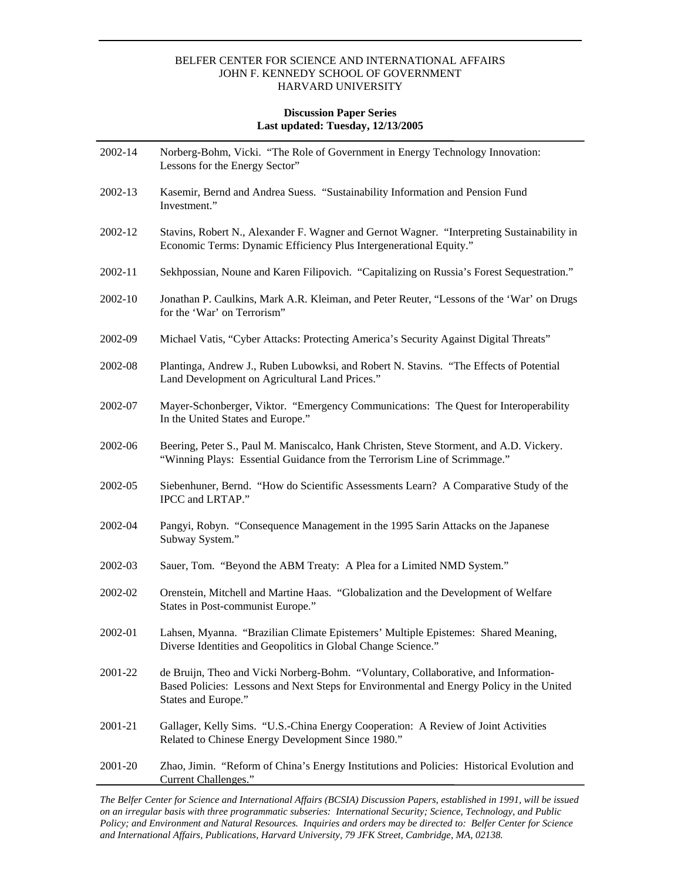## **Discussion Paper Series Last updated: Tuesday, 12/13/2005**

| 2002-14 | Norberg-Bohm, Vicki. "The Role of Government in Energy Technology Innovation:<br>Lessons for the Energy Sector"                                                                                        |
|---------|--------------------------------------------------------------------------------------------------------------------------------------------------------------------------------------------------------|
| 2002-13 | Kasemir, Bernd and Andrea Suess. "Sustainability Information and Pension Fund<br>Investment."                                                                                                          |
| 2002-12 | Stavins, Robert N., Alexander F. Wagner and Gernot Wagner. "Interpreting Sustainability in<br>Economic Terms: Dynamic Efficiency Plus Intergenerational Equity."                                       |
| 2002-11 | Sekhpossian, Noune and Karen Filipovich. "Capitalizing on Russia's Forest Sequestration."                                                                                                              |
| 2002-10 | Jonathan P. Caulkins, Mark A.R. Kleiman, and Peter Reuter, "Lessons of the 'War' on Drugs<br>for the 'War' on Terrorism"                                                                               |
| 2002-09 | Michael Vatis, "Cyber Attacks: Protecting America's Security Against Digital Threats"                                                                                                                  |
| 2002-08 | Plantinga, Andrew J., Ruben Lubowksi, and Robert N. Stavins. "The Effects of Potential<br>Land Development on Agricultural Land Prices."                                                               |
| 2002-07 | Mayer-Schonberger, Viktor. "Emergency Communications: The Quest for Interoperability<br>In the United States and Europe."                                                                              |
| 2002-06 | Beering, Peter S., Paul M. Maniscalco, Hank Christen, Steve Storment, and A.D. Vickery.<br>"Winning Plays: Essential Guidance from the Terrorism Line of Scrimmage."                                   |
| 2002-05 | Siebenhuner, Bernd. "How do Scientific Assessments Learn? A Comparative Study of the<br>IPCC and LRTAP."                                                                                               |
| 2002-04 | Pangyi, Robyn. "Consequence Management in the 1995 Sarin Attacks on the Japanese<br>Subway System."                                                                                                    |
| 2002-03 | Sauer, Tom. "Beyond the ABM Treaty: A Plea for a Limited NMD System."                                                                                                                                  |
| 2002-02 | Orenstein, Mitchell and Martine Haas. "Globalization and the Development of Welfare<br>States in Post-communist Europe."                                                                               |
| 2002-01 | Lahsen, Myanna. "Brazilian Climate Epistemers' Multiple Epistemes: Shared Meaning,<br>Diverse Identities and Geopolitics in Global Change Science."                                                    |
| 2001-22 | de Bruijn, Theo and Vicki Norberg-Bohm. "Voluntary, Collaborative, and Information-<br>Based Policies: Lessons and Next Steps for Environmental and Energy Policy in the United<br>States and Europe." |
| 2001-21 | Gallager, Kelly Sims. "U.S.-China Energy Cooperation: A Review of Joint Activities<br>Related to Chinese Energy Development Since 1980."                                                               |
| 2001-20 | Zhao, Jimin. "Reform of China's Energy Institutions and Policies: Historical Evolution and<br>Current Challenges."                                                                                     |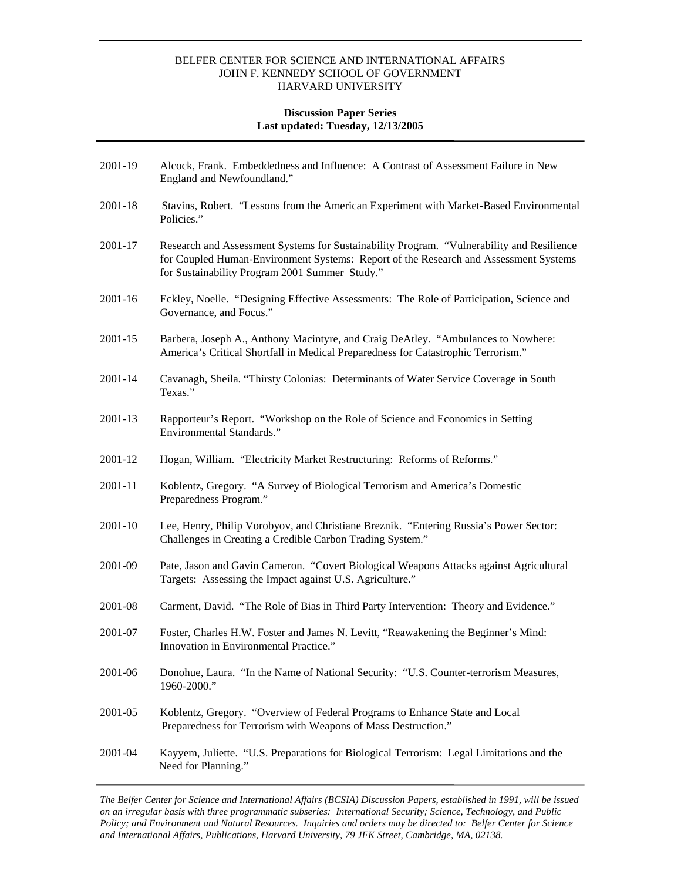## **Discussion Paper Series Last updated: Tuesday, 12/13/2005**

- 2001-19 Alcock, Frank. Embeddedness and Influence: A Contrast of Assessment Failure in New England and Newfoundland."
- 2001-18 Stavins, Robert. "Lessons from the American Experiment with Market-Based Environmental Policies."
- 2001-17 Research and Assessment Systems for Sustainability Program. "Vulnerability and Resilience for Coupled Human-Environment Systems: Report of the Research and Assessment Systems for Sustainability Program 2001 Summer Study."
- 2001-16 Eckley, Noelle. "Designing Effective Assessments: The Role of Participation, Science and Governance, and Focus."
- 2001-15 Barbera, Joseph A., Anthony Macintyre, and Craig DeAtley. "Ambulances to Nowhere: America's Critical Shortfall in Medical Preparedness for Catastrophic Terrorism."
- 2001-14 Cavanagh, Sheila. "Thirsty Colonias: Determinants of Water Service Coverage in South Texas."
- 2001-13 Rapporteur's Report. "Workshop on the Role of Science and Economics in Setting Environmental Standards."
- 2001-12 Hogan, William. "Electricity Market Restructuring: Reforms of Reforms."
- 2001-11 Koblentz, Gregory. "A Survey of Biological Terrorism and America's Domestic Preparedness Program."
- 2001-10 Lee, Henry, Philip Vorobyov, and Christiane Breznik. "Entering Russia's Power Sector: Challenges in Creating a Credible Carbon Trading System."
- 2001-09 Pate, Jason and Gavin Cameron. "Covert Biological Weapons Attacks against Agricultural Targets: Assessing the Impact against U.S. Agriculture."
- 2001-08 Carment, David. "The Role of Bias in Third Party Intervention: Theory and Evidence."
- 2001-07 Foster, Charles H.W. Foster and James N. Levitt, "Reawakening the Beginner's Mind: Innovation in Environmental Practice."
- 2001-06 Donohue, Laura. "In the Name of National Security: "U.S. Counter-terrorism Measures, 1960-2000."
- 2001-05 Koblentz, Gregory. "Overview of Federal Programs to Enhance State and Local Preparedness for Terrorism with Weapons of Mass Destruction."
- 2001-04 Kayyem, Juliette. "U.S. Preparations for Biological Terrorism: Legal Limitations and the Need for Planning."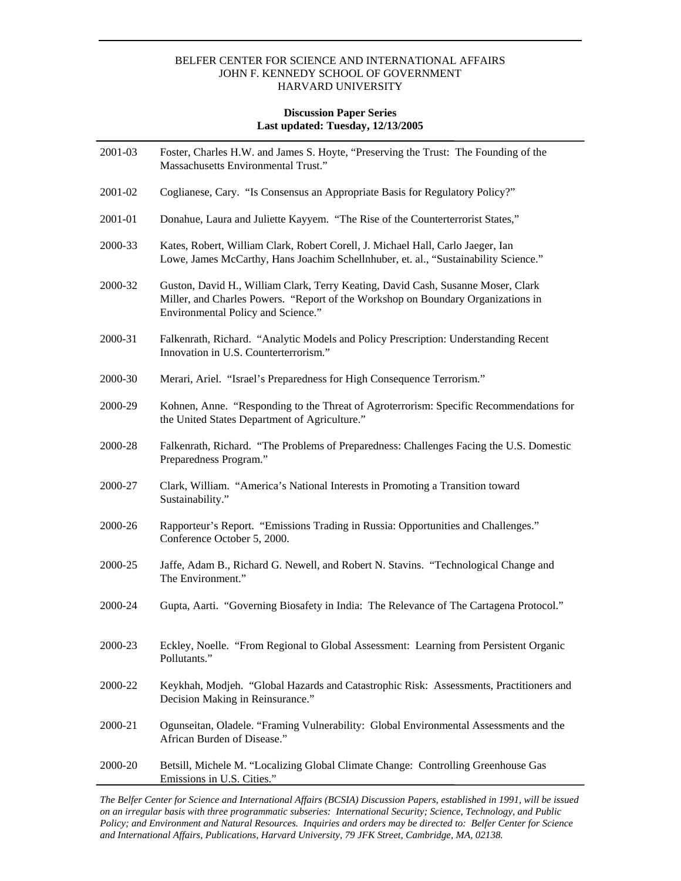## **Discussion Paper Series Last updated: Tuesday, 12/13/2005**

- 2001-03 Foster, Charles H.W. and James S. Hoyte, "Preserving the Trust: The Founding of the Massachusetts Environmental Trust."
- 2001-02 Coglianese, Cary. "Is Consensus an Appropriate Basis for Regulatory Policy?"
- 2001-01 Donahue, Laura and Juliette Kayyem. "The Rise of the Counterterrorist States,"
- 2000-33 Kates, Robert, William Clark, Robert Corell, J. Michael Hall, Carlo Jaeger, Ian Lowe, James McCarthy, Hans Joachim Schellnhuber, et. al., "Sustainability Science."
- 2000-32 Guston, David H., William Clark, Terry Keating, David Cash, Susanne Moser, Clark Miller, and Charles Powers. "Report of the Workshop on Boundary Organizations in Environmental Policy and Science."
- 2000-31 Falkenrath, Richard. "Analytic Models and Policy Prescription: Understanding Recent Innovation in U.S. Counterterrorism."
- 2000-30 Merari, Ariel. "Israel's Preparedness for High Consequence Terrorism."
- 2000-29 Kohnen, Anne. "Responding to the Threat of Agroterrorism: Specific Recommendations for the United States Department of Agriculture."
- 2000-28 Falkenrath, Richard. "The Problems of Preparedness: Challenges Facing the U.S. Domestic Preparedness Program."
- 2000-27 Clark, William. "America's National Interests in Promoting a Transition toward Sustainability."
- 2000-26 Rapporteur's Report. "Emissions Trading in Russia: Opportunities and Challenges." Conference October 5, 2000.
- 2000-25 Jaffe, Adam B., Richard G. Newell, and Robert N. Stavins. "Technological Change and The Environment."
- 2000-24 Gupta, Aarti. "Governing Biosafety in India: The Relevance of The Cartagena Protocol."
- 2000-23 Eckley, Noelle. "From Regional to Global Assessment: Learning from Persistent Organic Pollutants."
- 2000-22 Keykhah, Modjeh. "Global Hazards and Catastrophic Risk: Assessments, Practitioners and Decision Making in Reinsurance."
- 2000-21 Ogunseitan, Oladele. "Framing Vulnerability: Global Environmental Assessments and the African Burden of Disease."
- 2000-20 Betsill, Michele M. "Localizing Global Climate Change: Controlling Greenhouse Gas Emissions in U.S. Cities."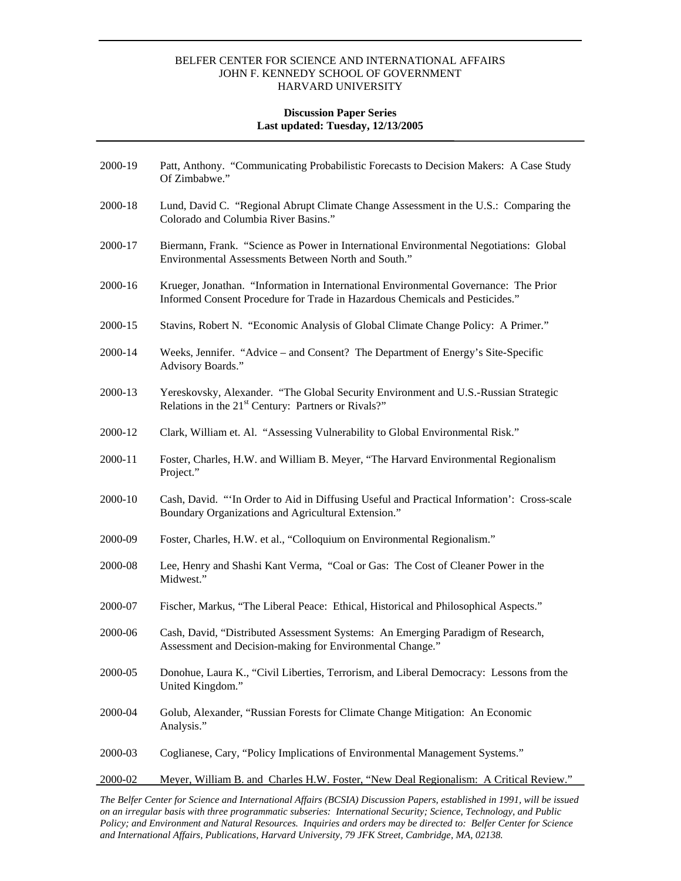## **Discussion Paper Series Last updated: Tuesday, 12/13/2005**

- 2000-19 Patt, Anthony. "Communicating Probabilistic Forecasts to Decision Makers: A Case Study Of Zimbabwe."
- 2000-18 Lund, David C. "Regional Abrupt Climate Change Assessment in the U.S.: Comparing the Colorado and Columbia River Basins."
- 2000-17 Biermann, Frank. "Science as Power in International Environmental Negotiations: Global Environmental Assessments Between North and South."
- 2000-16 Krueger, Jonathan. "Information in International Environmental Governance: The Prior Informed Consent Procedure for Trade in Hazardous Chemicals and Pesticides."
- 2000-15 Stavins, Robert N. "Economic Analysis of Global Climate Change Policy: A Primer."
- 2000-14 Weeks, Jennifer. "Advice and Consent? The Department of Energy's Site-Specific Advisory Boards."
- 2000-13 Yereskovsky, Alexander. "The Global Security Environment and U.S.-Russian Strategic Relations in the 21<sup>st</sup> Century: Partners or Rivals?"
- 2000-12 Clark, William et. Al. "Assessing Vulnerability to Global Environmental Risk."
- 2000-11 Foster, Charles, H.W. and William B. Meyer, "The Harvard Environmental Regionalism Project."
- 2000-10 Cash, David. "'In Order to Aid in Diffusing Useful and Practical Information': Cross-scale Boundary Organizations and Agricultural Extension."
- 2000-09 Foster, Charles, H.W. et al., "Colloquium on Environmental Regionalism."
- 2000-08 Lee, Henry and Shashi Kant Verma, "Coal or Gas: The Cost of Cleaner Power in the Midwest."
- 2000-07 Fischer, Markus, "The Liberal Peace: Ethical, Historical and Philosophical Aspects."
- 2000-06 Cash, David, "Distributed Assessment Systems: An Emerging Paradigm of Research, Assessment and Decision-making for Environmental Change."
- 2000-05 Donohue, Laura K., "Civil Liberties, Terrorism, and Liberal Democracy: Lessons from the United Kingdom."
- 2000-04 Golub, Alexander, "Russian Forests for Climate Change Mitigation: An Economic Analysis."
- 2000-03 Coglianese, Cary, "Policy Implications of Environmental Management Systems."

#### 2000-02 Meyer, William B. and Charles H.W. Foster, "New Deal Regionalism: A Critical Review."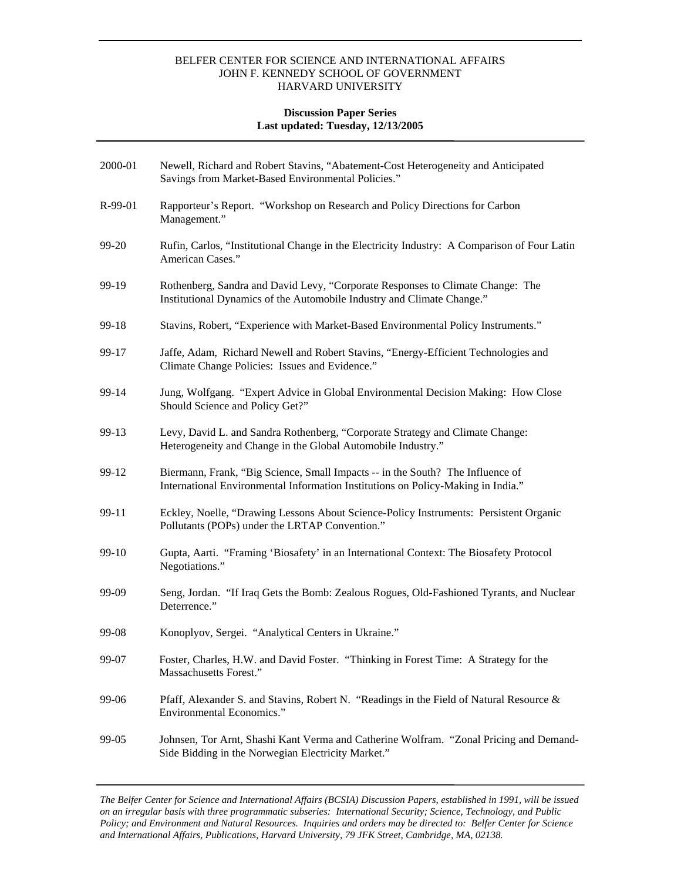## **Discussion Paper Series Last updated: Tuesday, 12/13/2005**

| 2000-01 | Newell, Richard and Robert Stavins, "Abatement-Cost Heterogeneity and Anticipated<br>Savings from Market-Based Environmental Policies."                            |
|---------|--------------------------------------------------------------------------------------------------------------------------------------------------------------------|
| R-99-01 | Rapporteur's Report. "Workshop on Research and Policy Directions for Carbon<br>Management."                                                                        |
| 99-20   | Rufin, Carlos, "Institutional Change in the Electricity Industry: A Comparison of Four Latin<br>American Cases."                                                   |
| 99-19   | Rothenberg, Sandra and David Levy, "Corporate Responses to Climate Change: The<br>Institutional Dynamics of the Automobile Industry and Climate Change."           |
| 99-18   | Stavins, Robert, "Experience with Market-Based Environmental Policy Instruments."                                                                                  |
| 99-17   | Jaffe, Adam, Richard Newell and Robert Stavins, "Energy-Efficient Technologies and<br>Climate Change Policies: Issues and Evidence."                               |
| 99-14   | Jung, Wolfgang. "Expert Advice in Global Environmental Decision Making: How Close<br>Should Science and Policy Get?"                                               |
| 99-13   | Levy, David L. and Sandra Rothenberg, "Corporate Strategy and Climate Change:<br>Heterogeneity and Change in the Global Automobile Industry."                      |
| 99-12   | Biermann, Frank, "Big Science, Small Impacts -- in the South? The Influence of<br>International Environmental Information Institutions on Policy-Making in India." |
| 99-11   | Eckley, Noelle, "Drawing Lessons About Science-Policy Instruments: Persistent Organic<br>Pollutants (POPs) under the LRTAP Convention."                            |
| 99-10   | Gupta, Aarti. "Framing 'Biosafety' in an International Context: The Biosafety Protocol<br>Negotiations."                                                           |
| 99-09   | Seng, Jordan. "If Iraq Gets the Bomb: Zealous Rogues, Old-Fashioned Tyrants, and Nuclear<br>Deterrence."                                                           |
| 99-08   | Konoplyov, Sergei. "Analytical Centers in Ukraine."                                                                                                                |
| 99-07   | Foster, Charles, H.W. and David Foster. "Thinking in Forest Time: A Strategy for the<br>Massachusetts Forest."                                                     |
| 99-06   | Pfaff, Alexander S. and Stavins, Robert N. "Readings in the Field of Natural Resource &<br><b>Environmental Economics."</b>                                        |
| 99-05   | Johnsen, Tor Arnt, Shashi Kant Verma and Catherine Wolfram. "Zonal Pricing and Demand-<br>Side Bidding in the Norwegian Electricity Market."                       |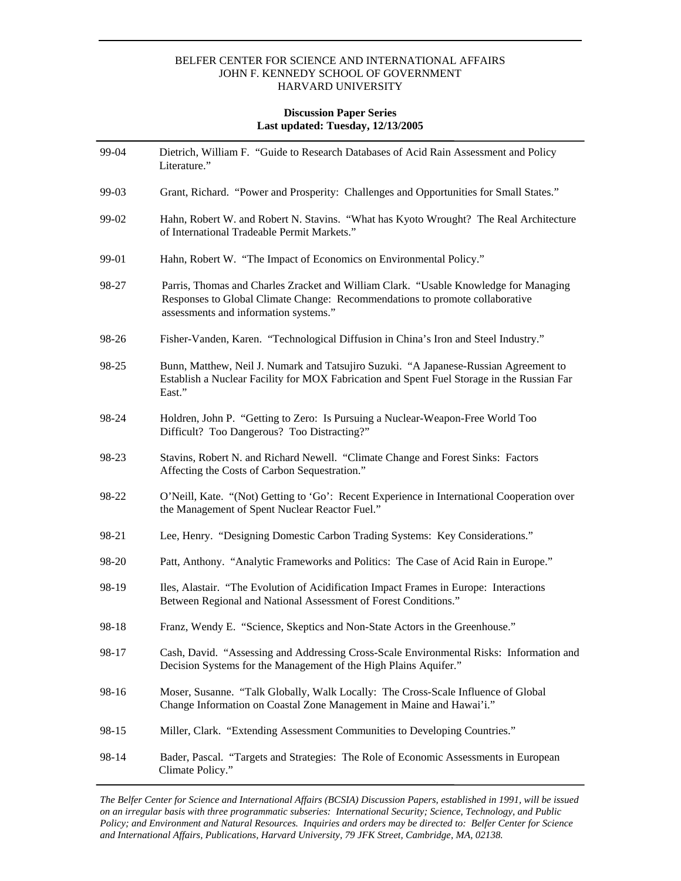## **Discussion Paper Series Last updated: Tuesday, 12/13/2005**

| 99-04 | Dietrich, William F. "Guide to Research Databases of Acid Rain Assessment and Policy<br>Literature."                                                                                                          |
|-------|---------------------------------------------------------------------------------------------------------------------------------------------------------------------------------------------------------------|
| 99-03 | Grant, Richard. "Power and Prosperity: Challenges and Opportunities for Small States."                                                                                                                        |
| 99-02 | Hahn, Robert W. and Robert N. Stavins. "What has Kyoto Wrought? The Real Architecture<br>of International Tradeable Permit Markets."                                                                          |
| 99-01 | Hahn, Robert W. "The Impact of Economics on Environmental Policy."                                                                                                                                            |
| 98-27 | Parris, Thomas and Charles Zracket and William Clark. "Usable Knowledge for Managing<br>Responses to Global Climate Change: Recommendations to promote collaborative<br>assessments and information systems." |
| 98-26 | Fisher-Vanden, Karen. "Technological Diffusion in China's Iron and Steel Industry."                                                                                                                           |
| 98-25 | Bunn, Matthew, Neil J. Numark and Tatsujiro Suzuki. "A Japanese-Russian Agreement to<br>Establish a Nuclear Facility for MOX Fabrication and Spent Fuel Storage in the Russian Far<br>East."                  |
| 98-24 | Holdren, John P. "Getting to Zero: Is Pursuing a Nuclear-Weapon-Free World Too<br>Difficult? Too Dangerous? Too Distracting?"                                                                                 |
| 98-23 | Stavins, Robert N. and Richard Newell. "Climate Change and Forest Sinks: Factors<br>Affecting the Costs of Carbon Sequestration."                                                                             |
| 98-22 | O'Neill, Kate. "(Not) Getting to 'Go': Recent Experience in International Cooperation over<br>the Management of Spent Nuclear Reactor Fuel."                                                                  |
| 98-21 | Lee, Henry. "Designing Domestic Carbon Trading Systems: Key Considerations."                                                                                                                                  |
| 98-20 | Patt, Anthony. "Analytic Frameworks and Politics: The Case of Acid Rain in Europe."                                                                                                                           |
| 98-19 | Iles, Alastair. "The Evolution of Acidification Impact Frames in Europe: Interactions<br>Between Regional and National Assessment of Forest Conditions."                                                      |
| 98-18 | Franz, Wendy E. "Science, Skeptics and Non-State Actors in the Greenhouse."                                                                                                                                   |
| 98-17 | Cash, David. "Assessing and Addressing Cross-Scale Environmental Risks: Information and<br>Decision Systems for the Management of the High Plains Aquifer."                                                   |
| 98-16 | Moser, Susanne. "Talk Globally, Walk Locally: The Cross-Scale Influence of Global<br>Change Information on Coastal Zone Management in Maine and Hawai'i."                                                     |
| 98-15 | Miller, Clark. "Extending Assessment Communities to Developing Countries."                                                                                                                                    |
| 98-14 | Bader, Pascal. "Targets and Strategies: The Role of Economic Assessments in European<br>Climate Policy."                                                                                                      |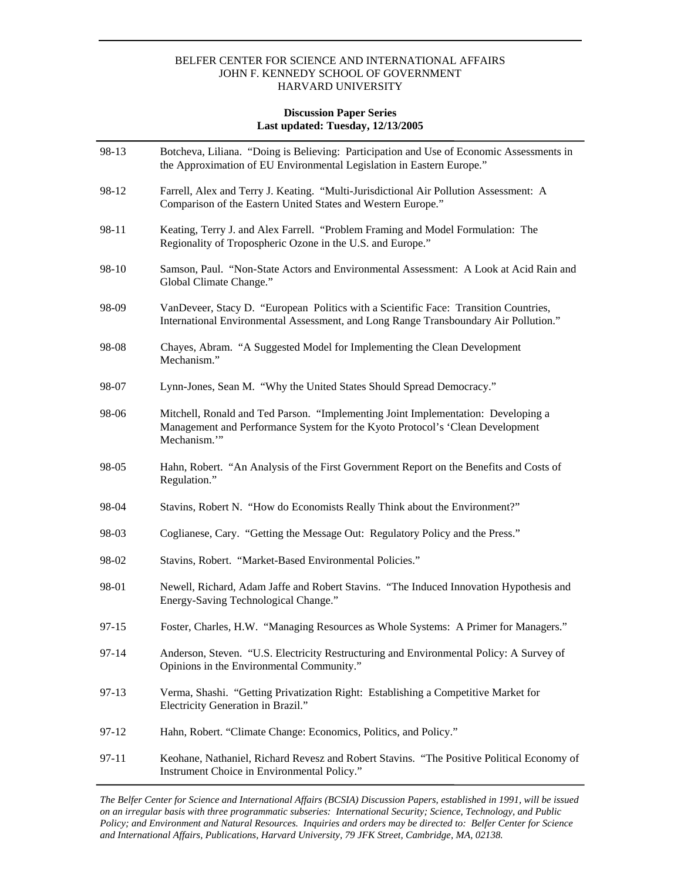## **Discussion Paper Series Last updated: Tuesday, 12/13/2005**

| 98-13     | Botcheva, Liliana. "Doing is Believing: Participation and Use of Economic Assessments in<br>the Approximation of EU Environmental Legislation in Eastern Europe."                 |
|-----------|-----------------------------------------------------------------------------------------------------------------------------------------------------------------------------------|
| 98-12     | Farrell, Alex and Terry J. Keating. "Multi-Jurisdictional Air Pollution Assessment: A<br>Comparison of the Eastern United States and Western Europe."                             |
| 98-11     | Keating, Terry J. and Alex Farrell. "Problem Framing and Model Formulation: The<br>Regionality of Tropospheric Ozone in the U.S. and Europe."                                     |
| 98-10     | Samson, Paul. "Non-State Actors and Environmental Assessment: A Look at Acid Rain and<br>Global Climate Change."                                                                  |
| 98-09     | VanDeveer, Stacy D. "European Politics with a Scientific Face: Transition Countries,<br>International Environmental Assessment, and Long Range Transboundary Air Pollution."      |
| 98-08     | Chayes, Abram. "A Suggested Model for Implementing the Clean Development<br>Mechanism."                                                                                           |
| 98-07     | Lynn-Jones, Sean M. "Why the United States Should Spread Democracy."                                                                                                              |
| 98-06     | Mitchell, Ronald and Ted Parson. "Implementing Joint Implementation: Developing a<br>Management and Performance System for the Kyoto Protocol's 'Clean Development<br>Mechanism." |
| 98-05     | Hahn, Robert. "An Analysis of the First Government Report on the Benefits and Costs of<br>Regulation."                                                                            |
| 98-04     | Stavins, Robert N. "How do Economists Really Think about the Environment?"                                                                                                        |
| 98-03     | Coglianese, Cary. "Getting the Message Out: Regulatory Policy and the Press."                                                                                                     |
| 98-02     | Stavins, Robert. "Market-Based Environmental Policies."                                                                                                                           |
| 98-01     | Newell, Richard, Adam Jaffe and Robert Stavins. "The Induced Innovation Hypothesis and<br>Energy-Saving Technological Change."                                                    |
| 97-15     | Foster, Charles, H.W. "Managing Resources as Whole Systems: A Primer for Managers."                                                                                               |
| $97 - 14$ | Anderson, Steven. "U.S. Electricity Restructuring and Environmental Policy: A Survey of<br>Opinions in the Environmental Community."                                              |
| 97-13     | Verma, Shashi. "Getting Privatization Right: Establishing a Competitive Market for<br>Electricity Generation in Brazil."                                                          |
| 97-12     | Hahn, Robert. "Climate Change: Economics, Politics, and Policy."                                                                                                                  |
| 97-11     | Keohane, Nathaniel, Richard Revesz and Robert Stavins. "The Positive Political Economy of<br>Instrument Choice in Environmental Policy."                                          |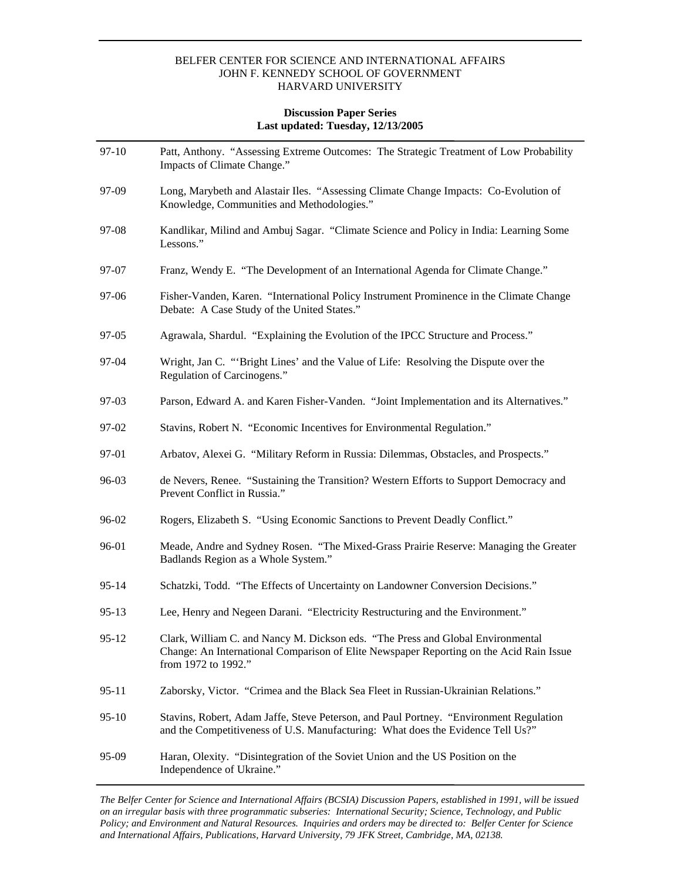## **Discussion Paper Series Last updated: Tuesday, 12/13/2005**

| $97-10$   | Patt, Anthony. "Assessing Extreme Outcomes: The Strategic Treatment of Low Probability<br>Impacts of Climate Change."                                                                             |
|-----------|---------------------------------------------------------------------------------------------------------------------------------------------------------------------------------------------------|
| 97-09     | Long, Marybeth and Alastair Iles. "Assessing Climate Change Impacts: Co-Evolution of<br>Knowledge, Communities and Methodologies."                                                                |
| 97-08     | Kandlikar, Milind and Ambuj Sagar. "Climate Science and Policy in India: Learning Some<br>Lessons."                                                                                               |
| 97-07     | Franz, Wendy E. "The Development of an International Agenda for Climate Change."                                                                                                                  |
| 97-06     | Fisher-Vanden, Karen. "International Policy Instrument Prominence in the Climate Change<br>Debate: A Case Study of the United States."                                                            |
| 97-05     | Agrawala, Shardul. "Explaining the Evolution of the IPCC Structure and Process."                                                                                                                  |
| 97-04     | Wright, Jan C. "'Bright Lines' and the Value of Life: Resolving the Dispute over the<br>Regulation of Carcinogens."                                                                               |
| 97-03     | Parson, Edward A. and Karen Fisher-Vanden. "Joint Implementation and its Alternatives."                                                                                                           |
| 97-02     | Stavins, Robert N. "Economic Incentives for Environmental Regulation."                                                                                                                            |
| 97-01     | Arbatov, Alexei G. "Military Reform in Russia: Dilemmas, Obstacles, and Prospects."                                                                                                               |
| 96-03     | de Nevers, Renee. "Sustaining the Transition? Western Efforts to Support Democracy and<br>Prevent Conflict in Russia."                                                                            |
| 96-02     | Rogers, Elizabeth S. "Using Economic Sanctions to Prevent Deadly Conflict."                                                                                                                       |
| 96-01     | Meade, Andre and Sydney Rosen. "The Mixed-Grass Prairie Reserve: Managing the Greater<br>Badlands Region as a Whole System."                                                                      |
| $95 - 14$ | Schatzki, Todd. "The Effects of Uncertainty on Landowner Conversion Decisions."                                                                                                                   |
| $95-13$   | Lee, Henry and Negeen Darani. "Electricity Restructuring and the Environment."                                                                                                                    |
| $95 - 12$ | Clark, William C. and Nancy M. Dickson eds. "The Press and Global Environmental<br>Change: An International Comparison of Elite Newspaper Reporting on the Acid Rain Issue<br>from 1972 to 1992." |
| $95-11$   | Zaborsky, Victor. "Crimea and the Black Sea Fleet in Russian-Ukrainian Relations."                                                                                                                |
| $95-10$   | Stavins, Robert, Adam Jaffe, Steve Peterson, and Paul Portney. "Environment Regulation<br>and the Competitiveness of U.S. Manufacturing: What does the Evidence Tell Us?"                         |
| 95-09     | Haran, Olexity. "Disintegration of the Soviet Union and the US Position on the<br>Independence of Ukraine."                                                                                       |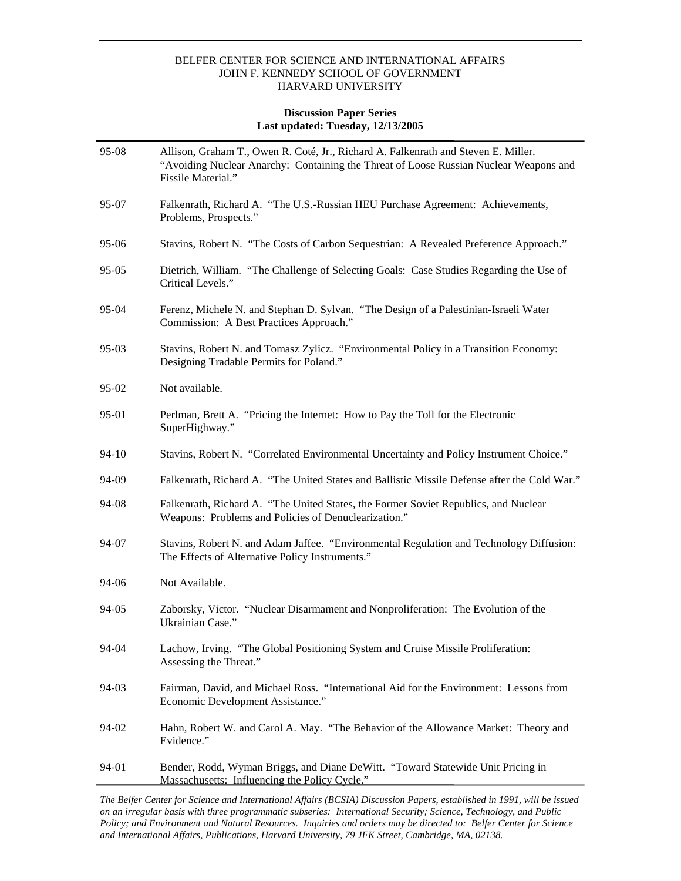## **Discussion Paper Series Last updated: Tuesday, 12/13/2005**

| $95-08$   | Allison, Graham T., Owen R. Coté, Jr., Richard A. Falkenrath and Steven E. Miller.<br>"Avoiding Nuclear Anarchy: Containing the Threat of Loose Russian Nuclear Weapons and<br>Fissile Material." |
|-----------|---------------------------------------------------------------------------------------------------------------------------------------------------------------------------------------------------|
| 95-07     | Falkenrath, Richard A. "The U.S.-Russian HEU Purchase Agreement: Achievements,<br>Problems, Prospects."                                                                                           |
| 95-06     | Stavins, Robert N. "The Costs of Carbon Sequestrian: A Revealed Preference Approach."                                                                                                             |
| $95 - 05$ | Dietrich, William. "The Challenge of Selecting Goals: Case Studies Regarding the Use of<br>Critical Levels."                                                                                      |
| 95-04     | Ferenz, Michele N. and Stephan D. Sylvan. "The Design of a Palestinian-Israeli Water<br>Commission: A Best Practices Approach."                                                                   |
| $95-03$   | Stavins, Robert N. and Tomasz Zylicz. "Environmental Policy in a Transition Economy:<br>Designing Tradable Permits for Poland."                                                                   |
| $95-02$   | Not available.                                                                                                                                                                                    |
| 95-01     | Perlman, Brett A. "Pricing the Internet: How to Pay the Toll for the Electronic<br>SuperHighway."                                                                                                 |
| $94-10$   | Stavins, Robert N. "Correlated Environmental Uncertainty and Policy Instrument Choice."                                                                                                           |
| 94-09     | Falkenrath, Richard A. "The United States and Ballistic Missile Defense after the Cold War."                                                                                                      |
| 94-08     | Falkenrath, Richard A. "The United States, the Former Soviet Republics, and Nuclear<br>Weapons: Problems and Policies of Denuclearization."                                                       |
| 94-07     | Stavins, Robert N. and Adam Jaffee. "Environmental Regulation and Technology Diffusion:<br>The Effects of Alternative Policy Instruments."                                                        |
| 94-06     | Not Available.                                                                                                                                                                                    |
| 94-05     | Zaborsky, Victor. "Nuclear Disarmament and Nonproliferation: The Evolution of the<br>Ukrainian Case."                                                                                             |
| 94-04     | Lachow, Irving. "The Global Positioning System and Cruise Missile Proliferation:<br>Assessing the Threat."                                                                                        |
| 94-03     | Fairman, David, and Michael Ross. "International Aid for the Environment: Lessons from<br>Economic Development Assistance."                                                                       |
| 94-02     | Hahn, Robert W. and Carol A. May. "The Behavior of the Allowance Market: Theory and<br>Evidence."                                                                                                 |
| 94-01     | Bender, Rodd, Wyman Briggs, and Diane DeWitt. "Toward Statewide Unit Pricing in<br>Massachusetts: Influencing the Policy Cycle."                                                                  |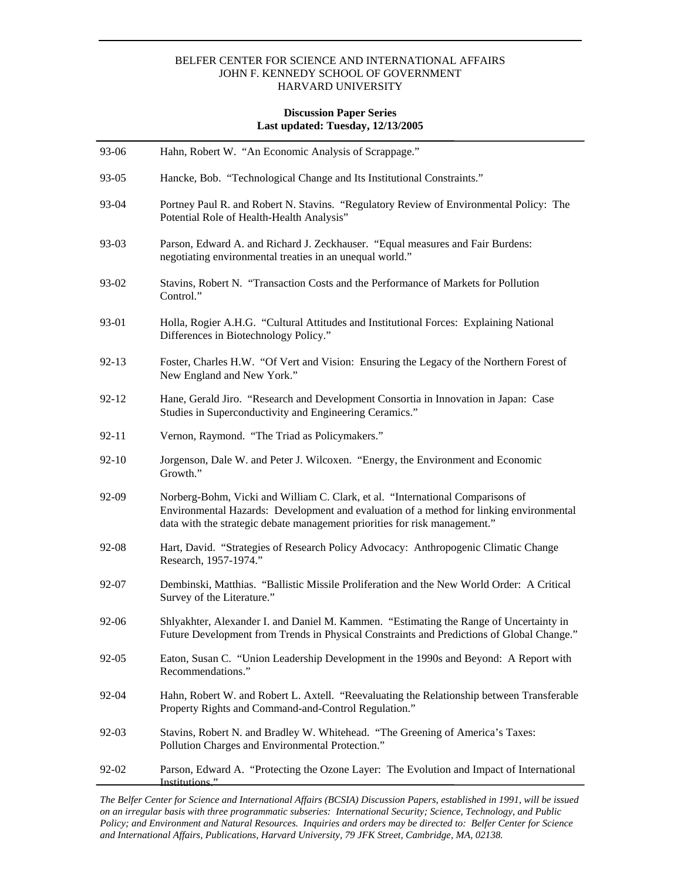## **Discussion Paper Series Last updated: Tuesday, 12/13/2005**

| 93-06     | Hahn, Robert W. "An Economic Analysis of Scrappage."                                                                                                                                                                                                    |
|-----------|---------------------------------------------------------------------------------------------------------------------------------------------------------------------------------------------------------------------------------------------------------|
| 93-05     | Hancke, Bob. "Technological Change and Its Institutional Constraints."                                                                                                                                                                                  |
| 93-04     | Portney Paul R. and Robert N. Stavins. "Regulatory Review of Environmental Policy: The<br>Potential Role of Health-Health Analysis"                                                                                                                     |
| 93-03     | Parson, Edward A. and Richard J. Zeckhauser. "Equal measures and Fair Burdens:<br>negotiating environmental treaties in an unequal world."                                                                                                              |
| 93-02     | Stavins, Robert N. "Transaction Costs and the Performance of Markets for Pollution<br>Control."                                                                                                                                                         |
| 93-01     | Holla, Rogier A.H.G. "Cultural Attitudes and Institutional Forces: Explaining National<br>Differences in Biotechnology Policy."                                                                                                                         |
| 92-13     | Foster, Charles H.W. "Of Vert and Vision: Ensuring the Legacy of the Northern Forest of<br>New England and New York."                                                                                                                                   |
| 92-12     | Hane, Gerald Jiro. "Research and Development Consortia in Innovation in Japan: Case<br>Studies in Superconductivity and Engineering Ceramics."                                                                                                          |
| 92-11     | Vernon, Raymond. "The Triad as Policymakers."                                                                                                                                                                                                           |
| $92 - 10$ | Jorgenson, Dale W. and Peter J. Wilcoxen. "Energy, the Environment and Economic<br>Growth."                                                                                                                                                             |
| 92-09     | Norberg-Bohm, Vicki and William C. Clark, et al. "International Comparisons of<br>Environmental Hazards: Development and evaluation of a method for linking environmental<br>data with the strategic debate management priorities for risk management." |
| 92-08     | Hart, David. "Strategies of Research Policy Advocacy: Anthropogenic Climatic Change<br>Research, 1957-1974."                                                                                                                                            |
| 92-07     | Dembinski, Matthias. "Ballistic Missile Proliferation and the New World Order: A Critical<br>Survey of the Literature."                                                                                                                                 |
| 92-06     | Shlyakhter, Alexander I. and Daniel M. Kammen. "Estimating the Range of Uncertainty in<br>Future Development from Trends in Physical Constraints and Predictions of Global Change."                                                                     |
| 92-05     | Eaton, Susan C. "Union Leadership Development in the 1990s and Beyond: A Report with<br>Recommendations."                                                                                                                                               |
| 92-04     | Hahn, Robert W. and Robert L. Axtell. "Reevaluating the Relationship between Transferable<br>Property Rights and Command-and-Control Regulation."                                                                                                       |
| 92-03     | Stavins, Robert N. and Bradley W. Whitehead. "The Greening of America's Taxes:<br>Pollution Charges and Environmental Protection."                                                                                                                      |
| 92-02     | Parson, Edward A. "Protecting the Ozone Layer: The Evolution and Impact of International<br>Institutions."                                                                                                                                              |